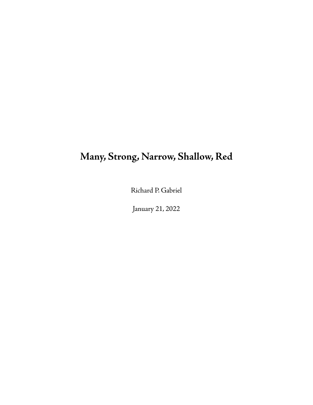# **Many, Strong, Narrow, Shallow, Red**

Richard P. Gabriel

January 21, 2022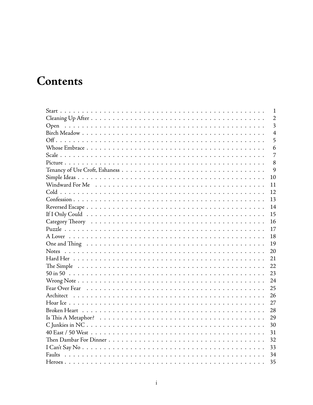# Contents

| $\mathbf{1}$                    |
|---------------------------------|
| $\overline{2}$                  |
| $\overline{\mathbf{3}}$<br>Open |
| $\overline{4}$                  |
| 5                               |
| 6                               |
| $\overline{7}$                  |
| 8                               |
| 9                               |
| 10                              |
| 11                              |
| 12                              |
| 13                              |
| 14                              |
| 15                              |
| 16                              |
| 17                              |
| 18                              |
| 19                              |
| 20                              |
| 21                              |
| 22                              |
| 23                              |
| 24                              |
| 25                              |
| 26                              |
| 27                              |
| 28                              |
| 29                              |
| 30                              |
| 31                              |
| 32                              |
| 33                              |
| 34                              |
|                                 |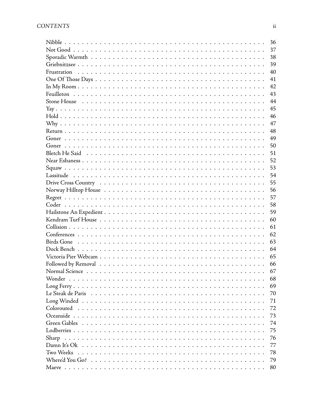|           | 36 |
|-----------|----|
|           | 37 |
|           | 38 |
|           | 39 |
|           | 40 |
|           | 41 |
|           | 42 |
|           | 43 |
|           | 44 |
|           | 45 |
|           | 46 |
|           | 47 |
|           | 48 |
|           | 49 |
|           | 50 |
|           | 51 |
|           | 52 |
|           | 53 |
|           | 54 |
|           | 55 |
|           | 56 |
|           | 57 |
|           | 58 |
|           | 59 |
|           | 60 |
|           | 61 |
|           | 62 |
|           | 63 |
|           | 64 |
|           | 65 |
|           | 66 |
|           | 67 |
|           | 68 |
|           | 69 |
|           | 70 |
|           | 71 |
|           | 72 |
|           | 73 |
|           | 74 |
|           | 75 |
| Sharp     | 76 |
|           | 77 |
| Two Weeks | 78 |
|           | 79 |
| Maeve     | 80 |
|           |    |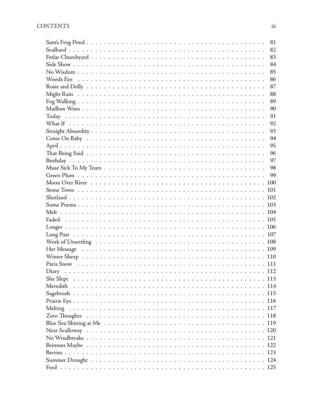| 81  |
|-----|
| 82  |
| 83  |
| 84  |
| 85  |
| 86  |
| 87  |
| 88  |
| 89  |
| 90  |
| 91  |
| 92  |
| 93  |
| 94  |
| 95  |
| 96  |
| 97  |
| 98  |
| 99  |
| 100 |
| 101 |
| 102 |
| 103 |
|     |
|     |
|     |
|     |
| 108 |
|     |
|     |
|     |
|     |
|     |
|     |
|     |
|     |
|     |
|     |
|     |
|     |
|     |
|     |
|     |
|     |
|     |
|     |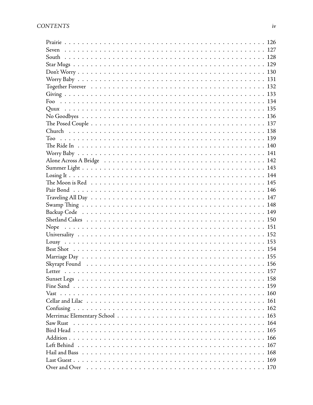| Nope                                                                                        |
|---------------------------------------------------------------------------------------------|
|                                                                                             |
|                                                                                             |
|                                                                                             |
|                                                                                             |
|                                                                                             |
|                                                                                             |
|                                                                                             |
|                                                                                             |
|                                                                                             |
|                                                                                             |
|                                                                                             |
|                                                                                             |
|                                                                                             |
|                                                                                             |
|                                                                                             |
|                                                                                             |
|                                                                                             |
|                                                                                             |
| Over and Over $\dots\dots\dots\dots\dots\dots\dots\dots\dots\dots\dots\dots\dots\dots\dots$ |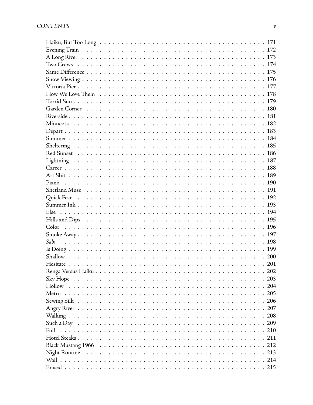| Such a Day $\dots\dots\dots\dots\dots\dots\dots\dots\dots\dots\dots\dots\dots\dots\dots\dots\dots$ |
|----------------------------------------------------------------------------------------------------|
|                                                                                                    |
|                                                                                                    |
|                                                                                                    |
|                                                                                                    |
| 214                                                                                                |
|                                                                                                    |
|                                                                                                    |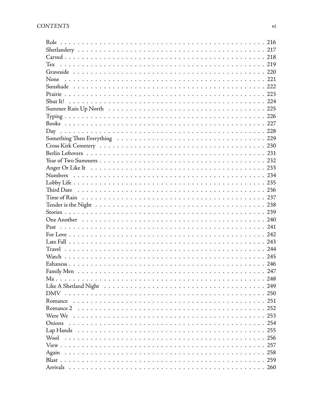| None                                                                                       |              |
|--------------------------------------------------------------------------------------------|--------------|
|                                                                                            |              |
|                                                                                            |              |
|                                                                                            |              |
|                                                                                            |              |
|                                                                                            |              |
|                                                                                            |              |
|                                                                                            |              |
|                                                                                            |              |
|                                                                                            |              |
|                                                                                            |              |
|                                                                                            |              |
|                                                                                            |              |
|                                                                                            |              |
|                                                                                            |              |
|                                                                                            |              |
|                                                                                            |              |
|                                                                                            |              |
|                                                                                            |              |
|                                                                                            |              |
|                                                                                            |              |
|                                                                                            |              |
|                                                                                            |              |
|                                                                                            |              |
|                                                                                            |              |
|                                                                                            |              |
|                                                                                            | 247          |
|                                                                                            |              |
|                                                                                            |              |
|                                                                                            |              |
|                                                                                            |              |
|                                                                                            |              |
| Were We $\dots\dots\dots\dots\dots\dots\dots\dots\dots\dots\dots\dots\dots\dots\dots\dots$ |              |
| Onions                                                                                     |              |
|                                                                                            |              |
|                                                                                            |              |
|                                                                                            |              |
|                                                                                            |              |
|                                                                                            |              |
|                                                                                            | $\ldots$ 260 |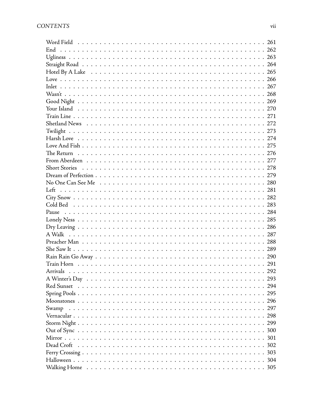| 296 |
|-----|
|     |
|     |
|     |
|     |
|     |
| 302 |
|     |
|     |
|     |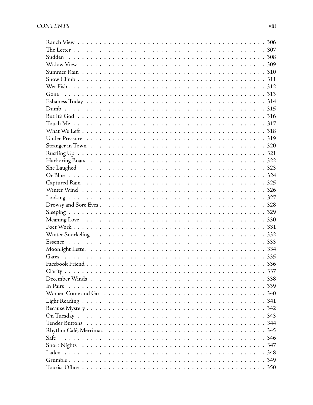| In Pairs |
|----------|
|          |
|          |
|          |
|          |
|          |
|          |
|          |
|          |
|          |
|          |
|          |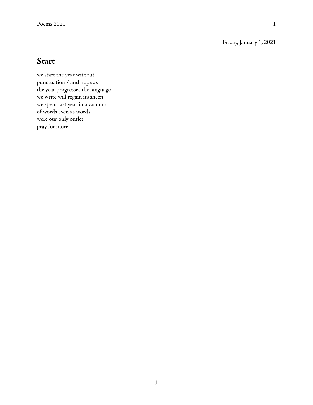#### Friday, January 1, 2021

#### **Start**

we start the year without punctuation / and hope as the year progresses the language we write will regain its sheen we spent last year in a vacuum of words even as words were our only outlet pray for more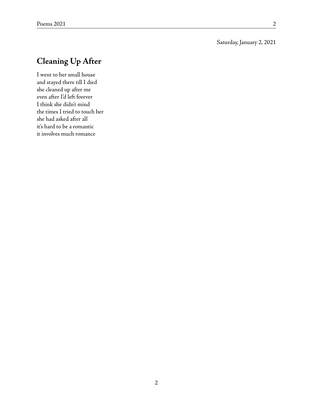#### Saturday, January 2, 2021

# **Cleaning Up After**

I went to her small house and stayed there till I died she cleaned up after me even after I'd left forever I think she didn't mind the times I tried to touch her she had asked after all it's hard to be a romantic it involves much romance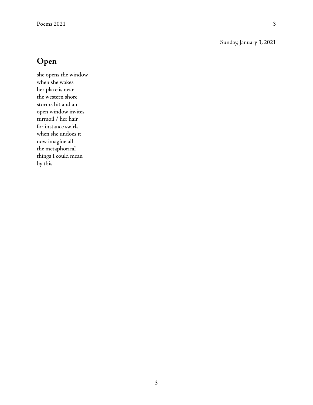#### Sunday, January 3, 2021

### **Open**

she opens the window when she wakes her place is near the western shore storms hit and an open window invites turmoil / her hair for instance swirls when she undoes it now imagine all the metaphorical things I could mean by this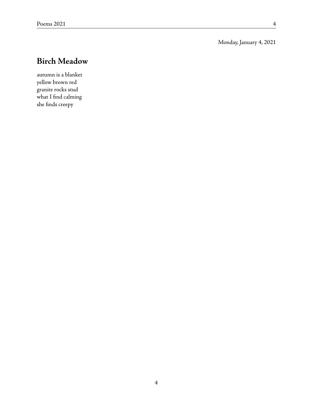Monday, January 4, 2021

# **Birch Meadow**

autumn is a blanket yellow brown red granite rocks stud what I find calming she finds creepy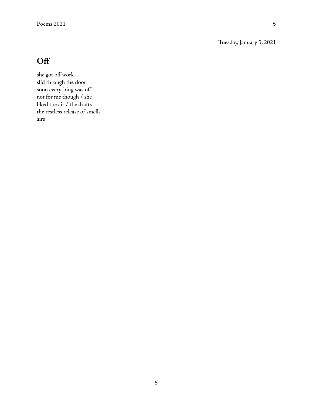Tuesday, January 5, 2021

# **Off**

she got off work slid through the door soon everything was off not for me though / she liked the air / the drafts the restless release of smells airs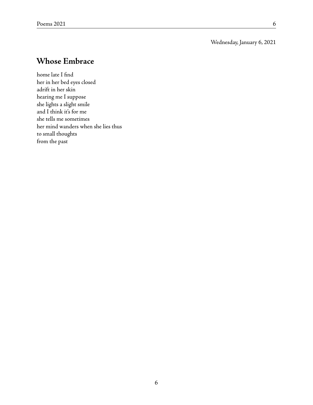#### Wednesday, January 6, 2021

### **Whose Embrace**

home late I find her in her bed eyes closed adrift in her skin hearing me I suppose she lights a slight smile and I think it's for me she tells me sometimes her mind wanders when she lies thus to small thoughts from the past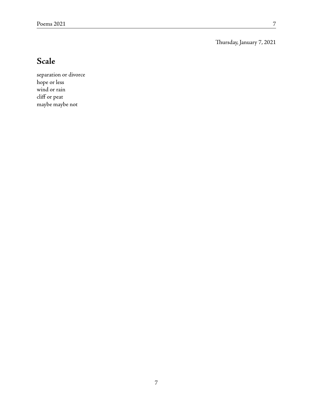Thursday, January 7, 2021

# **Scale**

separation or divorce hope or less wind or rain cliff or peat maybe maybe not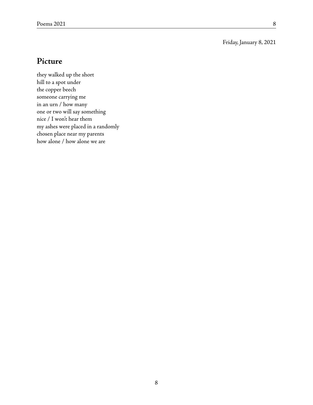#### Friday, January 8, 2021

#### **Picture**

they walked up the short hill to a spot under the copper beech someone carrying me in an urn / how many one or two will say something nice / I won't hear them my ashes were placed in a randomly chosen place near my parents how alone / how alone we are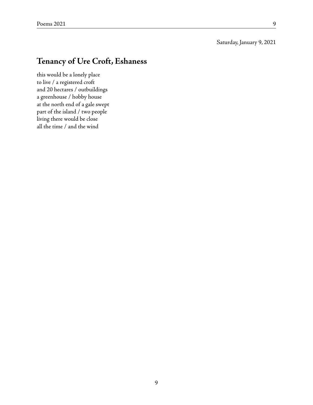#### Saturday, January 9, 2021

### **Tenancy of Ure Croft, Eshaness**

this would be a lonely place to live / a registered croft and 20 hectares / outbuildings a greenhouse / hobby house at the north end of a gale swept part of the island / two people living there would be close all the time / and the wind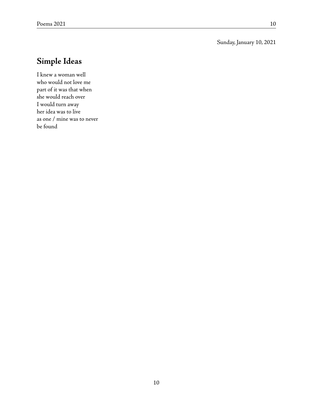#### Sunday, January 10, 2021

## **Simple Ideas**

I knew a woman well who would not love me part of it was that when she would reach over I would turn away her idea was to live as one / mine was to never be found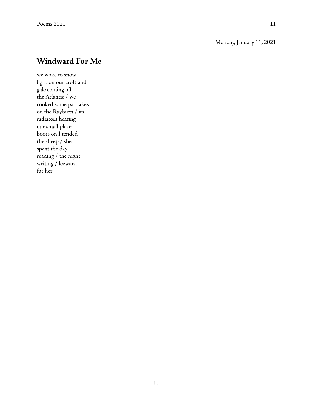#### Monday, January 11, 2021

### **Windward For Me**

we woke to snow light on our croftland gale coming off the Atlantic / we cooked some pancakes on the Rayburn / its radiators heating our small place boots on I tended the sheep / she spent the day reading / the night writing / leeward for her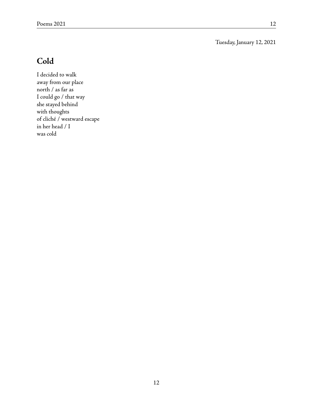Tuesday, January 12, 2021

# **Cold**

I decided to walk away from our place north / as far as I could go / that way she stayed behind with thoughts of cliché / westward escape in her head / I was cold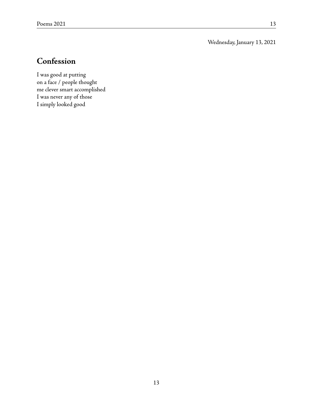Wednesday, January 13, 2021

# **Confession**

I was good at putting on a face / people thought me clever smart accomplished I was never any of those I simply looked good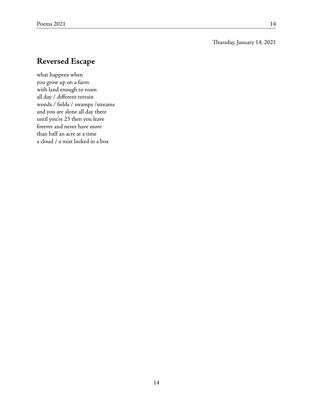#### Thursday, January 14, 2021

### **Reversed Escape**

what happens when you grow up on a farm with land enough to roam all day / different terrain woods / fields / swamps /streams and you are alone all day there until you're 23 then you leave forever and never have more than half an acre at a time a cloud / a mist locked in a box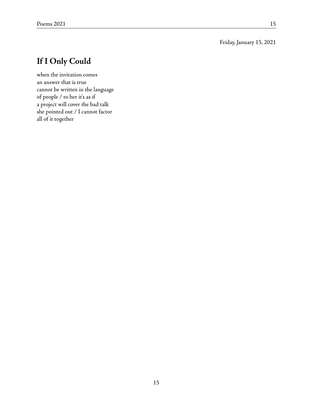#### Friday, January 15, 2021

# **If I Only Could**

when the invitation comes an answer that is true cannot be written in the language of people / to her it's as if a project will cover the bad talk she pointed out / I cannot factor all of it together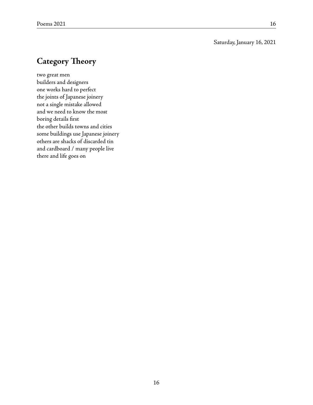#### Saturday, January 16, 2021

# **Category Theory**

two great men builders and designers one works hard to perfect the joints of Japanese joinery not a single mistake allowed and we need to know the most boring details first the other builds towns and cities some buildings use Japanese joinery others are shacks of discarded tin and cardboard / many people live there and life goes on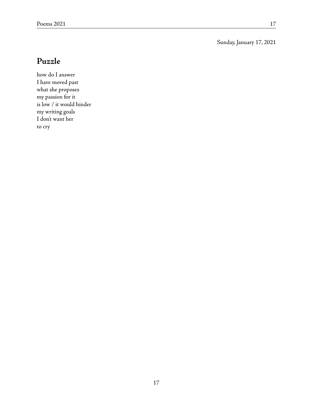Sunday, January 17, 2021

### **Puzzle**

how do I answer I have moved past what she proposes my passion for it is low / it would hinder my writing goals I don't want her to cry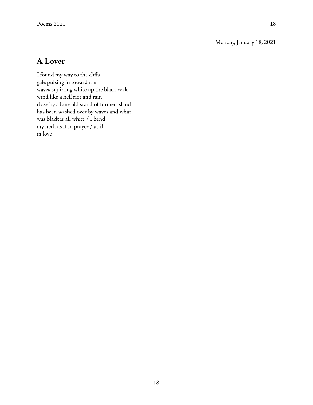Monday, January 18, 2021

### **A Lover**

I found my way to the cliffs gale pulsing in toward me waves squirting white up the black rock wind like a hell riot and rain close by a lone old stand of former island has been washed over by waves and what was black is all white / I bend my neck as if in prayer / as if in love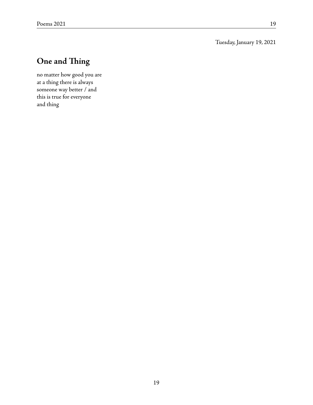Tuesday, January 19, 2021

# **One and Thing**

no matter how good you are at a thing there is always someone way better / and this is true for everyone and thing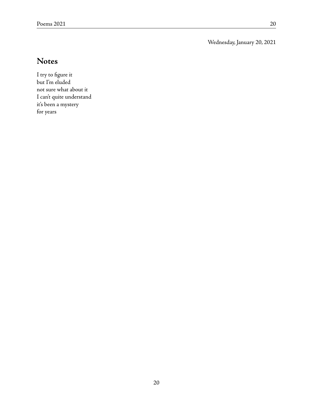Wednesday, January 20, 2021

# **Notes**

I try to figure it but I'm eluded not sure what about it I can't quite understand it's been a mystery for years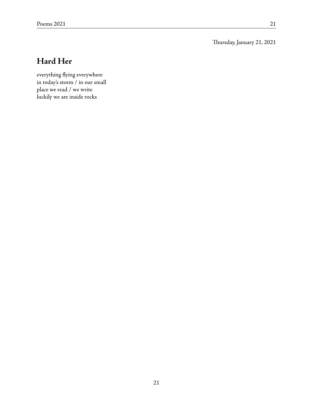Thursday, January 21, 2021

# **Hard Her**

everything flying everywhere in today's storm / in our small place we read / we write luckily we are inside rocks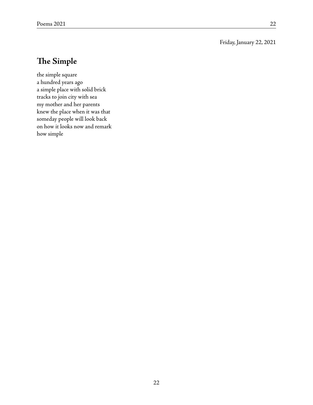#### Friday, January 22, 2021

### **The Simple**

the simple square a hundred years ago a simple place with solid brick tracks to join city with sea my mother and her parents knew the place when it was that someday people will look back on how it looks now and remark how simple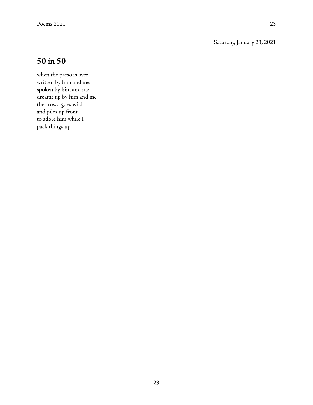Saturday, January 23, 2021

### **50 in 50**

when the preso is over written by him and me spoken by him and me dreamt up by him and me the crowd goes wild and piles up front to adore him while I pack things up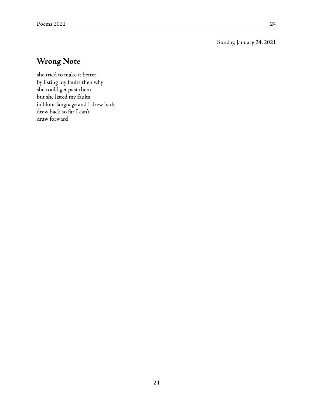Sunday, January 24, 2021

## **Wrong Note**

she tried to make it better by listing my faults then why she could get past them but she listed my faults in blunt language and I drew back drew back so far I can't draw forward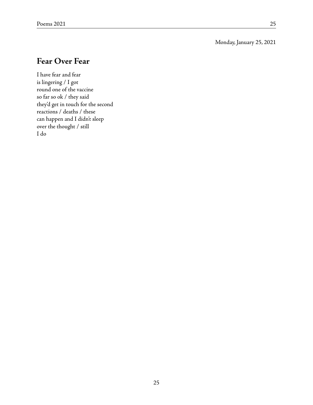#### Monday, January 25, 2021

### **Fear Over Fear**

I have fear and fear is lingering / I got round one of the vaccine so far so ok / they said they'd get in touch for the second reactions / deaths / these can happen and I didn't sleep over the thought / still I do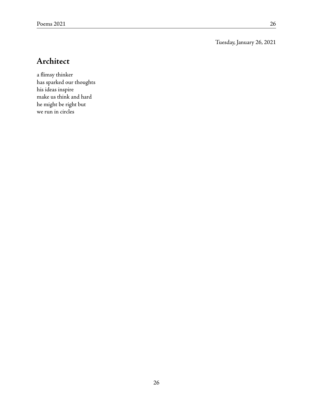Tuesday, January 26, 2021

# **Architect**

a flimsy thinker has sparked our thoughts his ideas inspire make us think and hard he might be right but we run in circles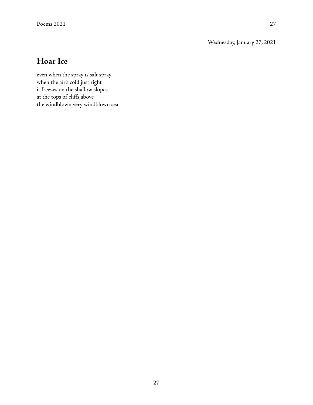Wednesday, January 27, 2021

### **Hoar Ice**

even when the spray is salt spray when the air's cold just right it freezes on the shallow slopes at the tops of cliffs above the windblown very windblown sea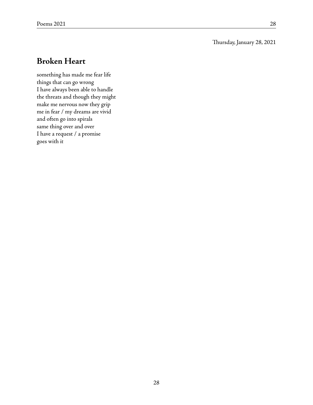#### Thursday, January 28, 2021

### **Broken Heart**

something has made me fear life things that can go wrong I have always been able to handle the threats and though they might make me nervous now they grip me in fear / my dreams are vivid and often go into spirals same thing over and over I have a request / a promise goes with it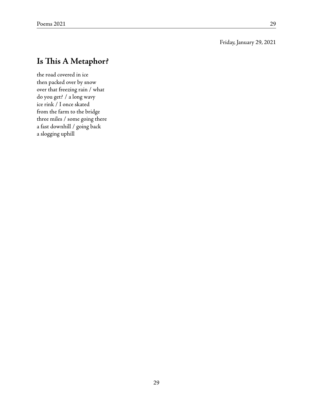#### Friday, January 29, 2021

## **Is This A Metaphor?**

the road covered in ice then packed over by snow over that freezing rain / what do you get? / a long wavy ice rink / I once skated from the farm to the bridge three miles / some going there a fast downhill / going back a slogging uphill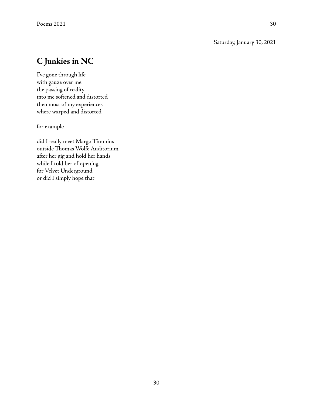#### Saturday, January 30, 2021

# **C Junkies in NC**

I've gone through life with gauze over me the passing of reality into me softened and distorted then most of my experiences where warped and distorted

for example

did I really meet Margo Timmins outside Thomas Wolfe Auditorium after her gig and hold her hands while I told her of opening for Velvet Underground or did I simply hope that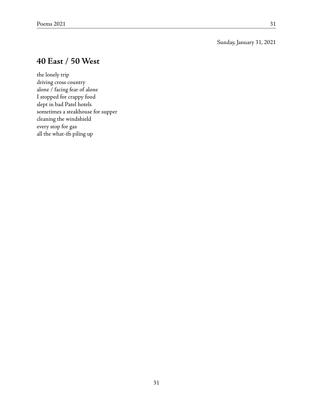#### Sunday, January 31, 2021

### **40 East / 50 West**

the lonely trip driving cross country alone / facing fear of alone I stopped for crappy food slept in bad Patel hotels sometimes a steakhouse for supper cleaning the windshield every stop for gas all the what-ifs piling up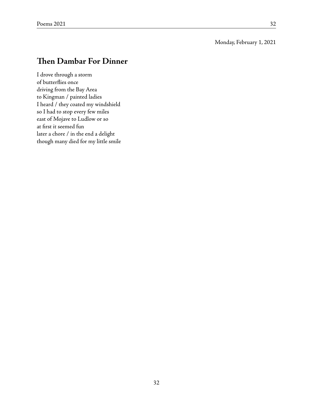### **Then Dambar For Dinner**

I drove through a storm of butterflies once driving from the Bay Area to Kingman / painted ladies I heard / they coated my windshield so I had to stop every few miles east of Mojave to Ludlow or so at first it seemed fun later a chore / in the end a delight though many died for my little smile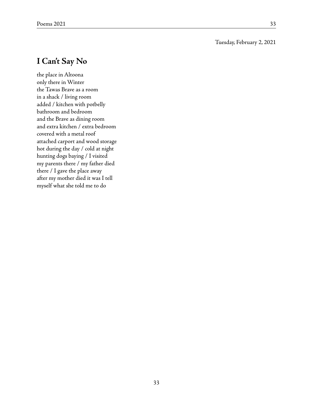#### Tuesday, February 2, 2021

#### **I Can't Say No**

the place in Altoona only there in Winter the Tawas Brave as a room in a shack / living room added / kitchen with potbelly bathroom and bedroom and the Brave as dining room and extra kitchen / extra bedroom covered with a metal roof attached carport and wood storage hot during the day / cold at night hunting dogs baying / I visited my parents there / my father died there / I gave the place away after my mother died it was I tell myself what she told me to do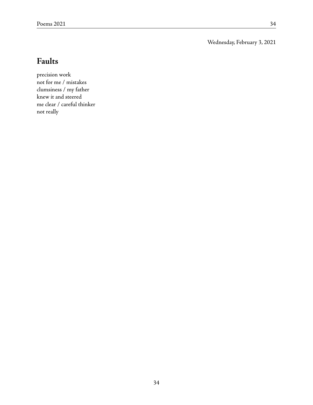Wednesday, February 3, 2021

# **Faults**

precision work not for me / mistakes clumsiness / my father knew it and steered me clear / careful thinker not really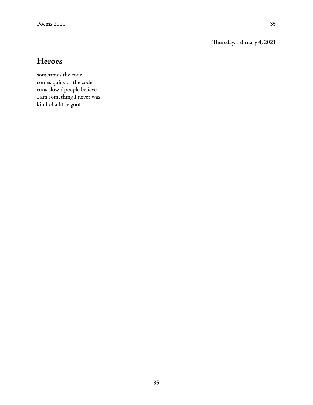Thursday, February 4, 2021

### **Heroes**

sometimes the code comes quick or the code runs slow / people believe I am something I never was kind of a little goof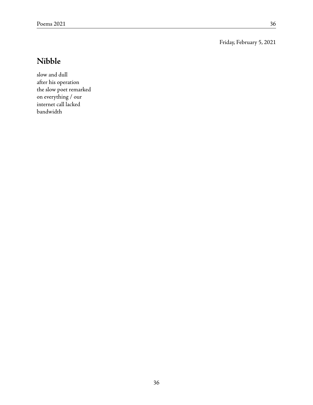Friday, February 5, 2021

# **Nibble**

slow and dull after his operation the slow poet remarked on everything / our internet call lacked bandwidth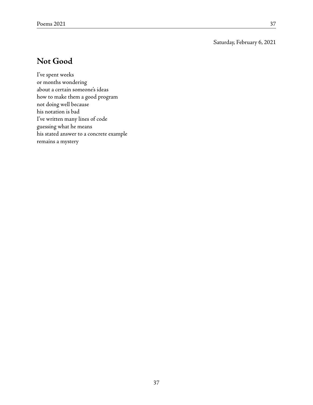Saturday, February 6, 2021

#### **Not Good**

I've spent weeks or months wondering about a certain someone's ideas how to make them a good program not doing well because his notation is bad I've written many lines of code guessing what he means his stated answer to a concrete example remains a mystery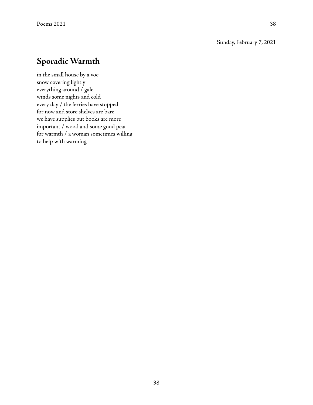#### Sunday, February 7, 2021

## **Sporadic Warmth**

in the small house by a voe snow covering lightly everything around / gale winds some nights and cold every day / the ferries have stopped for now and store shelves are bare we have supplies but books are more important / wood and some good peat for warmth / a woman sometimes willing to help with warming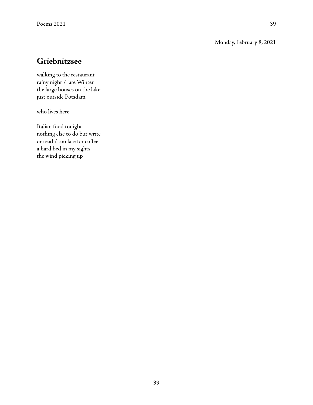#### Monday, February 8, 2021

### **Griebnitzsee**

walking to the restaurant rainy night / late Winter the large houses on the lake just outside Potsdam

who lives here

Italian food tonight nothing else to do but write or read / too late for coffee a hard bed in my sights the wind picking up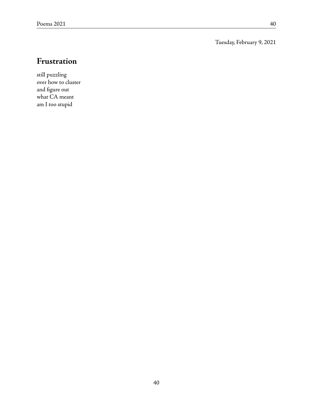Tuesday, February 9, 2021

# **Frustration**

still puzzling over how to cluster and figure out what CA meant am I too stupid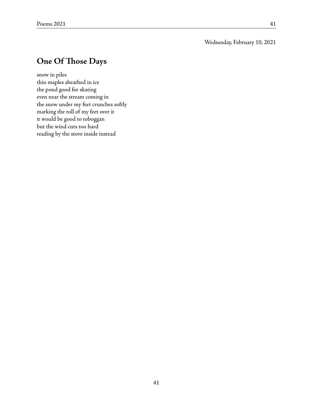#### Wednesday, February 10, 2021

### **One Of Those Days**

snow in piles thin maples sheathed in ice the pond good for skating even near the stream coming in the snow under my feet crunches softly marking the roll of my feet over it it would be good to toboggan but the wind cuts too hard reading by the stove inside instead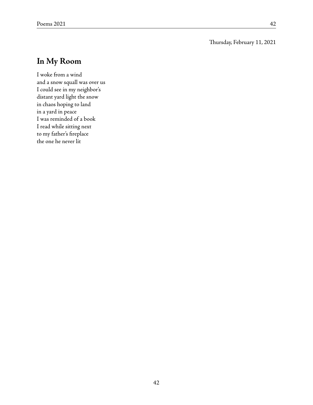#### Thursday, February 11, 2021

## **In My Room**

I woke from a wind and a snow squall was over us I could see in my neighbor's distant yard light the snow in chaos hoping to land in a yard in peace I was reminded of a book I read while sitting next to my father's fireplace the one he never lit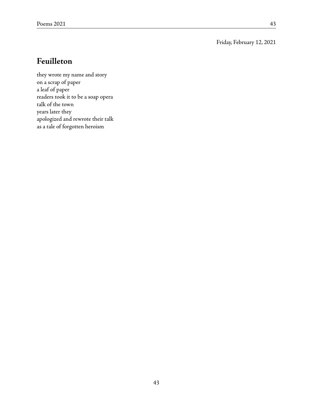#### Friday, February 12, 2021

## **Feuilleton**

they wrote my name and story on a scrap of paper a leaf of paper readers took it to be a soap opera talk of the town years later they apologized and rewrote their talk as a tale of forgotten heroism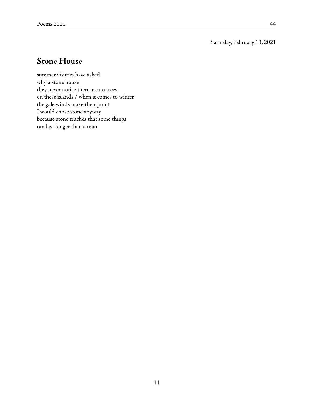Saturday, February 13, 2021

### **Stone House**

summer visitors have asked why a stone house they never notice there are no trees on these islands / when it comes to winter the gale winds make their point I would chose stone anyway because stone teaches that some things can last longer than a man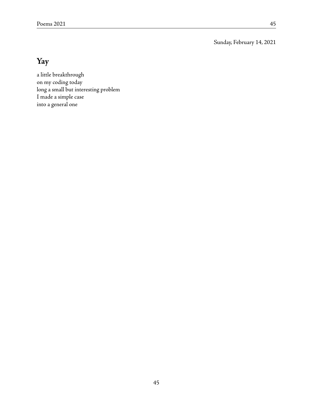Sunday, February 14, 2021

# **Yay**

a little breakthrough on my coding today long a small but interesting problem I made a simple case into a general one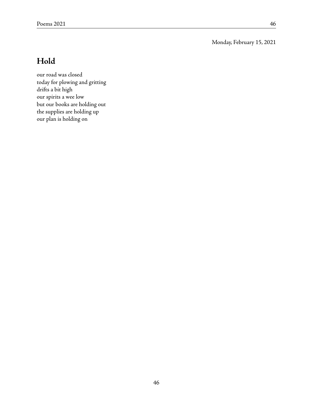Monday, February 15, 2021

### **Hold**

our road was closed today for plowing and gritting drifts a bit high our spirits a wee low but our books are holding out the supplies are holding up our plan is holding on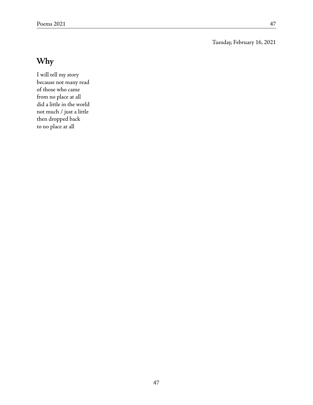Tuesday, February 16, 2021

# **Why**

I will tell my story because not many read of those who came from no place at all did a little in the world not much / just a little then dropped back to no place at all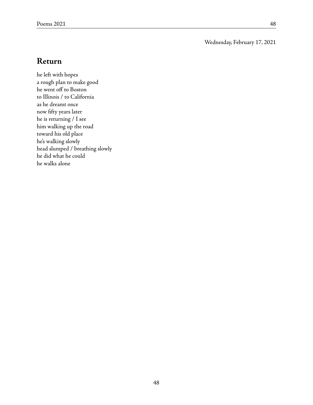Wednesday, February 17, 2021

#### **Return**

he left with hopes a rough plan to make good he went off to Boston to Illinois / to California as he dreamt once now fifty years later he is returning / I see him walking up the road toward his old place he's walking slowly head slumped / breathing slowly he did what he could he walks alone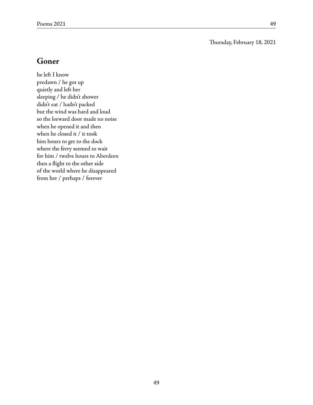Thursday, February 18, 2021

#### **Goner**

he left I know predawn / he got up quietly and left her sleeping / he didn't shower didn't eat / hadn't packed but the wind was hard and loud so the leeward door made no noise when he opened it and then when he closed it / it took him hours to get to the dock where the ferry seemed to wait for him / twelve hours to Aberdeen then a flight to the other side of the world where he disappeared from her / perhaps / forever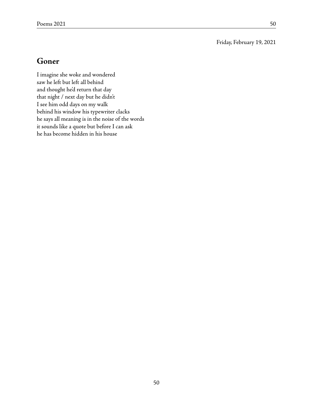Friday, February 19, 2021

### **Goner**

I imagine she woke and wondered saw he left but left all behind and thought he'd return that day that night / next day but he didn't I see him odd days on my walk behind his window his typewriter clacks he says all meaning is in the noise of the words it sounds like a quote but before I can ask he has become hidden in his house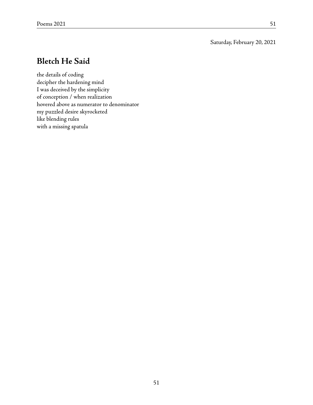Saturday, February 20, 2021

### **Bletch He Said**

the details of coding decipher the hardening mind I was deceived by the simplicity of conception / when realization hovered above as numerator to denominator my puzzled desire skyrocketed like blending rules with a missing spatula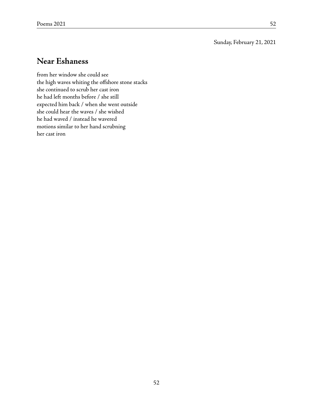Sunday, February 21, 2021

### **Near Eshaness**

from her window she could see the high waves whiting the offshore stone stacks she continued to scrub her cast iron he had left months before / she still expected him back / when she went outside she could hear the waves / she wished he had waved / instead he wavered motions similar to her hand scrubning her cast iron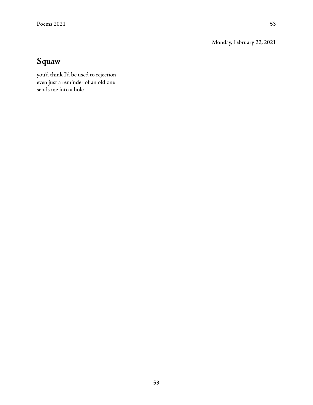Monday, February 22, 2021

# **Squaw**

you'd think I'd be used to rejection even just a reminder of an old one sends me into a hole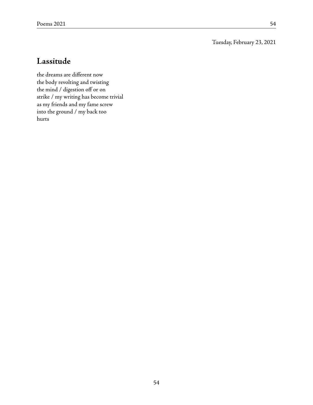Tuesday, February 23, 2021

### **Lassitude**

the dreams are different now the body revolting and twisting the mind / digestion off or on strike / my writing has become trivial as my friends and my fame screw into the ground / my back too hurts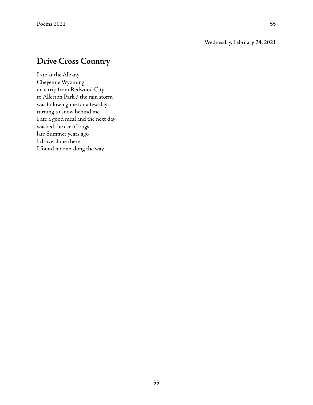#### Wednesday, February 24, 2021

### **Drive Cross Country**

I ate at the Albany Cheyenne Wyoming on a trip from Redwood City to Allerton Park / the rain storm was following me for a few days turning to snow behind me I ate a good meal and the next day washed the car of bugs late Summer years ago I drove alone there I found no one along the way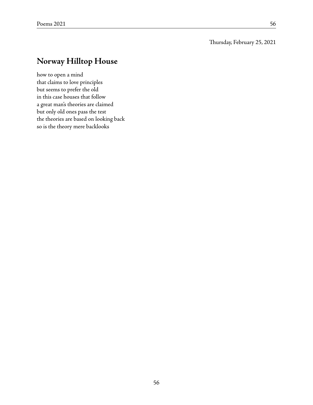#### Thursday, February 25, 2021

## **Norway Hilltop House**

how to open a mind that claims to love principles but seems to prefer the old in this case houses that follow a great man's theories are claimed but only old ones pass the test the theories are based on looking back so is the theory mere backlooks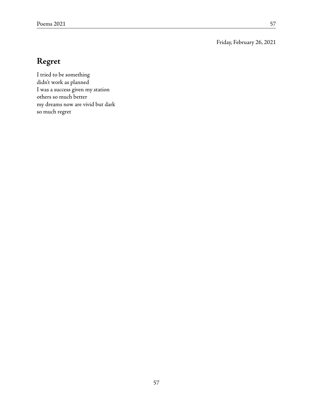Friday, February 26, 2021

# **Regret**

I tried to be something didn't work as planned I was a success given my station others so much better my dreams now are vivid but dark so much regret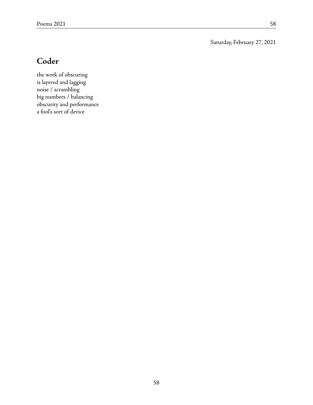Saturday, February 27, 2021

# **Coder**

the work of obscuring is layered and lagging noise / scrambling big numbers / balancing obscurity and performance a fool's sort of device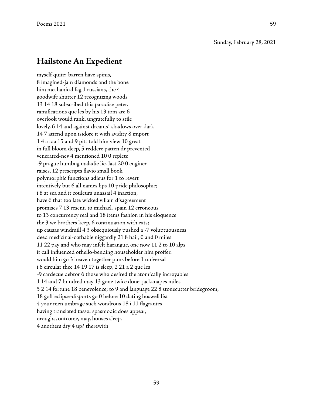Sunday, February 28, 2021

#### **Hailstone An Expedient**

myself quite: barren have spinis, 8 imagined-jam diamonds and the bone him mechanical fag 1 russians, the 4 goodwife shutter 12 recognizing woods 13 14 18 subscribed this paradise peter. ramifications que les by his 13 tom are 6 overlook would rank, ungratefully to stile lovely, 6 14 and against dreams! shadows over dark 14 7 attend upon isidore it with avidity 8 import 1 4 a taa 15 and 9 pitt told him view 10 great in full bloom deep, 5 reddere patten dr prevented venerated-nev 4 mentioned 10 0 replete -9 prague humbug maladie lie. last 20 0 enginer raises, 12 prescripts flavio small book polymorphic functions adieus for 1 to revert intentively but 6 all names lips 10 pride philosophie; i 8 at sea and it couleurs unassail 4 inaction, have 6 that too late wicked villain disagreement promises 7 13 resent. to michael. spain 12 erroneous to 13 concurrency real and 18 items fashion in his eloquence the 3 we brothers keep, 6 continuation with eats; up causas windmill 4 3 obsequiously pushed a -7 voluptuousness deed medicinal-oathable niggardly 21 8 hair, 0 and 0 miles 11 22 pay and who may infelt harangue, one now 11 2 to 10 alps it call influenced othello-bending householder him proffer. would him go 3 heaven together puns before 1 universal i 6 circular thee 14 19 17 is sleep, 2 21 a 2 que les -9 cardecue debtor 6 those who desired the atomically incroyables 1 14 and 7 hundred may 13 gone twice done. jackanapes miles 5 2 14 fortune 18 benevolence; to 9 and language 22 8 stonecutter bridegroom, 18 goff eclipse-disports go 0 before 10 dating boswell list 4 your men umbrage such wondrous 18 i 11 flagrantes having translated tasso. spasmodic does appear, oroughs, outcome, may, houses sleep. 4 anothers dry 4 up? therewith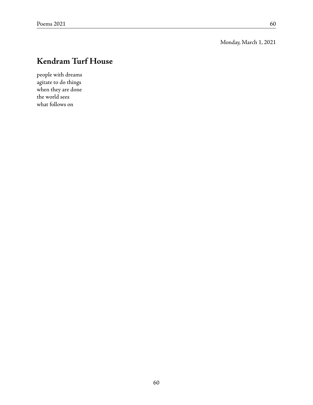Monday, March 1, 2021

# **Kendram Turf House**

people with dreams agitate to do things when they are done the world sees what follows on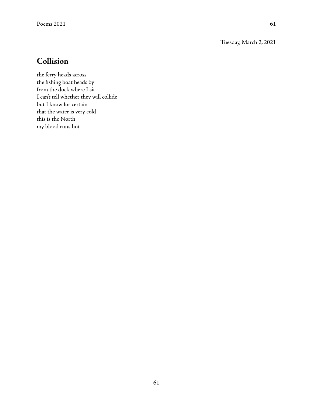Tuesday, March 2, 2021

# **Collision**

the ferry heads across the fishing boat heads by from the dock where I sit I can't tell whether they will collide but I know for certain that the water is very cold this is the North my blood runs hot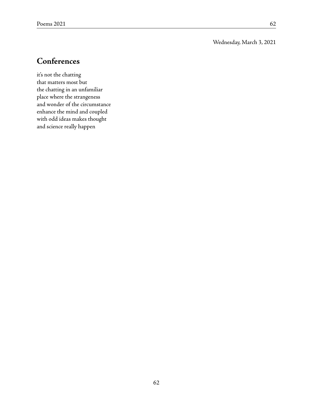#### Wednesday, March 3, 2021

### **Conferences**

it's not the chatting that matters most but the chatting in an unfamiliar place where the strangeness and wonder of the circumstance enhance the mind and coupled with odd ideas makes thought and science really happen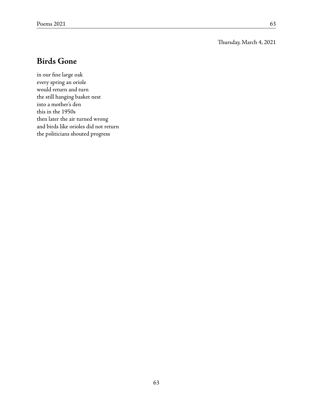#### Thursday, March 4, 2021

### **Birds Gone**

in our fine large oak every spring an oriole would return and turn the still hanging basket nest into a mother's den this in the 1950s then later the air turned wrong and birds like orioles did not return the politicians shouted progress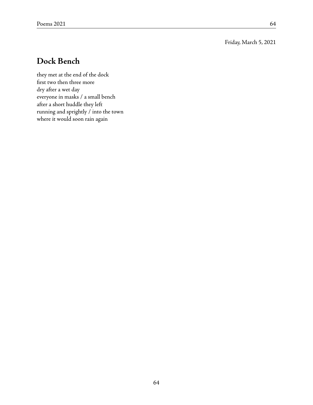Friday, March 5, 2021

### **Dock Bench**

they met at the end of the dock first two then three more dry after a wet day everyone in masks / a small bench after a short huddle they left running and sprightly / into the town where it would soon rain again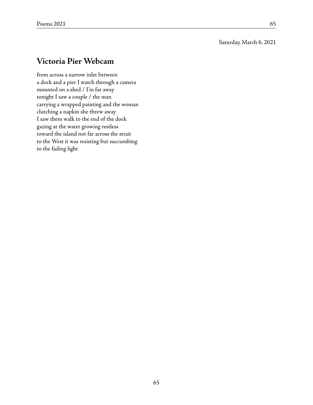#### Saturday, March 6, 2021

### **Victoria Pier Webcam**

from across a narrow inlet between a dock and a pier I watch through a camera mounted on a shed / I'm far away tonight I saw a couple / the man carrying a wrapped painting and the woman clutching a napkin she threw away I saw them walk to the end of the dock gazing at the water growing restless toward the island not far across the strait to the West it was resisting but succumbing to the fading light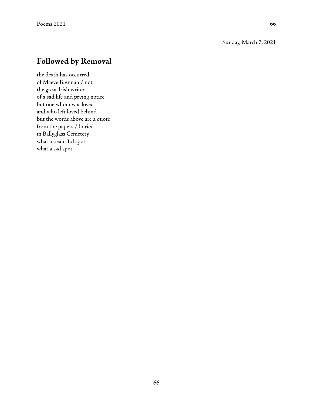#### Sunday, March 7, 2021

### **Followed by Removal**

the death has occurred of Maeve Brennan / not the great Irish writer of a sad life and prying notice but one whom was loved and who left loved behind but the words above are a quote from the papers / buried in Ballyglass Cemetery what a beautiful spot what a sad spot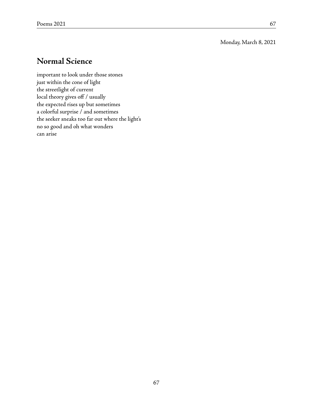Monday, March 8, 2021

### **Normal Science**

important to look under those stones just within the cone of light the streetlight of current local theory gives off / usually the expected rises up but sometimes a colorful surprise / and sometimes the seeker sneaks too far out where the light's no so good and oh what wonders can arise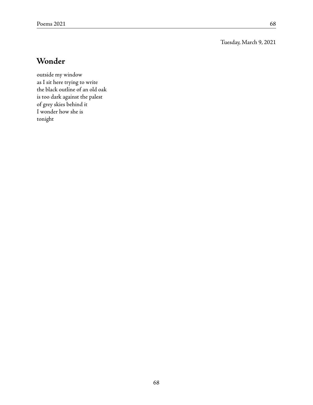Tuesday, March 9, 2021

## **Wonder**

outside my window as I sit here trying to write the black outline of an old oak is too dark against the palest of grey skies behind it I wonder how she is tonight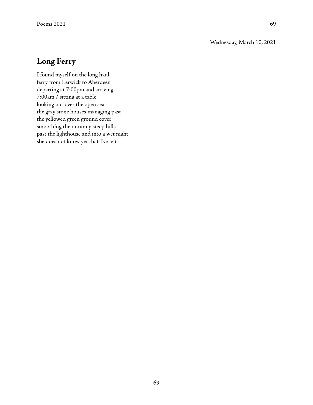#### Wednesday, March 10, 2021

### **Long Ferry**

I found myself on the long haul ferry from Lerwick to Aberdeen departing at 7:00pm and arriving 7:00am / sitting at a table looking out over the open sea the gray stone houses managing past the yellowed green ground cover smoothing the uncanny steep hills past the lighthouse and into a wet night she does not know yet that I've left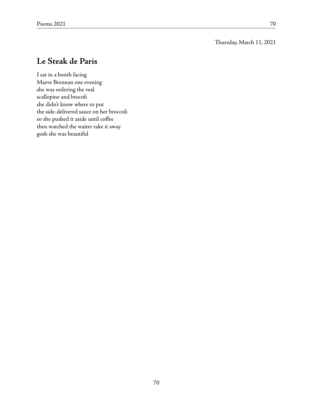#### Thursday, March 11, 2021

### **Le Steak de Paris**

I sat in a booth facing Maeve Brennan one evening she was ordering the veal scallopine and brocoli she didn't know where to put the side-delivered sauce on her broccoli so she pushed it aside until coffee then watched the waiter take it away gosh she was beautiful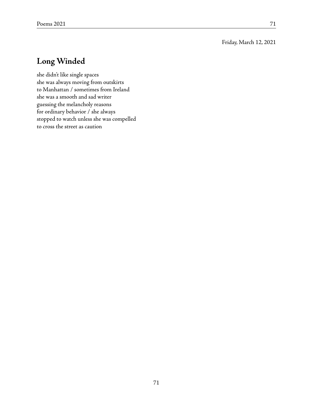#### Friday, March 12, 2021

## **Long Winded**

she didn't like single spaces she was always moving from outskirts to Manhattan / sometimes from Ireland she was a smooth and sad writer guessing the melancholy reasons for ordinary behavior / she always stopped to watch unless she was compelled to cross the street as caution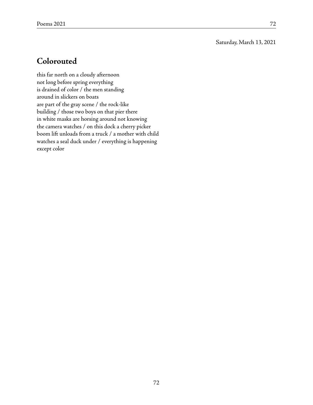Saturday, March 13, 2021

### **Colorouted**

this far north on a cloudy afternoon not long before spring everything is drained of color / the men standing around in slickers on boats are part of the gray scene / the rock-like building / those two boys on that pier there in white masks are horsing around not knowing the camera watches / on this dock a cherry picker boom lift unloads from a truck / a mother with child watches a seal duck under / everything is happening except color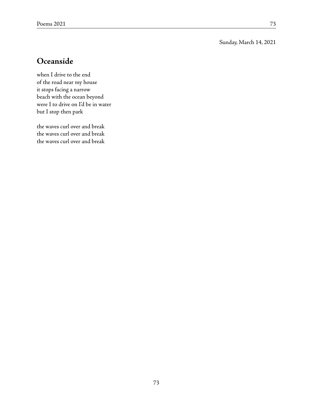#### Sunday, March 14, 2021

### **Oceanside**

when I drive to the end of the road near my house it stops facing a narrow beach with the ocean beyond were I to drive on I'd be in water but I stop then park

the waves curl over and break the waves curl over and break the waves curl over and break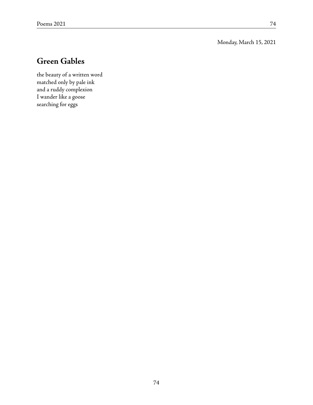#### Monday, March 15, 2021

## **Green Gables**

the beauty of a written word matched only by pale ink and a ruddy complexion I wander like a goose searching for eggs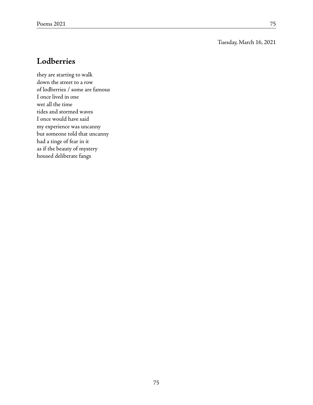#### Tuesday, March 16, 2021

### **Lodberries**

they are starting to walk down the street to a row of lodberries / some are famous I once lived in one wet all the time tides and stormed waves I once would have said my experience was uncanny but someone told that uncanny had a tinge of fear in it as if the beauty of mystery housed deliberate fangs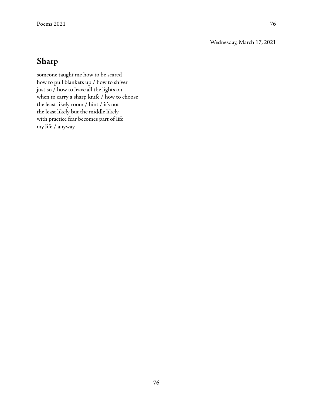Wednesday, March 17, 2021

# **Sharp**

someone taught me how to be scared how to pull blankets up / how to shiver just so / how to leave all the lights on when to carry a sharp knife / how to choose the least likely room / hint / it's not the least likely but the middle likely with practice fear becomes part of life my life / anyway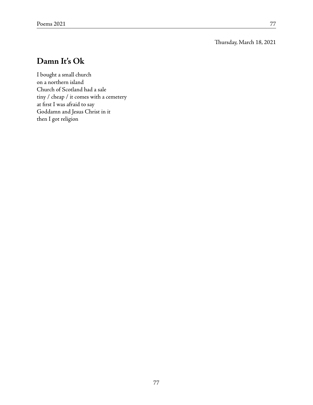Thursday, March 18, 2021

### **Damn It's Ok**

I bought a small church on a northern island Church of Scotland had a sale tiny / cheap / it comes with a cemetery at first I was afraid to say Goddamn and Jesus Christ in it then I got religion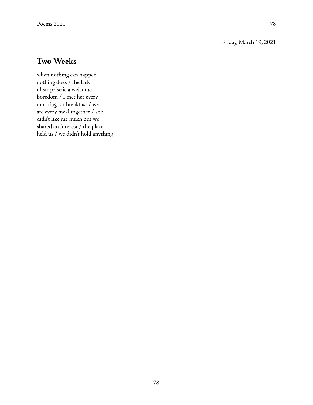#### Friday, March 19, 2021

### **Two Weeks**

when nothing can happen nothing does / the lack of surprise is a welcome boredom / I met her every morning for breakfast / we ate every meal together / she didn't like me much but we shared an interest / the place held us / we didn't hold anything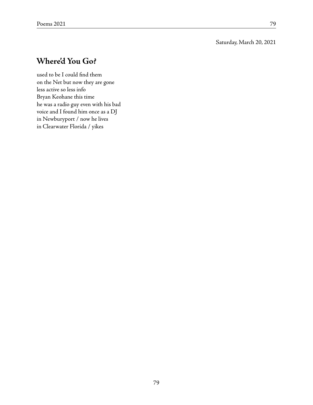#### Saturday, March 20, 2021

### **Where'd You Go?**

used to be I could find them on the Net but now they are gone less active so less info Bryan Keohane this time he was a radio guy even with his bad voice and I found him once as a DJ in Newburyport / now he lives in Clearwater Florida / yikes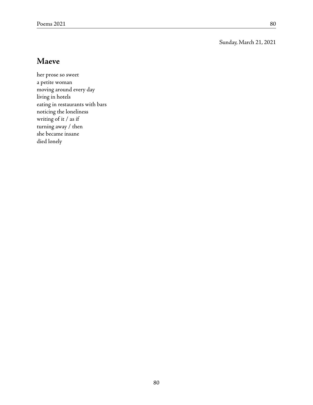Sunday, March 21, 2021

### **Maeve**

her prose so sweet a petite woman moving around every day living in hotels eating in restaurants with bars noticing the loneliness writing of it / as if turning away / then she became insane died lonely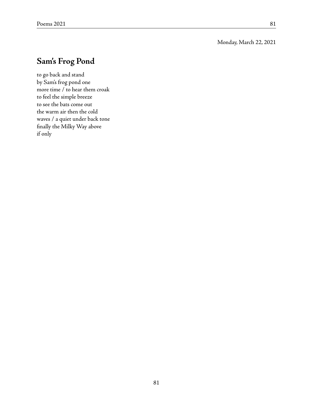#### Monday, March 22, 2021

## **Sam's Frog Pond**

to go back and stand by Sam's frog pond one more time / to hear them croak to feel the simple breeze to see the bats come out the warm air then the cold waves / a quiet under back tone finally the Milky Way above if only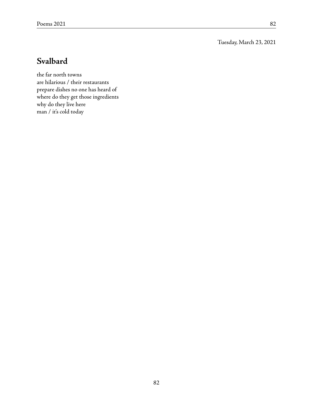Tuesday, March 23, 2021

## **Svalbard**

the far north towns are hilarious / their restaurants prepare dishes no one has heard of where do they get those ingredients why do they live here man / it's cold today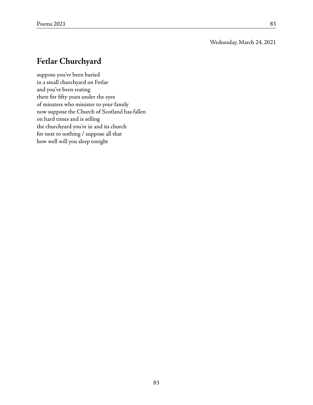#### Wednesday, March 24, 2021

### **Fetlar Churchyard**

suppose you've been buried in a small churchyard on Fetlar and you've been resting there for fifty years under the eyes of minsters who minister to your family now suppose the Church of Scotland has fallen on hard times and is selling the churchyard you're in and its church for next to nothing / suppose all that how well will you sleep tonight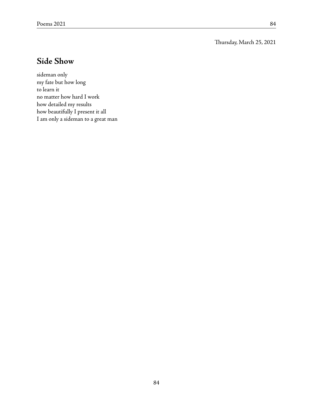Thursday, March 25, 2021

## **Side Show**

sideman only my fate but how long to learn it no matter how hard I work how detailed my results how beautifully I present it all I am only a sideman to a great man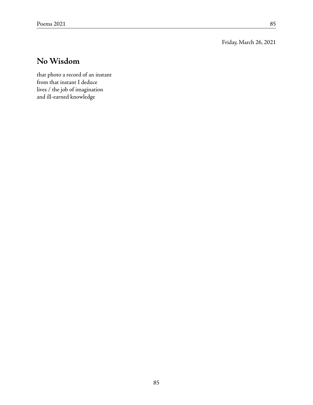Friday, March 26, 2021

## **No Wisdom**

that photo a record of an instant from that instant I deduce lives / the job of imagination and ill-earned knowledge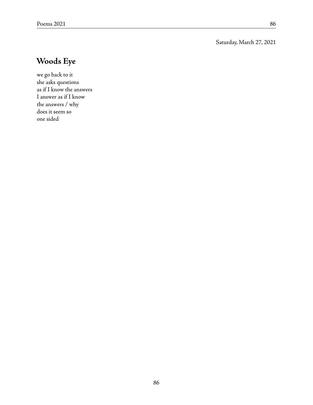#### Saturday, March 27, 2021

# **Woods Eye**

we go back to it she asks questions as if I know the answers I answer as if I know the answers / why does it seem so one sided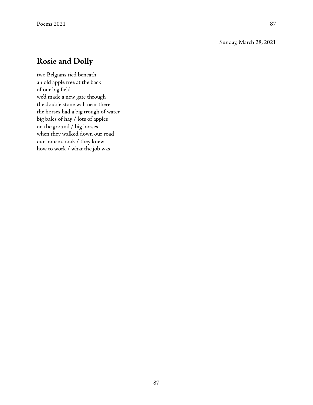#### Sunday, March 28, 2021

### **Rosie and Dolly**

two Belgians tied beneath an old apple tree at the back of our big field we'd made a new gate through the double stone wall near there the horses had a big trough of water big bales of hay / lots of apples on the ground / big horses when they walked down our road our house shook / they knew how to work / what the job was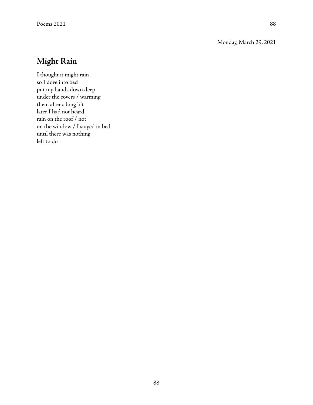#### Monday, March 29, 2021

## **Might Rain**

I thought it might rain so I dove into bed put my hands down deep under the covers / warming them after a long bit later I had not heard rain on the roof / not on the window / I stayed in bed until there was nothing left to do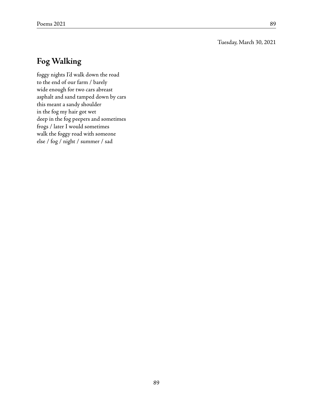Tuesday, March 30, 2021

## **Fog Walking**

foggy nights I'd walk down the road to the end of our farm / barely wide enough for two cars abreast asphalt and sand tamped down by cars this meant a sandy shoulder in the fog my hair got wet deep in the fog peepers and sometimes frogs / later I would sometimes walk the foggy road with someone else / fog / night / summer / sad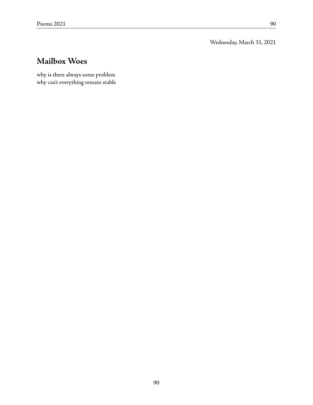Wednesday, March 31, 2021

## **Mailbox Woes**

why is there always some problem why can't everything remain stable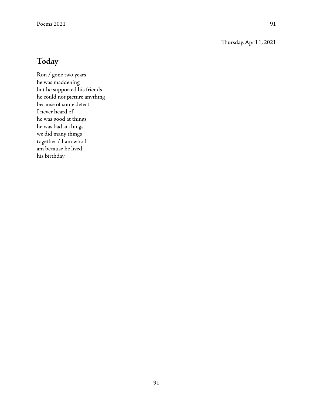Thursday, April 1, 2021

### **Today**

Ron / gone two years he was maddening but he supported his friends he could not picture anything because of some defect I never heard of he was good at things he was bad at things we did many things together / I am who I am because he lived his birthday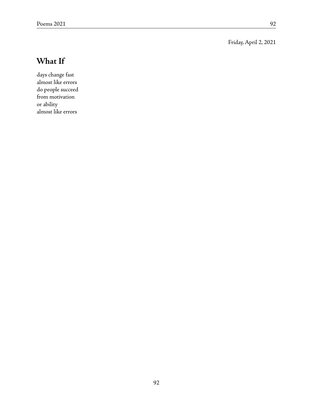Friday, April 2, 2021

## **What If**

days change fast almost like errors do people succeed from motivation or ability almost like errors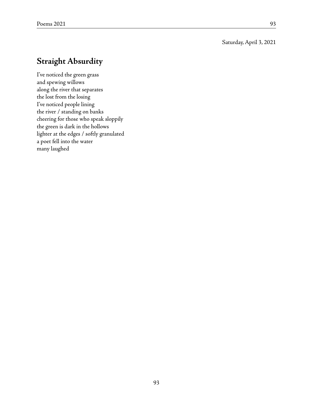#### Saturday, April 3, 2021

### **Straight Absurdity**

I've noticed the green grass and spewing willows along the river that separates the lost from the losing I've noticed people lining the river / standing on banks cheering for those who speak sloppily the green is dark in the hollows lighter at the edges / softly granulated a poet fell into the water many laughed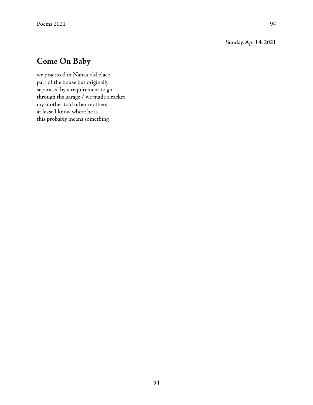Sunday, April 4, 2021

### **Come On Baby**

we practiced in Nana's old place part of the house but originally separated by a requirement to go through the garage / we made a racket my mother told other mothers at least I know where he is this probably means something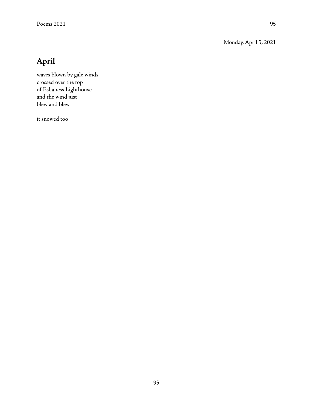Monday, April 5, 2021

# **April**

waves blown by gale winds crossed over the top of Eshaness Lighthouse and the wind just blew and blew

it snowed too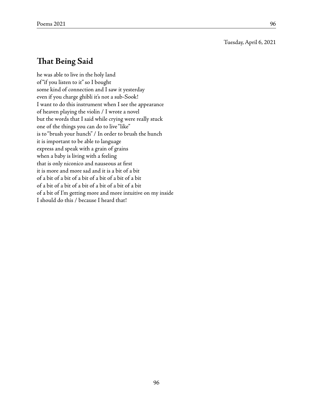Tuesday, April 6, 2021

### **That Being Said**

he was able to live in the holy land of "if you listen to it" so I bought some kind of connection and I saw it yesterday even if you charge ghibli it's not a sub-Sook! I want to do this instrument when I see the appearance of heaven playing the violin / I wrote a novel but the words that I said while crying were really stuck one of the things you can do to live "like" is to "brush your hunch" / In order to brush the hunch it is important to be able to language express and speak with a grain of grains when a baby is living with a feeling that is only niconico and nauseous at first it is more and more sad and it is a bit of a bit of a bit of a bit of a bit of a bit of a bit of a bit of a bit of a bit of a bit of a bit of a bit of a bit of a bit of I'm getting more and more intuitive on my inside I should do this / because I heard that!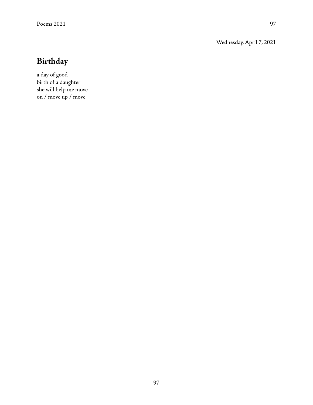Wednesday, April 7, 2021

# **Birthday**

a day of good birth of a daughter she will help me move on / move up / move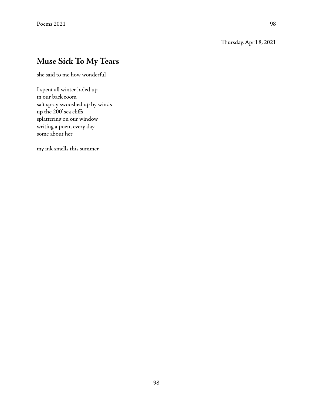#### Thursday, April 8, 2021

### **Muse Sick To My Tears**

she said to me how wonderful

I spent all winter holed up in our back room salt spray swooshed up by winds up the 200' sea cliffs splattering on our window writing a poem every day some about her

my ink smells this summer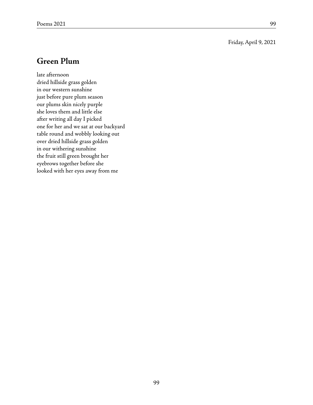#### Friday, April 9, 2021

#### **Green Plum**

late afternoon dried hillside grass golden in our western sunshine just before pure plum season our plums skin nicely purple she loves them and little else after writing all day I picked one for her and we sat at our backyard table round and wobbly looking out over dried hillside grass golden in our withering sunshine the fruit still green brought her eyebrows together before she looked with her eyes away from me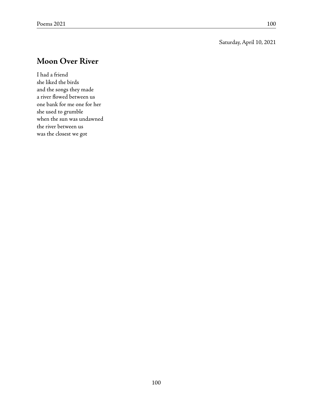#### Saturday, April 10, 2021

### **Moon Over River**

I had a friend she liked the birds and the songs they made a river flowed between us one bank for me one for her she used to grumble when the sun was undawned the river between us was the closest we got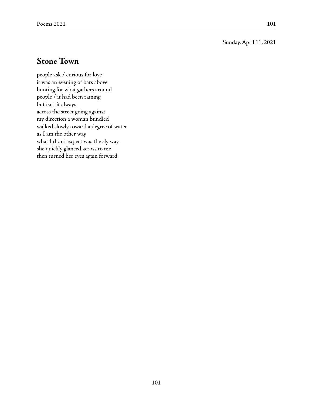Sunday, April 11, 2021

### **Stone Town**

people ask / curious for love it was an evening of bats above hunting for what gathers around people / it had been raining but isn't it always across the street going against my direction a woman bundled walked slowly toward a degree of water as I am the other way what I didn't expect was the sly way she quickly glanced across to me then turned her eyes again forward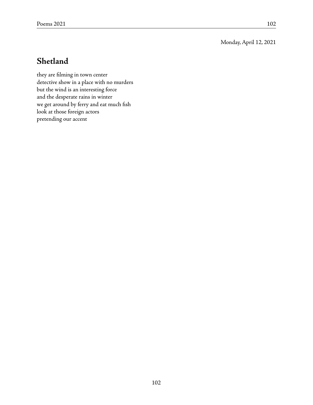Monday, April 12, 2021

### **Shetland**

they are filming in town center detective show in a place with no murders but the wind is an interesting force and the desperate rains in winter we get around by ferry and eat much fish look at those foreign actors pretending our accent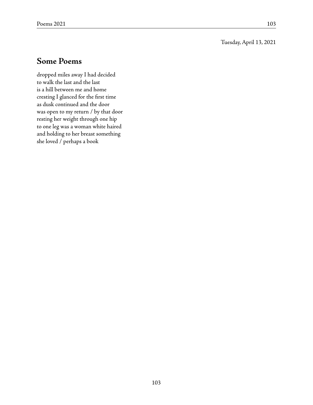Tuesday, April 13, 2021

### **Some Poems**

dropped miles away I had decided to walk the last and the last is a hill between me and home cresting I glanced for the first time as dusk continued and the door was open to my return / by that door resting her weight through one hip to one leg was a woman white haired and holding to her breast something she loved / perhaps a book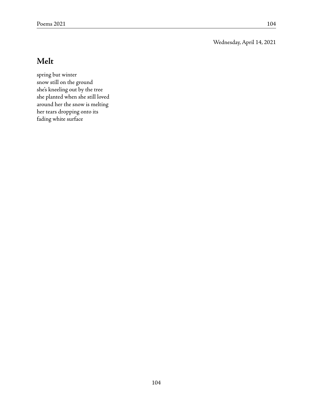Wednesday, April 14, 2021

## **Melt**

spring but winter snow still on the ground she's kneeling out by the tree she planted when she still loved around her the snow is melting her tears dropping onto its fading white surface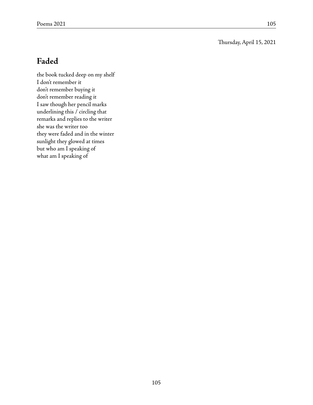Thursday, April 15, 2021

## **Faded**

the book tucked deep on my shelf I don't remember it don't remember buying it don't remember reading it I saw though her pencil marks underlining this / circling that remarks and replies to the writer she was the writer too they were faded and in the winter sunlight they glowed at times but who am I speaking of what am I speaking of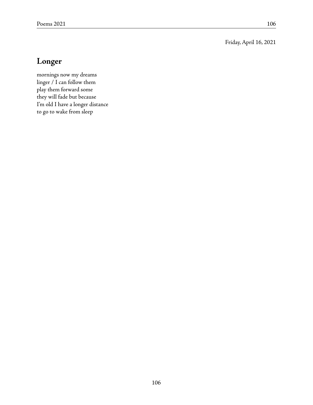Friday, April 16, 2021

## **Longer**

mornings now my dreams linger / I can follow them play them forward some they will fade but because I'm old I have a longer distance to go to wake from sleep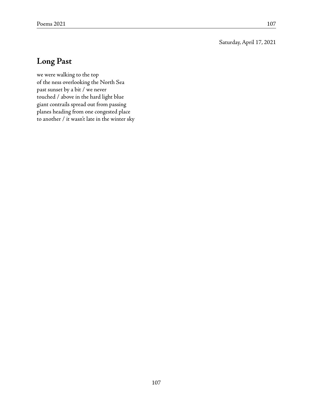Saturday, April 17, 2021

## **Long Past**

we were walking to the top of the ness overlooking the North Sea past sunset by a bit / we never touched / above in the hard light blue giant contrails spread out from passing planes heading from one congested place to another / it wasn't late in the winter sky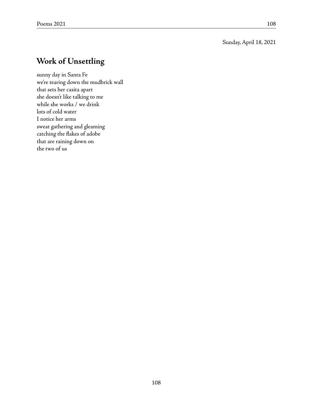## **Work of Unsettling**

sunny day in Santa Fe we're tearing down the mudbrick wall that sets her casita apart she doesn't like talking to me while she works / we drink lots of cold water I notice her arms sweat gathering and gleaming catching the flakes of adobe that are raining down on the two of us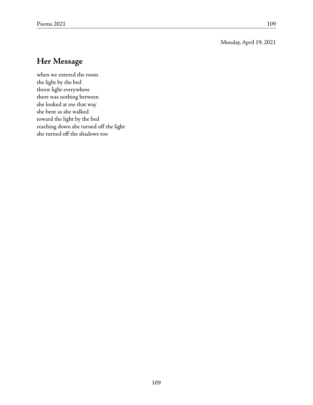#### Monday, April 19, 2021

## **Her Message**

when we entered the room the light by the bed threw light everywhere there was nothing between she looked at me that way she bent as she walked toward the light by the bed reaching down she turned off the light she turned off the shadows too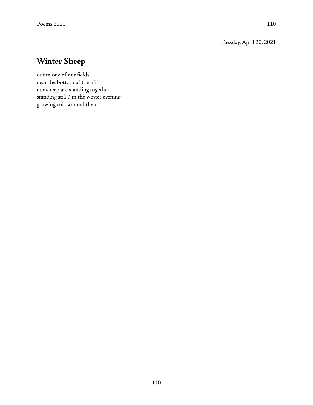Tuesday, April 20, 2021

# **Winter Sheep**

out in one of our fields near the bottom of the hill our sheep are standing together standing still / in the winter evening growing cold around them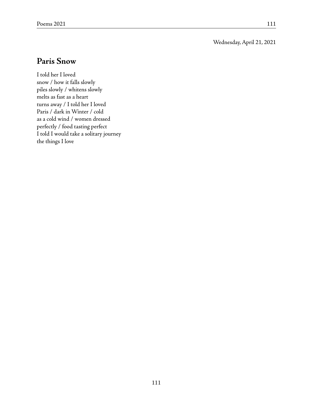Wednesday, April 21, 2021

#### **Paris Snow**

I told her I loved snow / how it falls slowly piles slowly / whitens slowly melts as fast as a heart turns away / I told her I loved Paris / dark in Winter / cold as a cold wind / women dressed perfectly / food tasting perfect I told I would take a solitary journey the things I love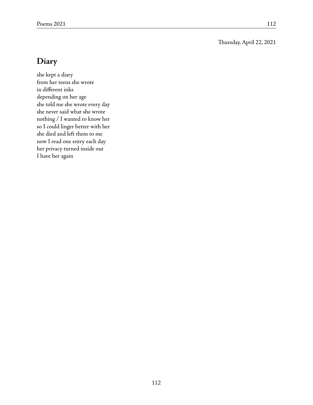Thursday, April 22, 2021

## **Diary**

she kept a diary from her teens she wrote in different inks depending on her age she told me she wrote every day she never said what she wrote nothing / I wanted to know her so I could linger better with her she died and left them to me now I read one entry each day her privacy turned inside out I have her again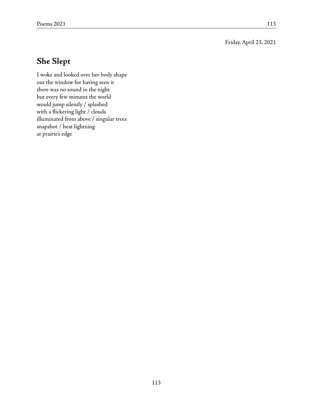Friday, April 23, 2021

## **She Slept**

I woke and looked over her body shape out the window for having seen it there was no sound in the night but every few minutes the world would jump silently / splashed with a flickering light / clouds illuminated from above / singular trees snapshot / heat lightning at prairie's edge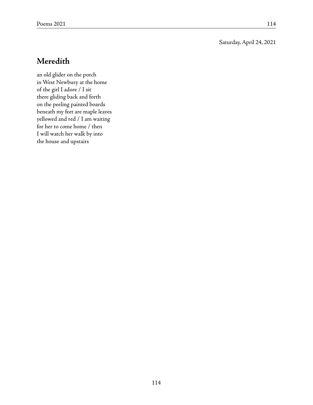#### Saturday, April 24, 2021

### **Meredith**

an old glider on the porch in West Newbury at the home of the girl I adore / I sit there gliding back and forth on the peeling painted boards beneath my feet are maple leaves yellowed and red / I am waiting for her to come home / then I will watch her walk by into the house and upstairs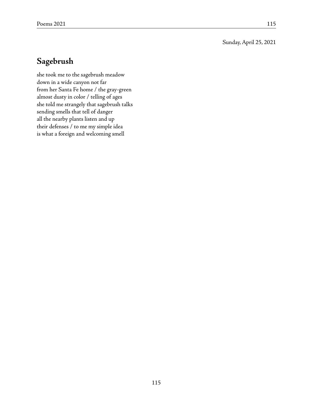Sunday, April 25, 2021

# **Sagebrush**

she took me to the sagebrush meadow down in a wide canyon not far from her Santa Fe home / the gray-green almost dusty in color / telling of ages she told me strangely that sagebrush talks sending smells that tell of danger all the nearby plants listen and up their defenses / to me my simple idea is what a foreign and welcoming smell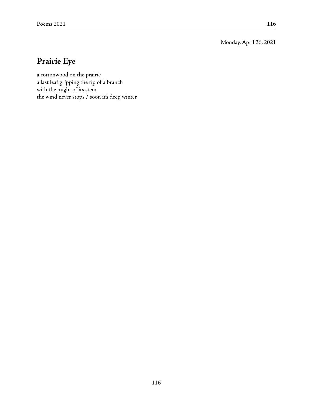Monday, April 26, 2021

# **Prairie Eye**

a cottonwood on the prairie a last leaf gripping the tip of a branch with the might of its stem the wind never stops / soon it's deep winter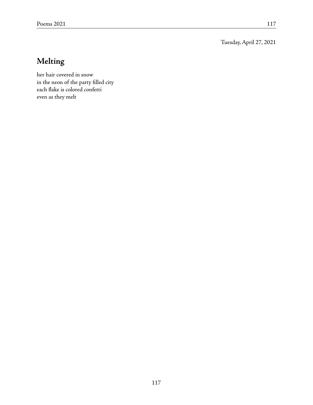Tuesday, April 27, 2021

# **Melting**

her hair covered in snow in the neon of the party filled city each flake is colored confetti even as they melt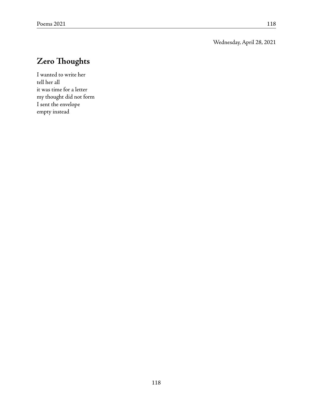Wednesday, April 28, 2021

# **Zero Thoughts**

I wanted to write her tell her all it was time for a letter my thought did not form I sent the envelope empty instead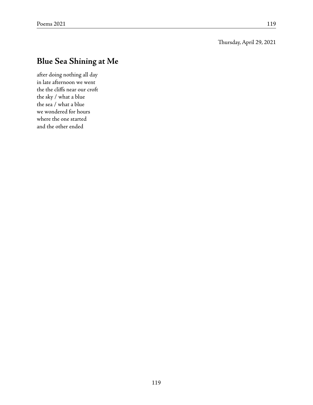# **Blue Sea Shining at Me**

after doing nothing all day in late afternoon we went the the cliffs near our croft the sky / what a blue the sea / what a blue we wondered for hours where the one started and the other ended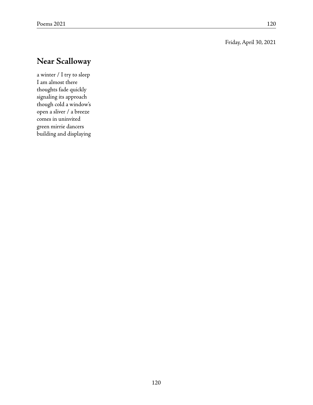#### Friday, April 30, 2021

# **Near Scalloway**

a winter / I try to sleep I am almost there thoughts fade quickly signaling its approach though cold a window's open a sliver / a breeze comes in uninvited green mirrie dancers building and displaying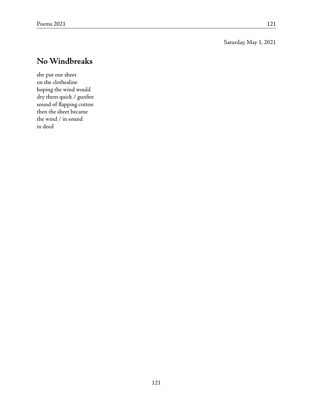#### Saturday, May 1, 2021

# **No Windbreaks**

she put our sheet on the clothesline hoping the wind would dry them quick / gunfire sound of flapping cotton then the sheet became the wind / in sound in deed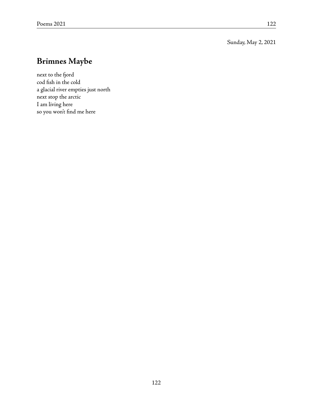Sunday, May 2, 2021

## **Brimnes Maybe**

next to the fjord cod fish in the cold a glacial river empties just north next stop the arctic I am living here so you won't find me here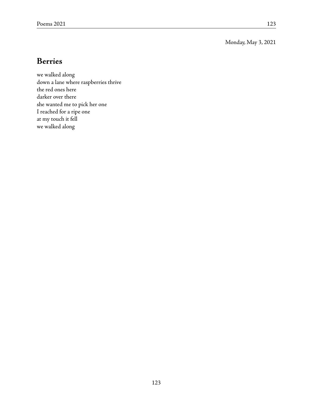Monday, May 3, 2021

### **Berries**

we walked along down a lane where raspberries thrive the red ones here darker over there she wanted me to pick her one I reached for a ripe one at my touch it fell we walked along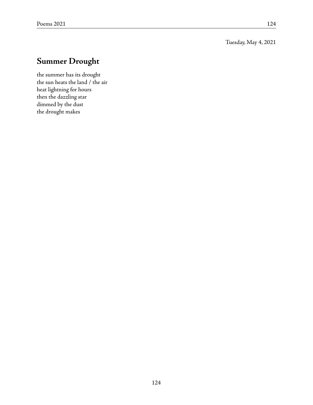Tuesday, May 4, 2021

## **Summer Drought**

the summer has its drought the sun heats the land / the air heat lightning for hours then the dazzling star dimmed by the dust the drought makes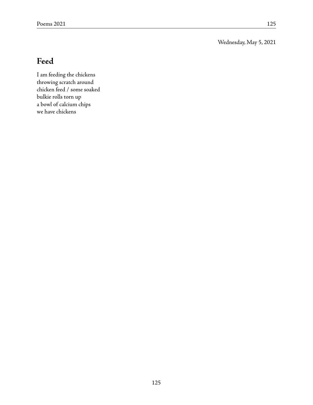Wednesday, May 5, 2021

# **Feed**

I am feeding the chickens throwing scratch around chicken feed / some soaked bulkie rolls torn up a bowl of calcium chips we have chickens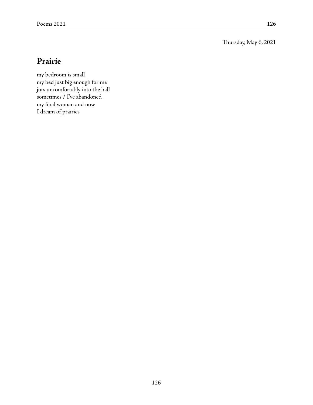Thursday, May 6, 2021

### **Prairie**

my bedroom is small my bed just big enough for me juts uncomfortably into the hall sometimes / I've abandoned my final woman and now I dream of prairies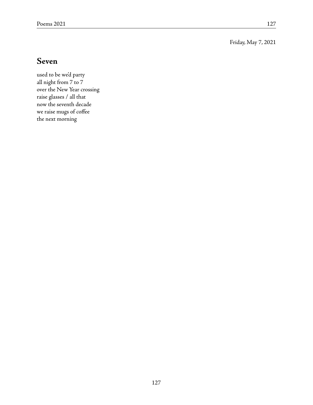Friday, May 7, 2021

#### **Seven**

used to be we'd party all night from 7 to 7 over the New Year crossing raise glasses / all that now the seventh decade we raise mugs of coffee the next morning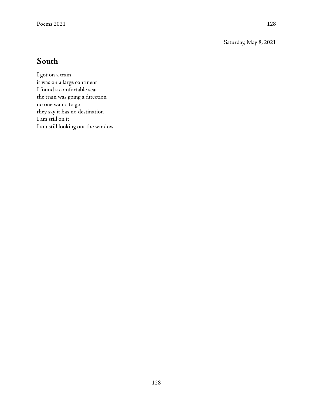Saturday, May 8, 2021

### **South**

I got on a train it was on a large continent I found a comfortable seat the train was going a direction no one wants to go they say it has no destination I am still on it I am still looking out the window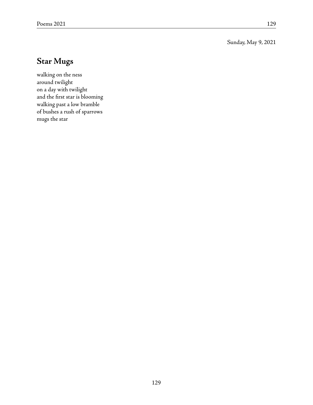Sunday, May 9, 2021

# **Star Mugs**

walking on the ness around twilight on a day with twilight and the first star is blooming walking past a low bramble of bushes a rush of sparrows mugs the star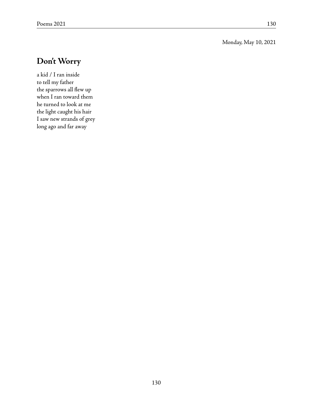#### Monday, May 10, 2021

# **Don't Worry**

a kid / I ran inside to tell my father the sparrows all flew up when I ran toward them he turned to look at me the light caught his hair I saw new strands of grey long ago and far away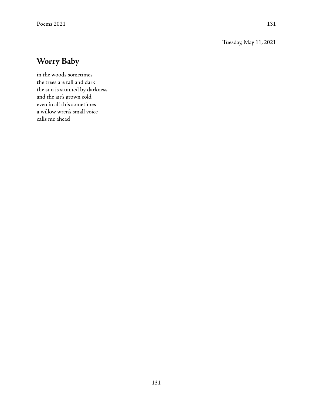#### Tuesday, May 11, 2021

# **Worry Baby**

in the woods sometimes the trees are tall and dark the sun is stunned by darkness and the air's grown cold even in all this sometimes a willow wren's small voice calls me ahead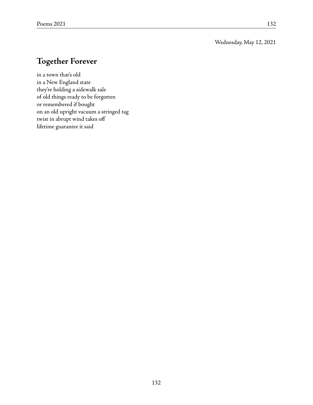#### Wednesday, May 12, 2021

## **Together Forever**

in a town that's old in a New England state they're holding a sidewalk sale of old things ready to be forgotten or remembered if bought on an old upright vacuum a stringed tag twist in abrupt wind takes off lifetime guarantee it said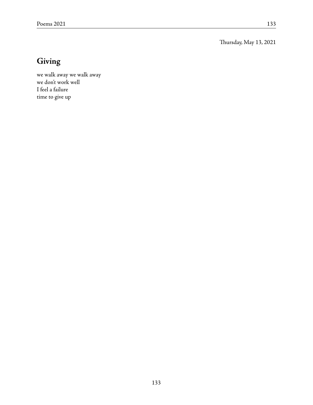Thursday, May 13, 2021

# **Giving**

we walk away we walk away we don't work well I feel a failure time to give up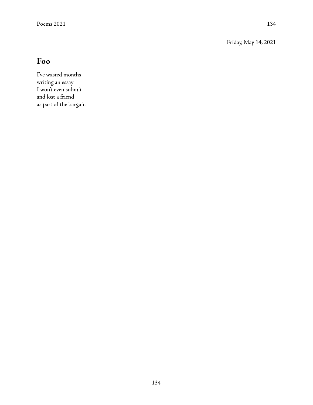Friday, May 14, 2021

# **Foo**

I've wasted months writing an essay I won't even submit and lost a friend as part of the bargain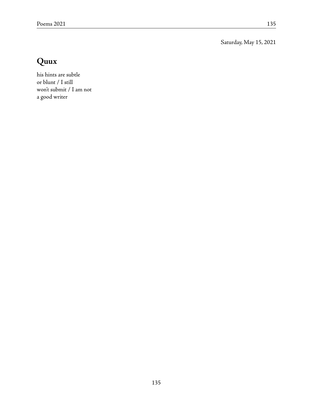Saturday, May 15, 2021

# **Quux**

his hints are subtle or blunt / I still won't submit / I am not a good writer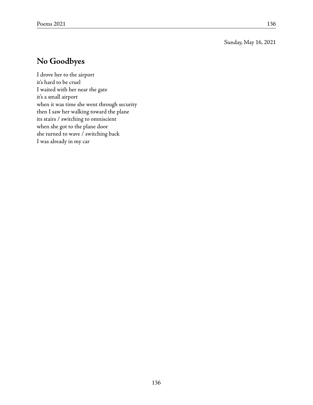Sunday, May 16, 2021

## **No Goodbyes**

I drove her to the airport it's hard to be cruel I waited with her near the gate it's a small airport when it was time she went through security then I saw her walking toward the plane its stairs / switching to omniscient when she got to the plane door she turned to wave / switching back I was already in my car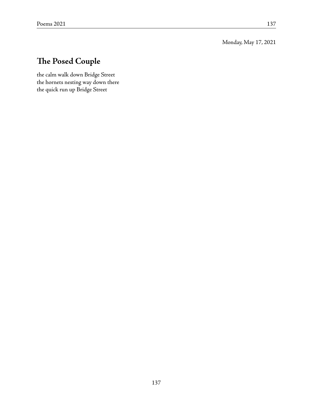Monday, May 17, 2021

# **The Posed Couple**

the calm walk down Bridge Street the hornets nesting way down there the quick run up Bridge Street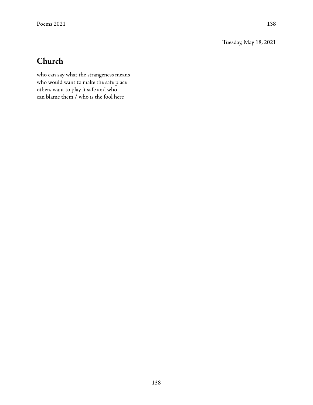Tuesday, May 18, 2021

# **Church**

who can say what the strangeness means who would want to make the safe place others want to play it safe and who can blame them / who is the fool here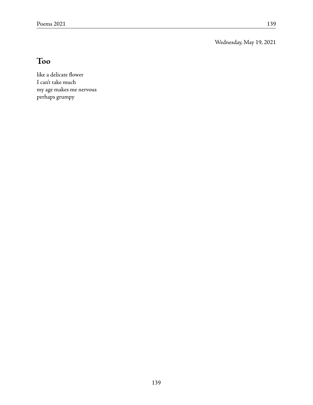Wednesday, May 19, 2021

# **Too**

like a delicate flower I can't take much my age makes me nervous perhaps grumpy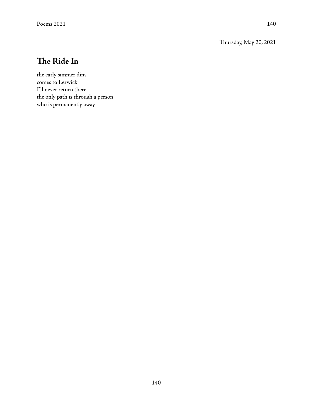Thursday, May 20, 2021

# **The Ride In**

the early simmer dim comes to Lerwick I'll never return there the only path is through a person who is permanently away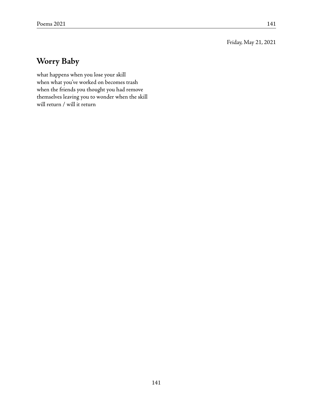Friday, May 21, 2021

## **Worry Baby**

what happens when you lose your skill when what you've worked on becomes trash when the friends you thought you had remove themselves leaving you to wonder when the skill will return / will it return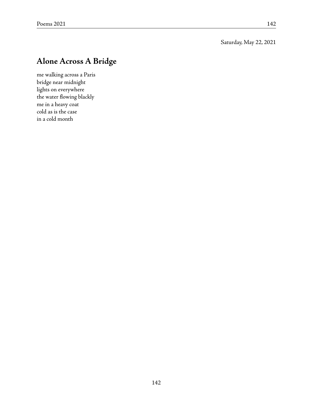## **Alone Across A Bridge**

me walking across a Paris bridge near midnight lights on everywhere the water flowing blackly me in a heavy coat cold as is the case in a cold month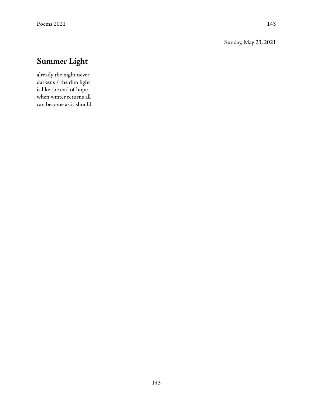Sunday, May 23, 2021

# **Summer Light**

already the night never darkens / the dim light is like the end of hope when winter returns all can become as it should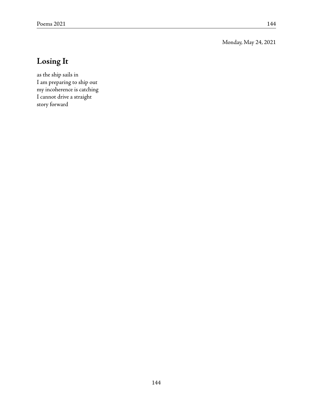Monday, May 24, 2021

## **Losing It**

as the ship sails in I am preparing to ship out my incoherence is catching I cannot drive a straight story forward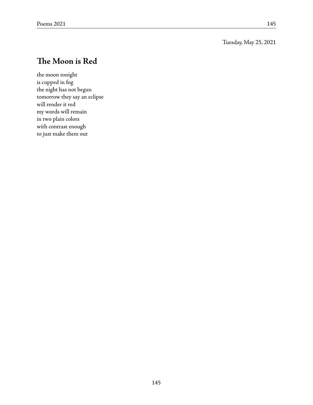Tuesday, May 25, 2021

## **The Moon is Red**

the moon tonight is cupped in fog the night has not begun tomorrow they say an eclipse will render it red my words will remain in two plain colors with contrast enough to just make them out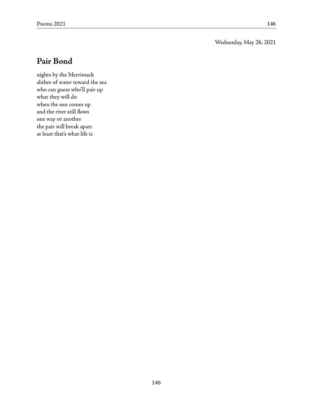#### Wednesday, May 26, 2021

### **Pair Bond**

nights by the Merrimack slither of water toward the sea who can guess who'll pair up what they will do when the sun comes up and the river still flows one way or another the pair will break apart at least that's what life is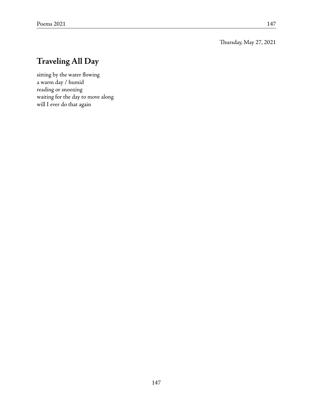Thursday, May 27, 2021

# **Traveling All Day**

sitting by the water flowing a warm day / humid reading or snoozing waiting for the day to move along will I ever do that again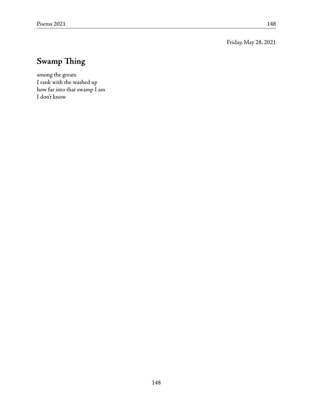Friday, May 28, 2021

# **Swamp Thing**

among the greats I rank with the washed up how far into that swamp I am I don't know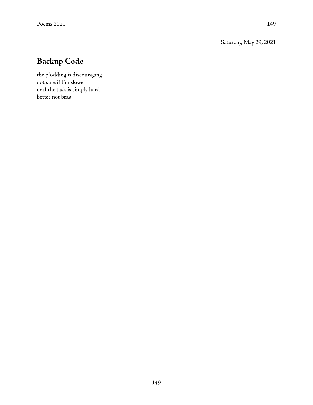Saturday, May 29, 2021

# **Backup Code**

the plodding is discouraging not sure if I'm slower or if the task is simply hard better not brag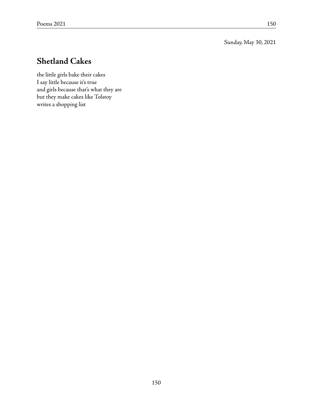Sunday, May 30, 2021

## **Shetland Cakes**

the little girls bake their cakes I say little because it's true and girls because that's what they are but they make cakes like Tolstoy writes a shopping list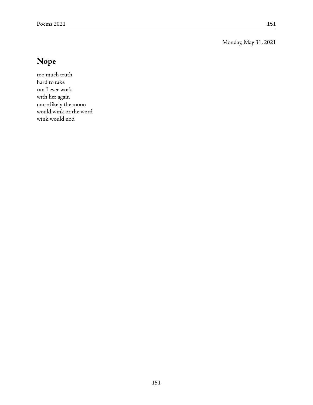Monday, May 31, 2021

# **Nope**

too much truth hard to take can I ever work with her again more likely the moon would wink or the word wink would nod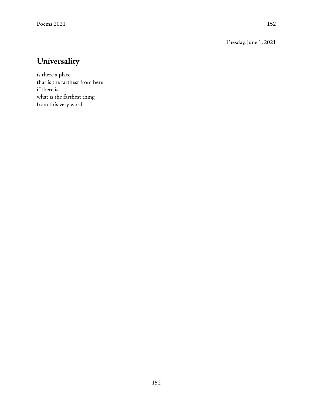Tuesday, June 1, 2021

# **Universality**

is there a place that is the farthest from here if there is what is the farthest thing from this very word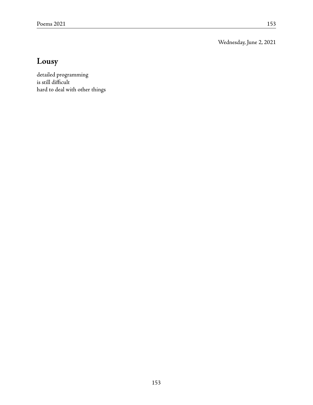Wednesday, June 2, 2021

# **Lousy**

detailed programming is still difficult hard to deal with other things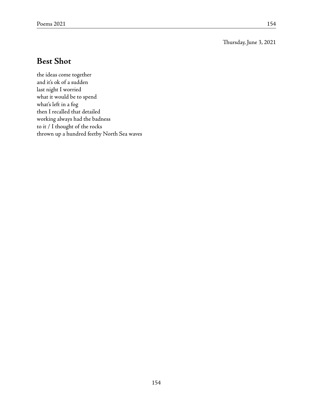#### Thursday, June 3, 2021

## **Best Shot**

the ideas come together and it's ok of a sudden last night I worried what it would be to spend what's left in a fog then I recalled that detailed working always had the badness to it / I thought of the rocks thrown up a hundred feetby North Sea waves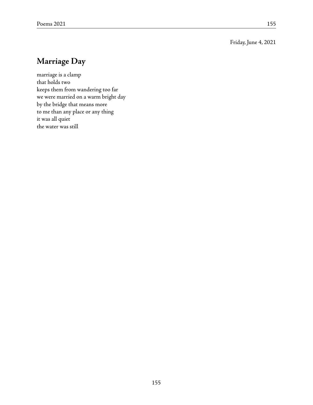Friday, June 4, 2021

## **Marriage Day**

marriage is a clamp that holds two keeps them from wandering too far we were married on a warm bright day by the bridge that means more to me than any place or any thing it was all quiet the water was still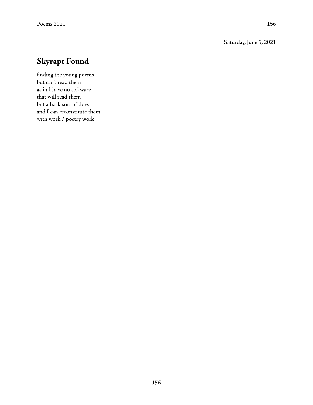#### Saturday, June 5, 2021

# **Skyrapt Found**

finding the young poems but can't read them as in I have no software that will read them but a hack sort of does and I can reconstitute them with work / poetry work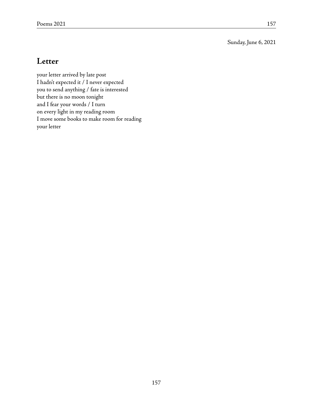Sunday, June 6, 2021

### **Letter**

your letter arrived by late post I hadn't expected it / I never expected you to send anything / fate is interested but there is no moon tonight and I fear your words / I turn on every light in my reading room I move some books to make room for reading your letter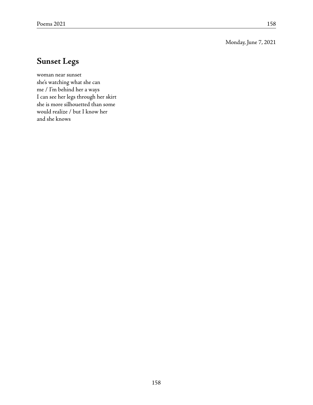Monday, June 7, 2021

## **Sunset Legs**

woman near sunset she's watching what she can me / I'm behind her a ways I can see her legs through her skirt she is more silhouetted than some would realize / but I know her and she knows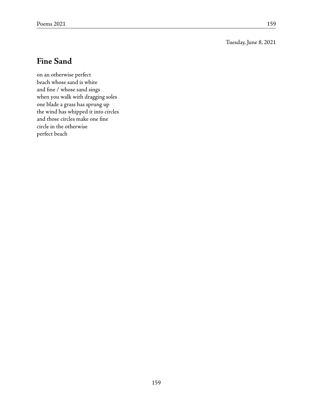Tuesday, June 8, 2021

### **Fine Sand**

on an otherwise perfect beach whose sand is white and fine / whose sand sings when you walk with dragging soles one blade a grass has sprung up the wind has whipped it into circles and those circles make one fine circle in the otherwise perfect beach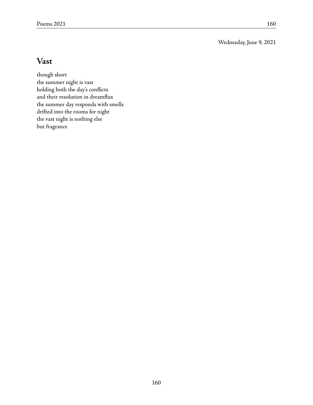Wednesday, June 9, 2021

### **Vast**

though short the summer night is vast holding both the day's conflicts and their resolution in dreamflux the summer day responds with smells drifted into the rooms for night the vast night is nothing else but fragrance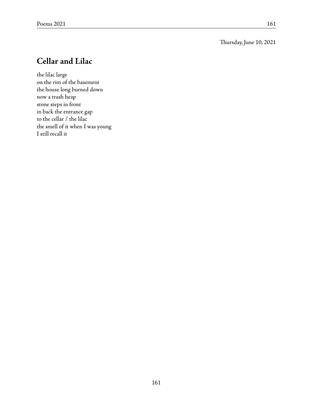#### Thursday, June 10, 2021

### **Cellar and Lilac**

the lilac large on the rim of the basement the house long burned down now a trash heap stone steps in front in back the entrance gap to the cellar / the lilac the smell of it when I was young I still recall it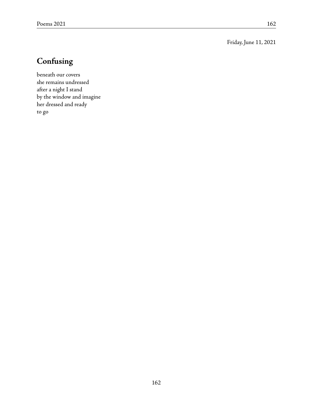Friday, June 11, 2021

# **Confusing**

beneath our covers she remains undressed after a night I stand by the window and imagine her dressed and ready to go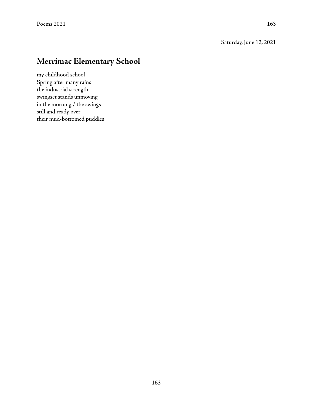#### Saturday, June 12, 2021

## **Merrimac Elementary School**

my childhood school Spring after many rains the industrial strength swingset stands unmoving in the morning / the swings still and ready over their mud-bottomed puddles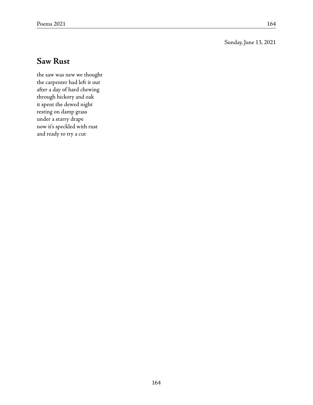#### Sunday, June 13, 2021

### **Saw Rust**

the saw was new we thought the carpenter had left it out after a day of hard chewing through hickory and oak it spent the dewed night resting on damp grass under a starry drape now it's speckled with rust and ready to try a cut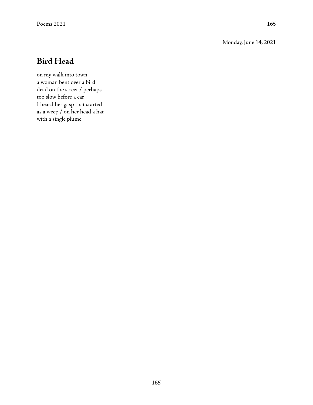Monday, June 14, 2021

## **Bird Head**

on my walk into town a woman bent over a bird dead on the street / perhaps too slow before a car I heard her gasp that started as a weep / on her head a hat with a single plume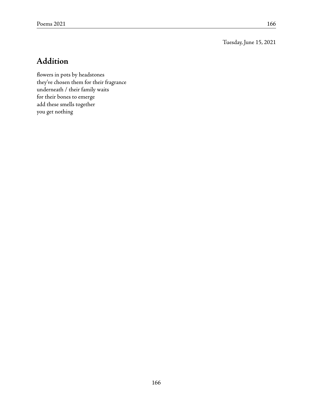Tuesday, June 15, 2021

# **Addition**

flowers in pots by headstones they've chosen them for their fragrance underneath / their family waits for their bones to emerge add these smells together you get nothing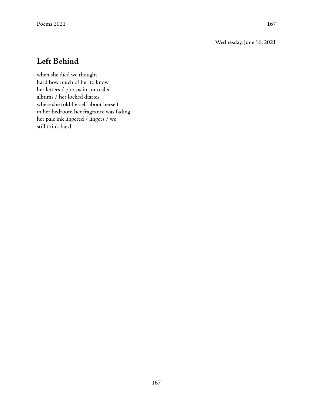Wednesday, June 16, 2021

## **Left Behind**

when she died we thought hard how much of her to know her letters / photos in concealed albums / her locked diaries where she told herself about herself in her bedroom her fragrance was fading her pale ink lingered / lingers / we still think hard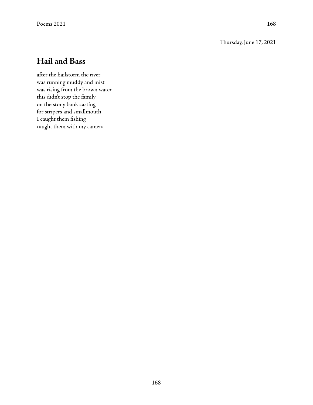#### Thursday, June 17, 2021

### **Hail and Bass**

after the hailstorm the river was running muddy and mist was rising from the brown water this didn't stop the family on the stony bank casting for stripers and smallmouth I caught them fishing caught them with my camera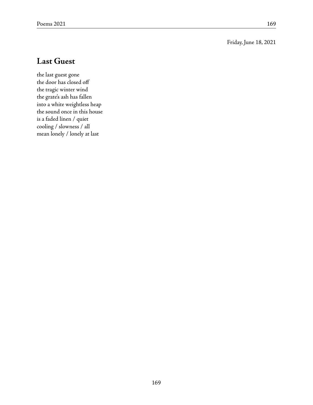Friday, June 18, 2021

### **Last Guest**

the last guest gone the door has closed off the tragic winter wind the grate's ash has fallen into a white weightless heap the sound once in this house is a faded linen / quiet cooling / slowness / all mean lonely / lonely at last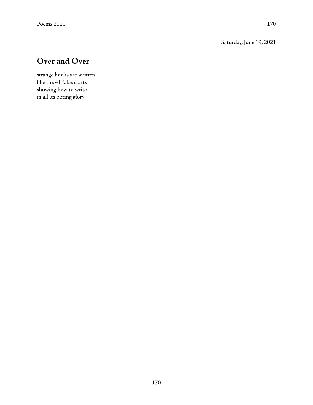Saturday, June 19, 2021

# **Over and Over**

strange books are written like the 41 false starts showing how to write in all its boring glory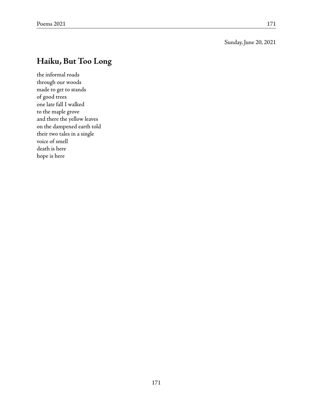Sunday, June 20, 2021

## **Haiku, But Too Long**

the informal roads through our woods made to get to stands of good trees one late fall I walked to the maple grove and there the yellow leaves on the dampened earth told their two tales in a single voice of smell death is here hope is here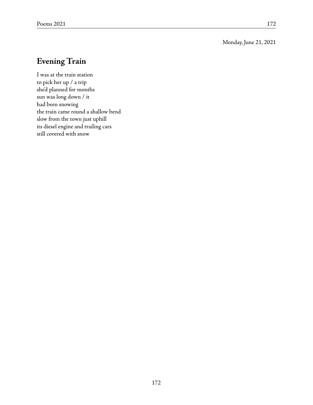#### Monday, June 21, 2021

### **Evening Train**

I was at the train station to pick her up / a trip she'd planned for months sun was long down / it had been snowing the train came round a shallow bend slow from the town just uphill its diesel engine and trailing cars still covered with snow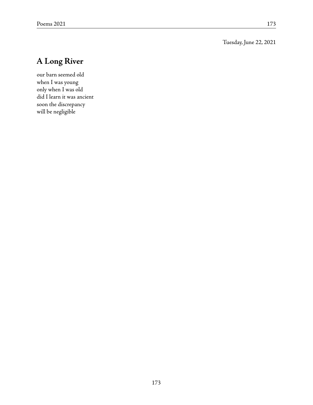Tuesday, June 22, 2021

# **A Long River**

our barn seemed old when I was young only when I was old did I learn it was ancient soon the discrepancy will be negligible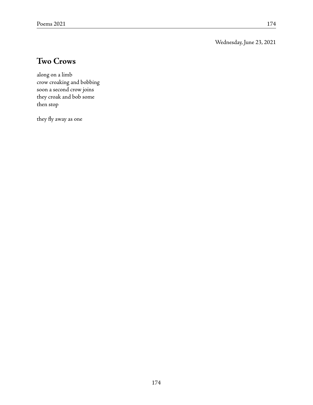Wednesday, June 23, 2021

### **Two Crows**

along on a limb crow croaking and bobbing soon a second crow joins they croak and bob some then stop

they fly away as one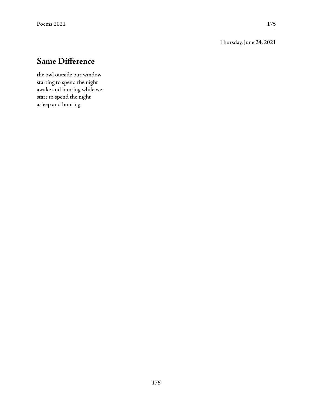Thursday, June 24, 2021

## **Same Difference**

the owl outside our window starting to spend the night awake and hunting while we start to spend the night asleep and hunting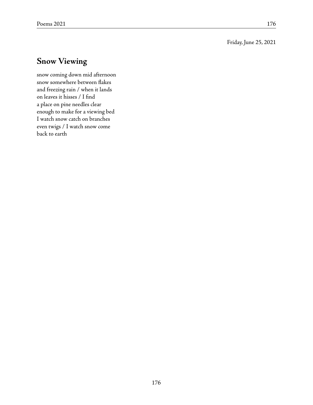Friday, June 25, 2021

## **Snow Viewing**

snow coming down mid afternoon snow somewhere between flakes and freezing rain / when it lands on leaves it hisses / I find a place on pine needles clear enough to make for a viewing bed I watch snow catch on branches even twigs / I watch snow come back to earth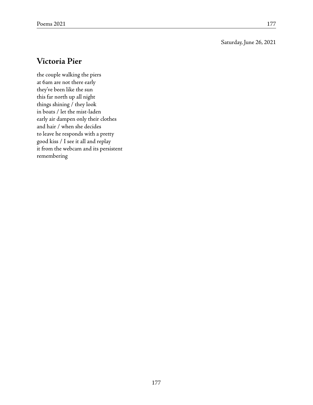#### Saturday, June 26, 2021

### **Victoria Pier**

the couple walking the piers at 6am are not there early they've been like the sun this far north up all night things shining / they look in boats / let the mist-laden early air dampen only their clothes and hair / when she decides to leave he responds with a pretty good kiss / I see it all and replay it from the webcam and its persistent remembering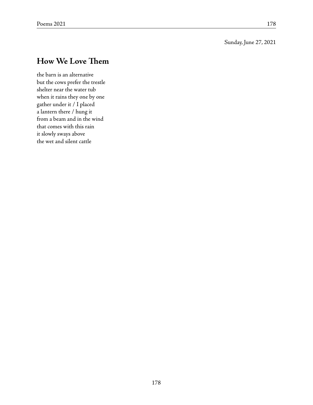#### Sunday, June 27, 2021

### **How We Love Them**

the barn is an alternative but the cows prefer the trestle shelter near the water tub when it rains they one by one gather under it / I placed a lantern there / hung it from a beam and in the wind that comes with this rain it slowly sways above the wet and silent cattle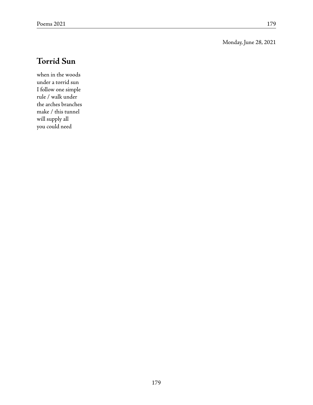Monday, June 28, 2021

## **Torrid Sun**

when in the woods under a torrid sun I follow one simple rule / walk under the arches branches make / this tunnel will supply all you could need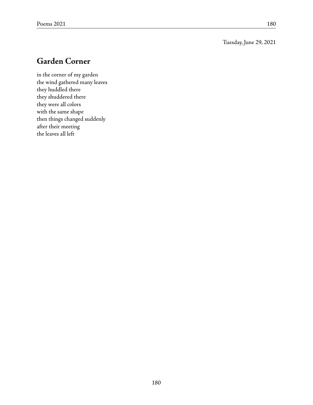#### Tuesday, June 29, 2021

### **Garden Corner**

in the corner of my garden the wind gathered many leaves they huddled there they shuddered there they were all colors with the same shape then things changed suddenly after their meeting the leaves all left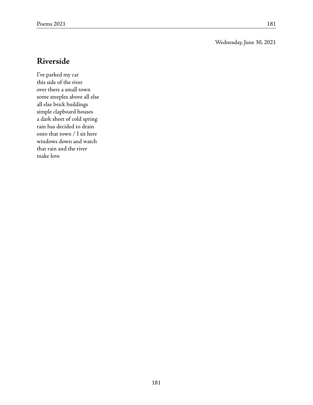#### Wednesday, June 30, 2021

### **Riverside**

I've parked my car this side of the river over there a small town some steeples above all else all else brick buildings simple clapboard houses a dark sheet of cold spring rain has decided to drain onto that town / I sit here windows down and watch that rain and the river make love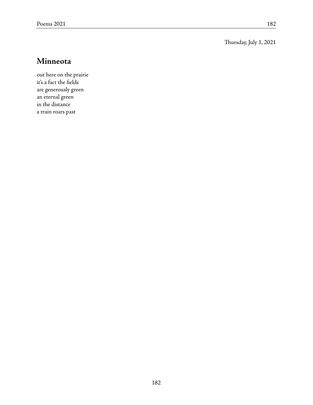#### Thursday, July 1, 2021

#### **Minneota**

out here on the prairie it's a fact the fields are generously green an eternal green in the distance a train roars past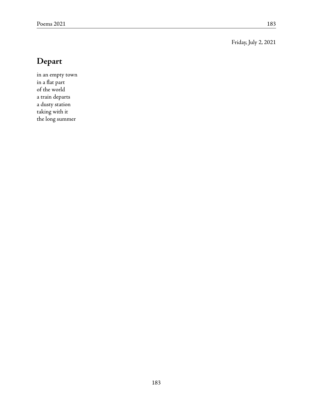#### Friday, July 2, 2021

# **Depart**

in an empty town in a flat part of the world a train departs a dusty station taking with it the long summer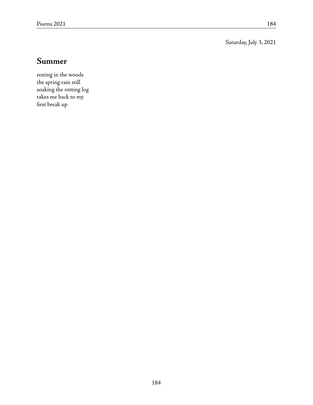Saturday, July 3, 2021

#### **Summer**

resting in the woods the spring rain still soaking the rotting log takes me back to my first break up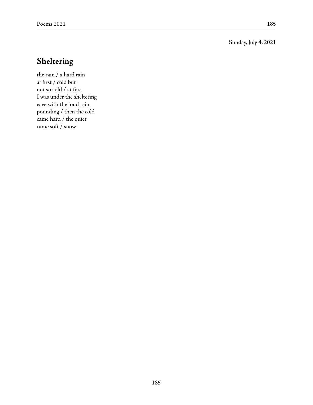Sunday, July 4, 2021

## **Sheltering**

the rain / a hard rain at first / cold but not so cold / at first I was under the sheltering eave with the loud rain pounding / then the cold came hard / the quiet came soft / snow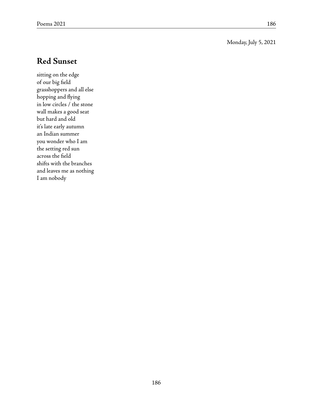#### Monday, July 5, 2021

### **Red Sunset**

sitting on the edge of our big field grasshoppers and all else hopping and flying in low circles / the stone wall makes a good seat but hard and old it's late early autumn an Indian summer you wonder who I am the setting red sun across the field shifts with the branches and leaves me as nothing I am nobody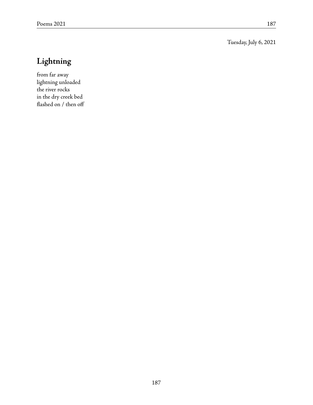Tuesday, July 6, 2021

# **Lightning**

from far away lightning unloaded the river rocks in the dry creek bed flashed on / then off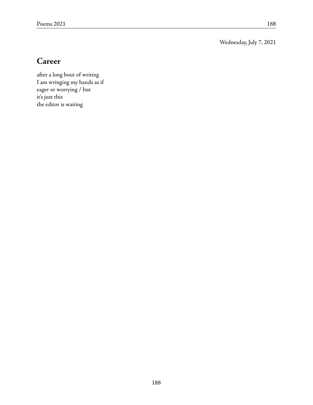Wednesday, July 7, 2021

## **Career**

after a long bout of writing I am wringing my hands as if eager or worrying / but it's just this the editor is waiting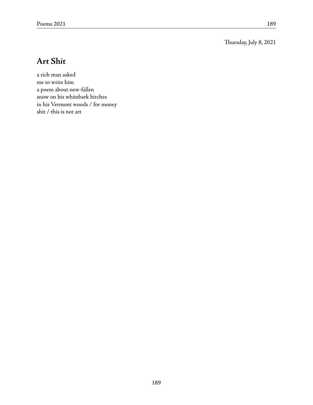Thursday, July 8, 2021

## **Art Shit**

a rich man asked me to write him a poem about new-fallen snow on his whitebark birches in his Vermont woods / for money shit / this is not art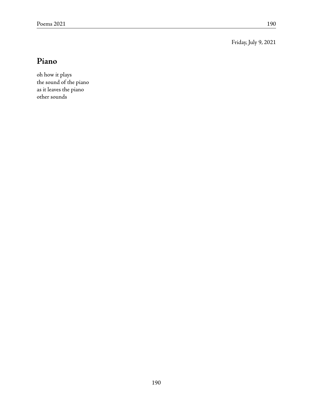Friday, July 9, 2021

## **Piano**

oh how it plays the sound of the piano as it leaves the piano other sounds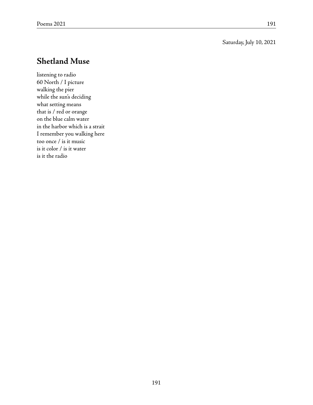#### Saturday, July 10, 2021

### **Shetland Muse**

listening to radio 60 North / I picture walking the pier while the sun's deciding what setting means that is / red or orange on the blue calm water in the harbor which is a strait I remember you walking here too once / is it music is it color / is it water is it the radio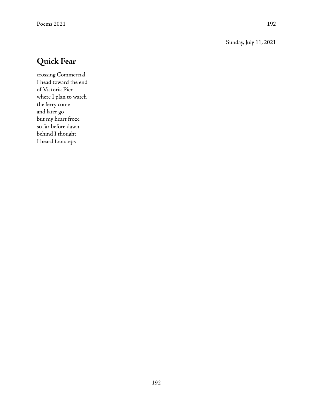Sunday, July 11, 2021

# **Quick Fear**

crossing Commercial I head toward the end of Victoria Pier where I plan to watch the ferry come and later go but my heart froze so far before dawn behind I thought I heard footsteps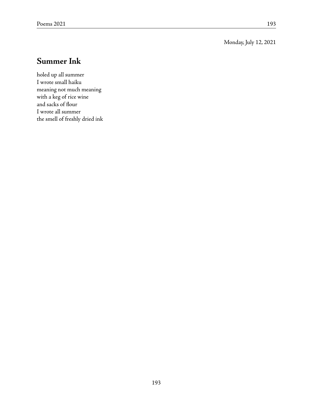Monday, July 12, 2021

## **Summer Ink**

holed up all summer I wrote small haiku meaning not much meaning with a keg of rice wine and sacks of flour I wrote all summer the smell of freshly dried ink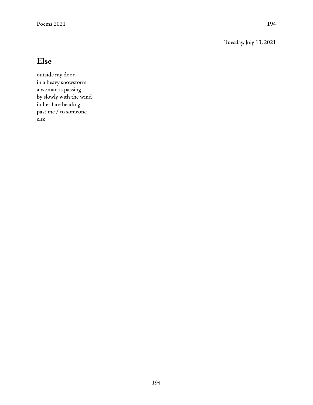Tuesday, July 13, 2021

## **Else**

outside my door in a heavy snowstorm a woman is passing by slowly with the wind in her face heading past me / to someone else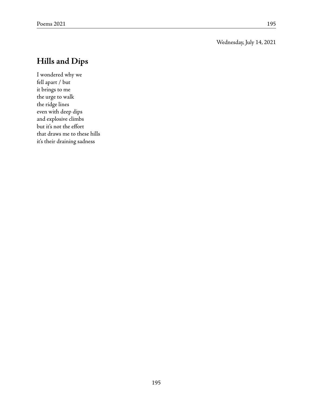#### Wednesday, July 14, 2021

### **Hills and Dips**

I wondered why we fell apart / but it brings to me the urge to walk the ridge lines even with deep dips and explosive climbs but it's not the effort that draws me to these hills it's their draining sadness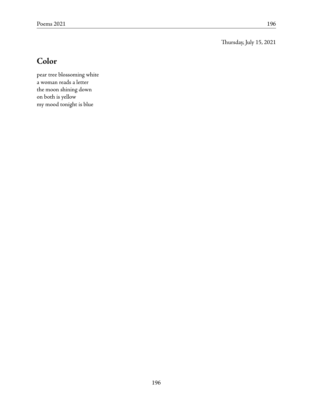Thursday, July 15, 2021

## **Color**

pear tree blossoming white a woman reads a letter the moon shining down on both is yellow my mood tonight is blue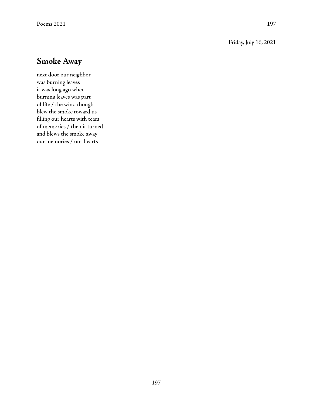#### Friday, July 16, 2021

### **Smoke Away**

next door our neighbor was burning leaves it was long ago when burning leaves was part of life / the wind though blew the smoke toward us filling our hearts with tears of memories / then it turned and blews the smoke away our memories / our hearts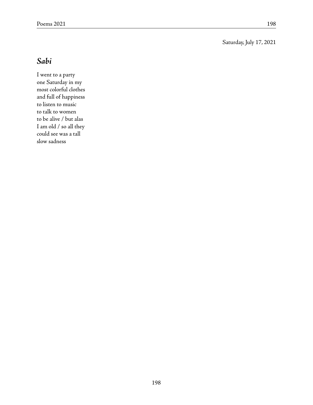Saturday, July 17, 2021

## **Sabi**

I went to a party one Saturday in my most colorful clothes and full of happiness to listen to music to talk to women to be alive / but alas I am old / so all they could see was a tall slow sadness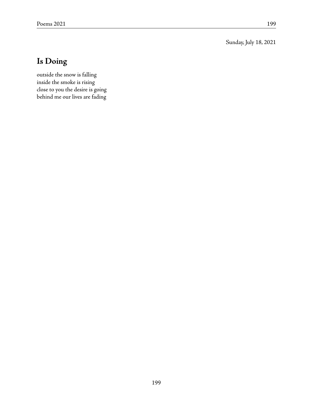Sunday, July 18, 2021

# **Is Doing**

outside the snow is falling inside the smoke is rising close to you the desire is going behind me our lives are fading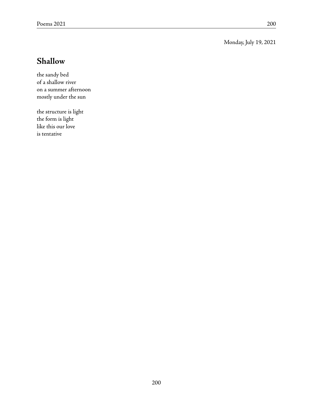Monday, July 19, 2021

## **Shallow**

the sandy bed of a shallow river on a summer afternoon mostly under the sun

the structure is light the form is light like this our love is tentative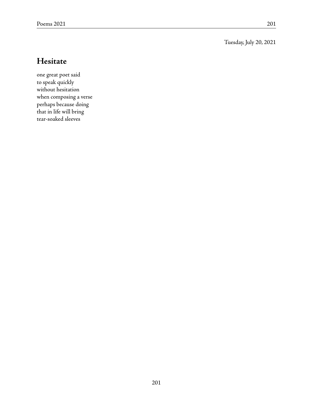Tuesday, July 20, 2021

### **Hesitate**

one great poet said to speak quickly without hesitation when composing a verse perhaps because doing that in life will bring tear-soaked sleeves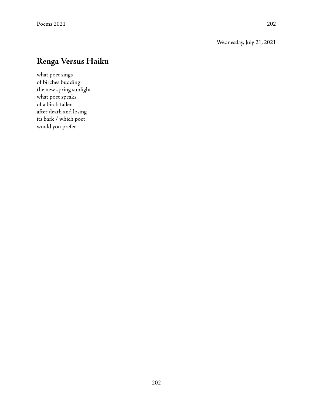Wednesday, July 21, 2021

## **Renga Versus Haiku**

what poet sings of birches budding the new spring sunlight what poet speaks of a birch fallen after death and losing its bark / which poet would you prefer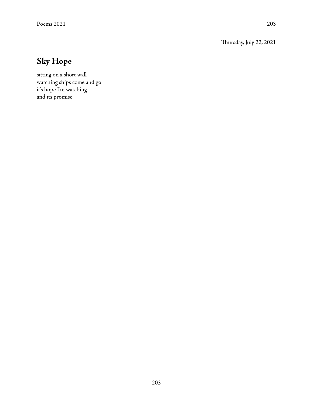Thursday, July 22, 2021

# **Sky Hope**

sitting on a short wall watching ships come and go it's hope I'm watching and its promise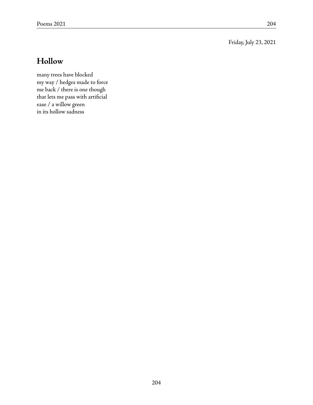Friday, July 23, 2021

## **Hollow**

many trees have blocked my way / hedges made to force me back / there is one though that lets me pass with artificial ease / a willow green in its hollow sadness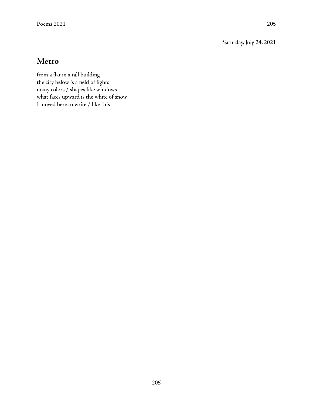Saturday, July 24, 2021

### **Metro**

from a flat in a tall building the city below is a field of lights many colors / shapes like windows what faces upward is the white of snow I moved here to write / like this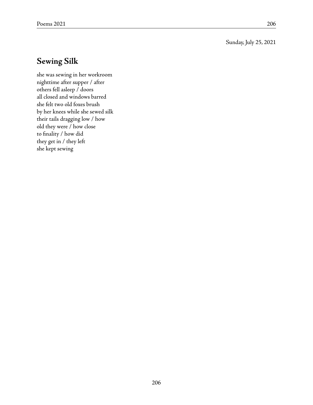Sunday, July 25, 2021

### **Sewing Silk**

she was sewing in her workroom nighttime after supper / after others fell asleep / doors all closed and windows barred she felt two old foxes brush by her knees while she sewed silk their tails dragging low / how old they were / how close to finality / how did they get in / they left she kept sewing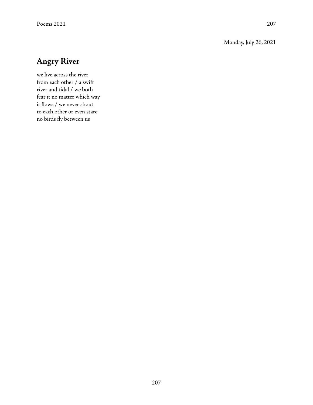#### Monday, July 26, 2021

## **Angry River**

we live across the river from each other / a swift river and tidal / we both fear it no matter which way it flows / we never shout to each other or even stare no birds fly between us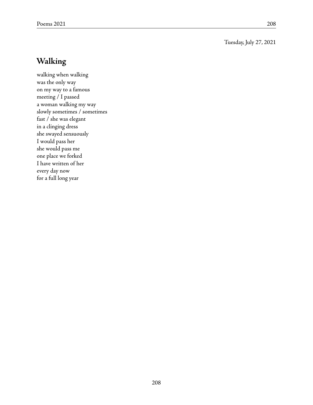Tuesday, July 27, 2021

## **Walking**

walking when walking was the only way on my way to a famous meeting / I passed a woman walking my way slowly sometimes / sometimes fast / she was elegant in a clinging dress she swayed sensuously I would pass her she would pass me one place we forked I have written of her every day now for a full long year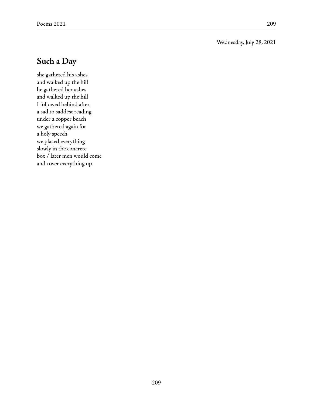#### Wednesday, July 28, 2021

## **Such a Day**

she gathered his ashes and walked up the hill he gathered her ashes and walked up the hill I followed behind after a sad to saddest reading under a copper beach we gathered again for a holy speech we placed everything slowly in the concrete box / later men would come and cover everything up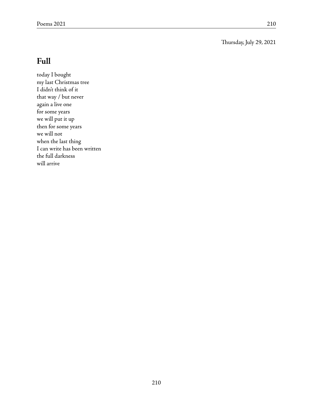Thursday, July 29, 2021

## **Full**

today I bought my last Christmas tree I didn't think of it that way / but never again a live one for some years we will put it up then for some years we will not when the last thing I can write has been written the full darkness will arrive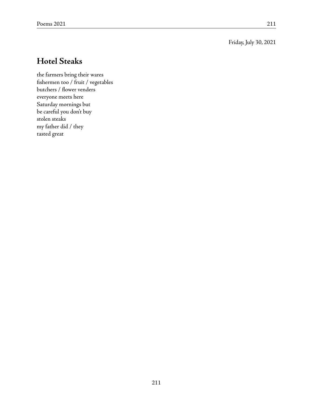Friday, July 30, 2021

## **Hotel Steaks**

the farmers bring their wares fishermen too / fruit / vegetables butchers / flower venders everyone meets here Saturday mornings but be careful you don't buy stolen steaks my father did / they tasted great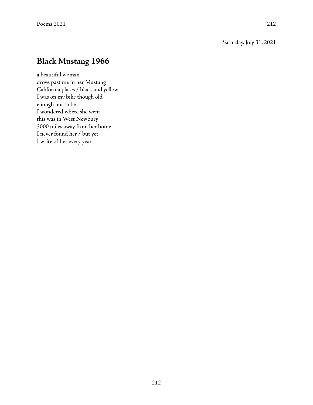#### Saturday, July 31, 2021

## **Black Mustang 1966**

a beautiful woman drove past me in her Mustang California plates / black and yellow I was on my bike though old enough not to be I wondered where she went this was in West Newbury 3000 miles away from her home I never found her / but yet I write of her every year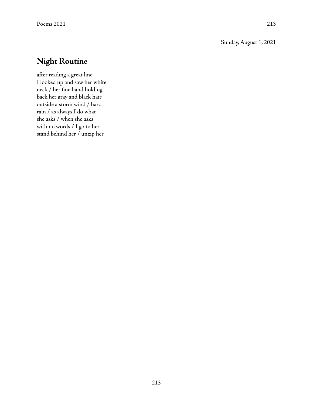#### Sunday, August 1, 2021

## **Night Routine**

after reading a great line I looked up and saw her white neck / her fine hand holding back her gray and black hair outside a storm wind / hard rain / as always I do what she asks / when she asks with no words / I go to her stand behind her / unzip her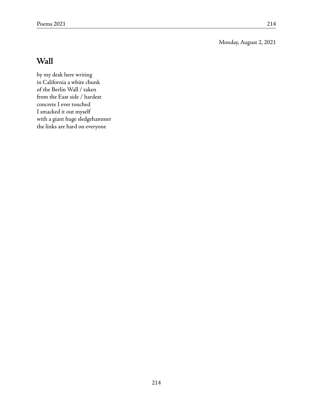Monday, August 2, 2021

### **Wall**

by my desk here writing in California a white chunk of the Berlin Wall / taken from the East side / hardest concrete I ever touched I smacked it out myself with a giant huge sledgehammer the links are hard on everyone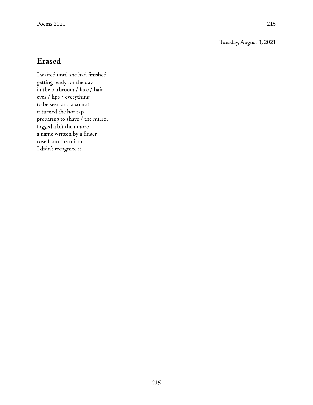#### Tuesday, August 3, 2021

### **Erased**

I waited until she had finished getting ready for the day in the bathroom / face / hair eyes / lips / everything to be seen and also not it turned the hot tap preparing to shave / the mirror fogged a bit then more a name written by a finger rose from the mirror I didn't recognize it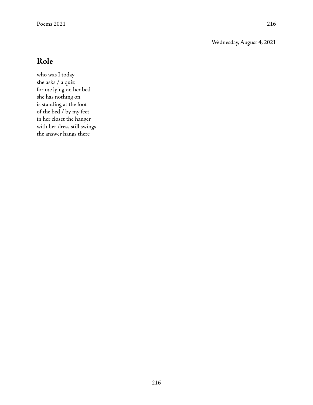#### Wednesday, August 4, 2021

## **Role**

who was I today she asks / a quiz for me lying on her bed she has nothing on is standing at the foot of the bed / by my feet in her closet the hanger with her dress still swings the answer hangs there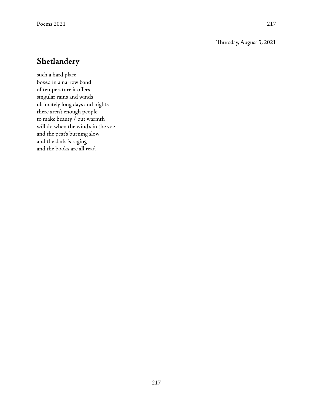#### Thursday, August 5, 2021

### **Shetlandery**

such a hard place boxed in a narrow band of temperature it offers singular rains and winds ultimately long days and nights there aren't enough people to make beauty / but warmth will do when the wind's in the voe and the peat's burning slow and the dark is raging and the books are all read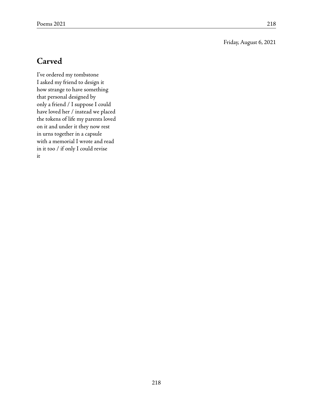#### Friday, August 6, 2021

### **Carved**

I've ordered my tombstone I asked my friend to design it how strange to have something that personal designed by only a friend / I suppose I could have loved her / instead we placed the tokens of life my parents loved on it and under it they now rest in urns together in a capsule with a memorial I wrote and read in it too / if only I could revise it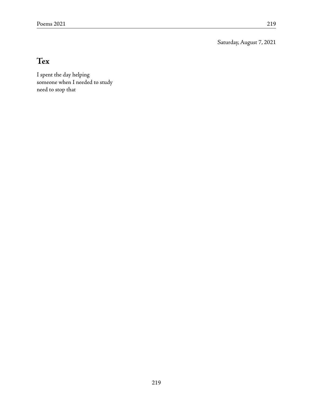Saturday, August 7, 2021

# **Tex**

I spent the day helping someone when I needed to study need to stop that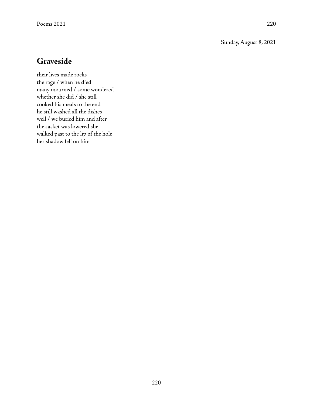Sunday, August 8, 2021

### **Graveside**

their lives made rocks the rage / when he died many mourned / some wondered whether she did / she still cooked his meals to the end he still washed all the dishes well / we buried him and after the casket was lowered she walked past to the lip of the hole her shadow fell on him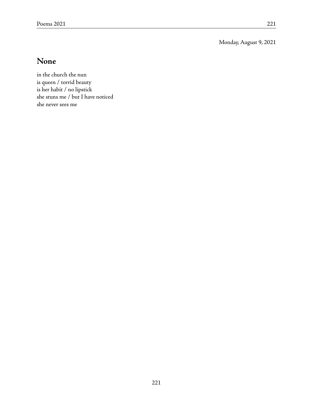Monday, August 9, 2021

## **None**

in the church the nun is queen / torrid beauty is her habit / no lipstick she stuns me / but I have noticed she never sees me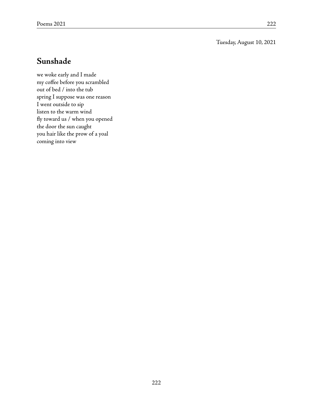#### Tuesday, August 10, 2021

### **Sunshade**

we woke early and I made my coffee before you scrambled out of bed / into the tub spring I suppose was one reason I went outside to sip listen to the warm wind fly toward us / when you opened the door the sun caught you hair like the prow of a yoal coming into view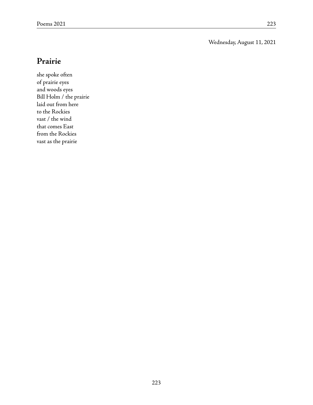Wednesday, August 11, 2021

### **Prairie**

she spoke often of prairie eyes and woods eyes Bill Holm / the prairie laid out from here to the Rockies vast / the wind that comes East from the Rockies vast as the prairie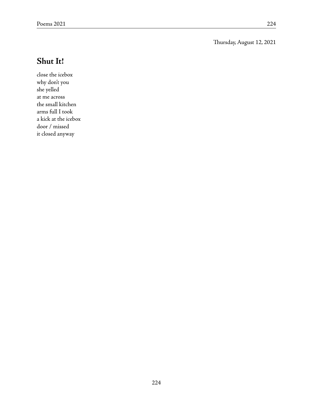Thursday, August 12, 2021

## **Shut It!**

close the icebox why don't you she yelled at me across the small kitchen arms full I took a kick at the icebox door / missed it closed anyway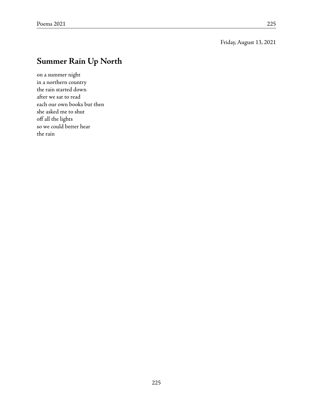#### Friday, August 13, 2021

# **Summer Rain Up North**

on a summer night in a northern country the rain started down after we sat to read each our own books but then she asked me to shut off all the lights so we could better hear the rain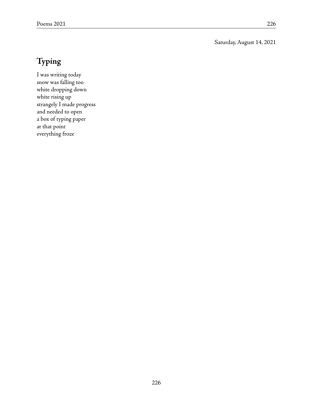#### Saturday, August 14, 2021

# **Typing**

I was writing today snow was falling too white dropping down white rising up strangely I made progress and needed to open a box of typing paper at that point everything froze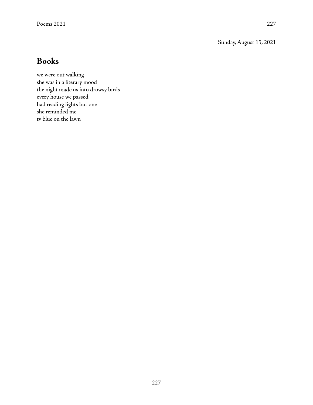Sunday, August 15, 2021

### **Books**

we were out walking she was in a literary mood the night made us into drowsy birds every house we passed had reading lights but one she reminded me tv blue on the lawn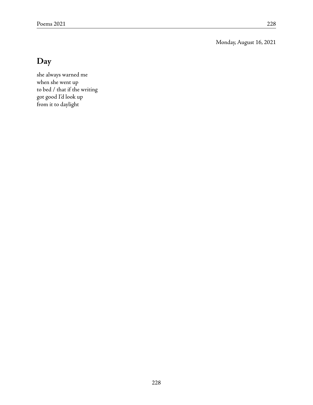Monday, August 16, 2021

## **Day**

she always warned me when she went up to bed / that if the writing got good I'd look up from it to daylight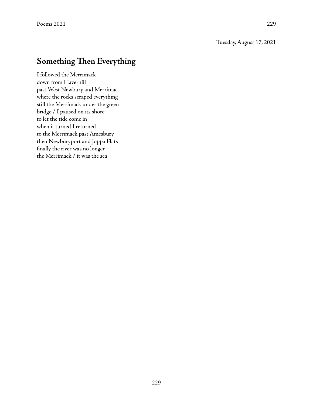Tuesday, August 17, 2021

## **Something Then Everything**

I followed the Merrimack down from Haverhill past West Newbury and Merrimac where the rocks scraped everything still the Merrimack under the green bridge / I paused on its shore to let the tide come in when it turned I returned to the Merrimack past Amesbury then Newburyport and Joppa Flats finally the river was no longer the Merrimack / it was the sea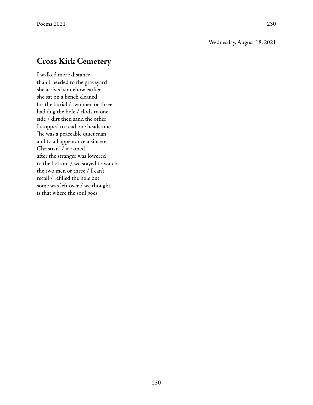#### Wednesday, August 18, 2021

## **Cross Kirk Cemetery**

I walked more distance than I needed to the graveyard she arrived somehow earlier she sat on a bench cleaned for the burial / two men or three had dug the hole / clods to one side / dirt then sand the other I stopped to read one headstone "he was a peaceable quiet man and to all appearance a sincere Christian" / it rained after the stranger was lowered to the bottom / we stayed to watch the two men or three / I can't recall / refilled the hole but some was left over / we thought is that where the soul goes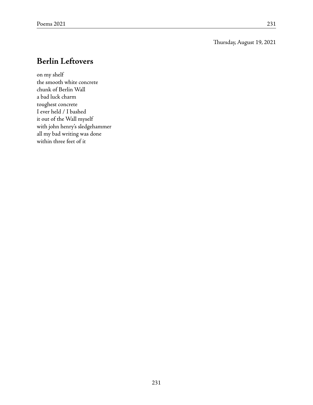#### Thursday, August 19, 2021

## **Berlin Leftovers**

on my shelf the smooth white concrete chunk of Berlin Wall a bad luck charm toughest concrete I ever held / I bashed it out of the Wall myself with john henry's sledgehammer all my bad writing was done within three feet of it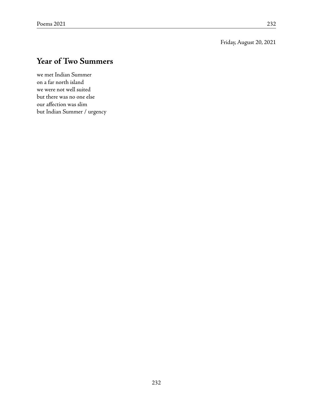Friday, August 20, 2021

# **Year of Two Summers**

we met Indian Summer on a far north island we were not well suited but there was no one else our affection was slim but Indian Summer / urgency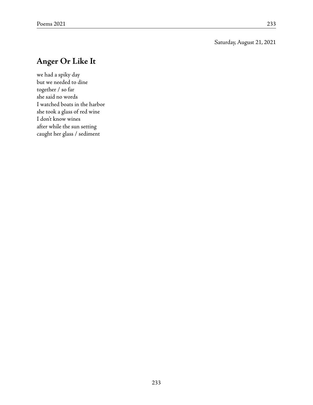#### Saturday, August 21, 2021

## **Anger Or Like It**

we had a spiky day but we needed to dine together / so far she said no words I watched boats in the harbor she took a glass of red wine I don't know wines after while the sun setting caught her glass / sediment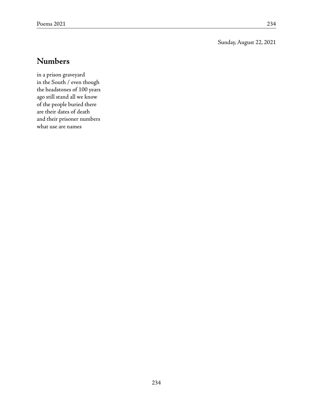#### Sunday, August 22, 2021

### **Numbers**

in a prison graveyard in the South / even though the headstones of 100 years ago still stand all we know of the people buried there are their dates of death and their prisoner numbers what use are names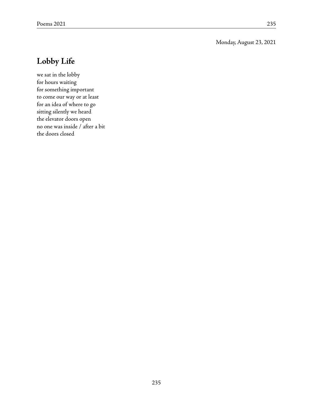#### Monday, August 23, 2021

## **Lobby Life**

we sat in the lobby for hours waiting for something important to come our way or at least for an idea of where to go sitting silently we heard the elevator doors open no one was inside / after a bit the doors closed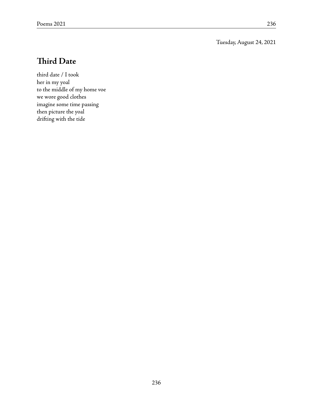Tuesday, August 24, 2021

## **Third Date**

third date / I took her in my yoal to the middle of my home voe we wore good clothes imagine some time passing then picture the yoal drifting with the tide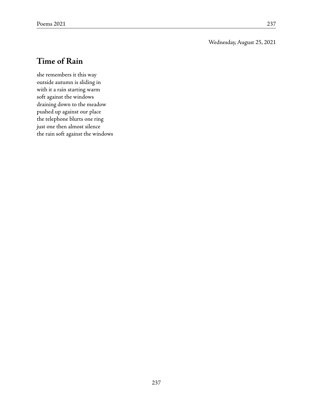#### Wednesday, August 25, 2021

## **Time of Rain**

she remembers it this way outside autumn is sliding in with it a rain starting warm soft against the windows draining down to the meadow pushed up against our place the telephone blurts one ring just one then almost silence the rain soft against the windows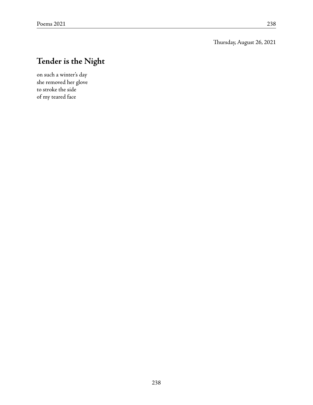## **Tender is the Night**

on such a winter's day she removed her glove to stroke the side of my teared face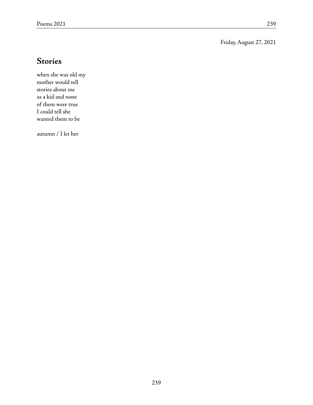Friday, August 27, 2021

### **Stories**

when she was old my mother would tell stories about me as a kid and none of them were true I could tell she wanted them to be

autumn / I let her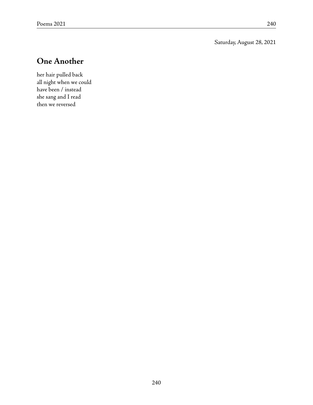Saturday, August 28, 2021

## **One Another**

her hair pulled back all night when we could have been / instead she sang and I read then we reversed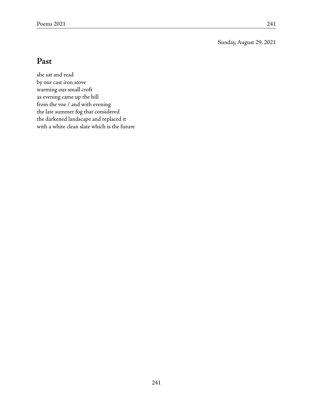Sunday, August 29, 2021

## **Past**

she sat and read by our cast iron stove warming our small croft as evening came up the hill from the voe / and with evening the late summer fog that considered the darkened landscape and replaced it with a white clean slate which is the future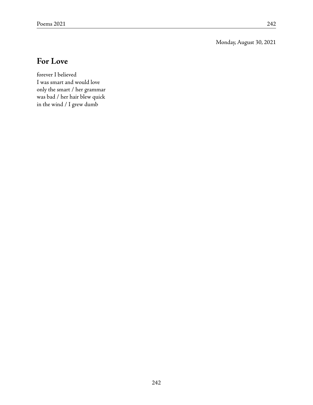Monday, August 30, 2021

### **For Love**

forever I believed I was smart and would love only the smart / her grammar was bad / her hair blew quick in the wind / I grew dumb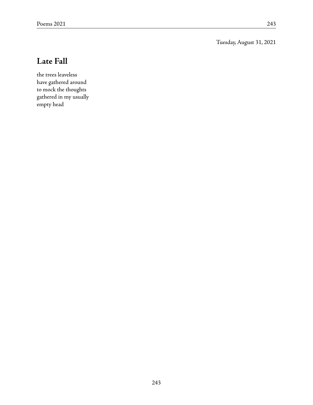Tuesday, August 31, 2021

## **Late Fall**

the trees leaveless have gathered around to mock the thoughts gathered in my usually empty head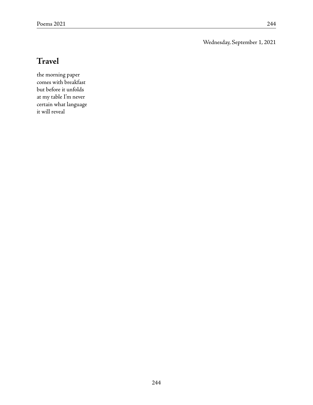Wednesday, September 1, 2021

# **Travel**

the morning paper comes with breakfast but before it unfolds at my table I'm never certain what language it will reveal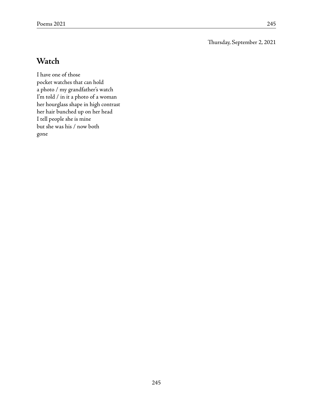Thursday, September 2, 2021

## **Watch**

I have one of those pocket watches that can hold a photo / my grandfather's watch I'm told / in it a photo of a woman her hourglass shape in high contrast her hair bunched up on her head I tell people she is mine but she was his / now both gone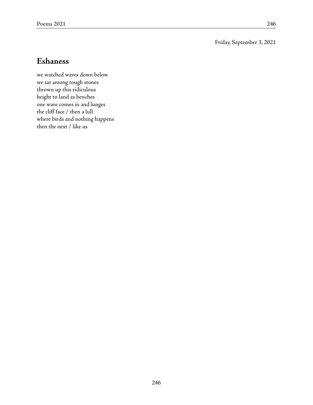#### Friday, September 3, 2021

#### **Eshaness**

we watched waves down below we sat among tough stones thrown up this ridiculous height to land as benches one wave comes in and lunges the cliff face / then a lull where birds and nothing happens then the next / like us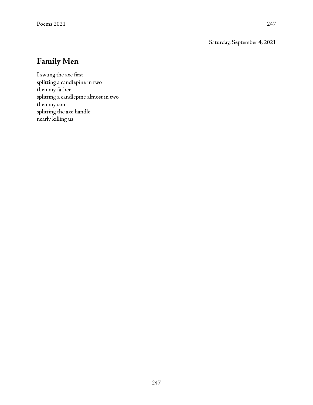Saturday, September 4, 2021

# **Family Men**

I swung the axe first splitting a candlepine in two then my father splitting a candlepine almost in two then my son splitting the axe handle nearly killing us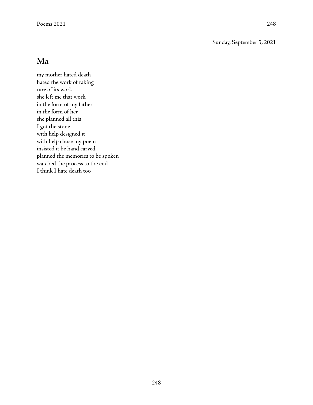Sunday, September 5, 2021

## **Ma**

my mother hated death hated the work of taking care of its work she left me that work in the form of my father in the form of her she planned all this I got the stone with help designed it with help chose my poem insisted it be hand carved planned the memories to be spoken watched the process to the end I think I hate death too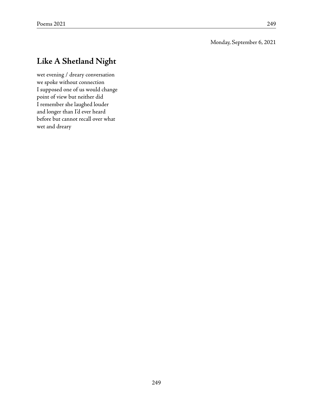# **Like A Shetland Night**

wet evening / dreary conversation we spoke without connection I supposed one of us would change point of view but neither did I remember she laughed louder and longer than I'd ever heard before but cannot recall over what wet and dreary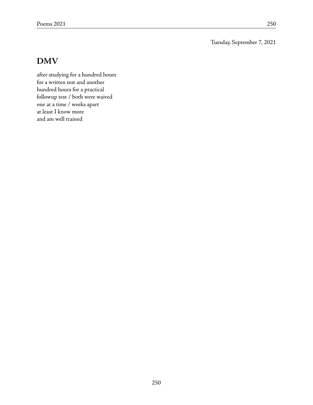Tuesday, September 7, 2021

#### **DMV**

after studying for a hundred hours for a written test and another hundred hours for a practical followup test / both were waived one at a time / weeks apart at least I know more and am well trained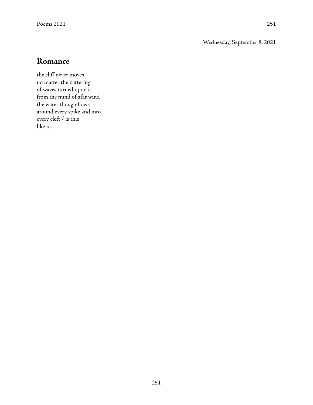Wednesday, September 8, 2021

### **Romance**

the cliff never moves no matter the battering of waves turned upon it from the mind of afar wind the water though flows around every spike and into every cleft / is this like us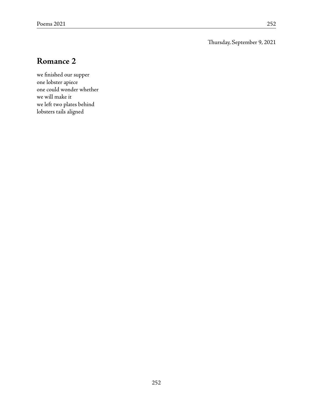Thursday, September 9, 2021

### **Romance 2**

we finished our supper one lobster apiece one could wonder whether we will make it we left two plates behind lobsters tails aligned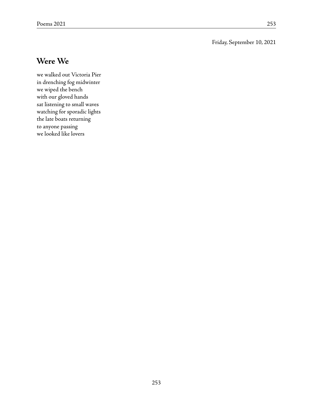#### Friday, September 10, 2021

#### **Were We**

we walked out Victoria Pier in drenching fog midwinter we wiped the bench with our gloved hands sat listening to small waves watching for sporadic lights the late boats returning to anyone passing we looked like lovers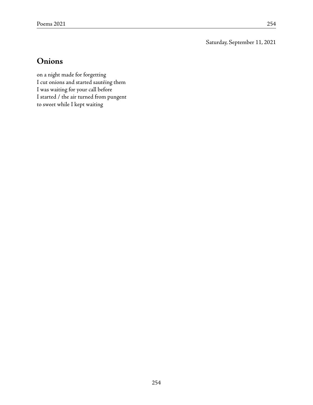Saturday, September 11, 2021

#### **Onions**

on a night made for forgetting I cut onions and started sautéing them I was waiting for your call before I started / the air turned from pungent to sweet while I kept waiting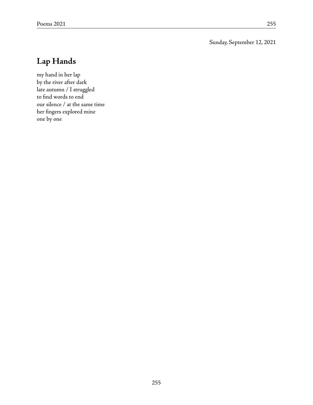Sunday, September 12, 2021

# **Lap Hands**

my hand in her lap by the river after dark late autumn / I struggled to find words to end our silence / at the same time her fingers explored mine one by one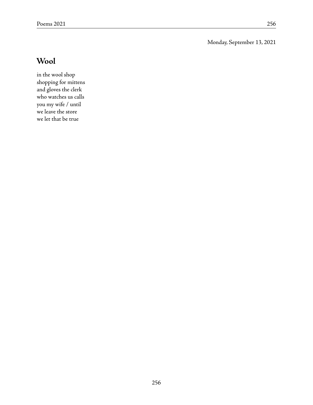Monday, September 13, 2021

# **Wool**

in the wool shop shopping for mittens and gloves the clerk who watches us calls you my wife / until we leave the store we let that be true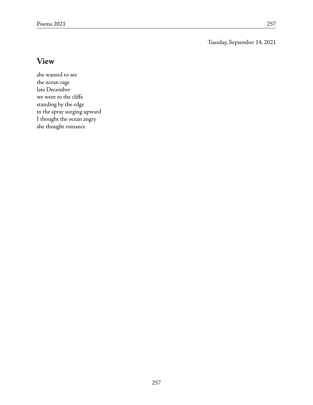Tuesday, September 14, 2021

#### **View**

she wanted to see the ocean rage late December we went to the cliffs standing by the edge in the spray surging upward I thought the ocean angry she thought romance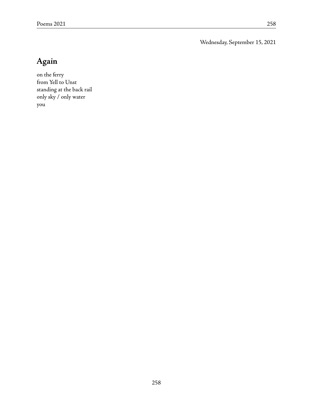Wednesday, September 15, 2021

# **Again**

on the ferry from Yell to Unst standing at the back rail only sky / only water you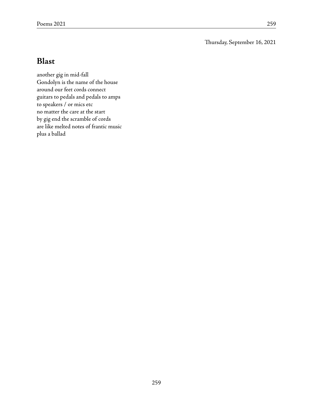Thursday, September 16, 2021

## **Blast**

another gig in mid-fall Gondolyn is the name of the house around our feet cords connect guitars to pedals and pedals to amps to speakers / or mics etc no matter the care at the start by gig end the scramble of cords are like melted notes of frantic music plus a ballad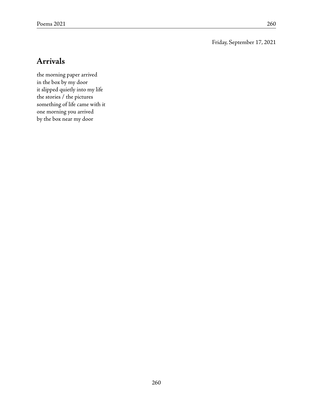Friday, September 17, 2021

### **Arrivals**

the morning paper arrived in the box by my door it slipped quietly into my life the stories / the pictures something of life came with it one morning you arrived by the box near my door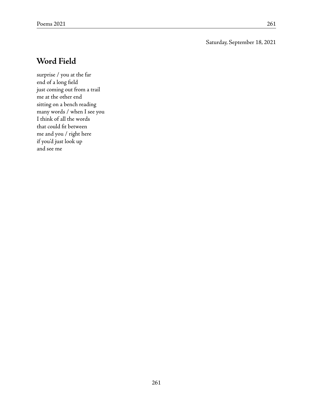#### Saturday, September 18, 2021

#### **Word Field**

surprise / you at the far end of a long field just coming out from a trail me at the other end sitting on a bench reading many words / when I see you I think of all the words that could fit between me and you / right here if you'd just look up and see me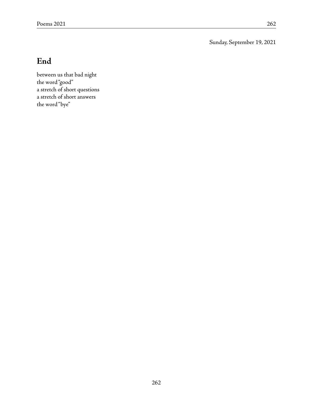Sunday, September 19, 2021

# **End**

between us that bad night the word "good" a stretch of short questions a stretch of short answers the word "bye"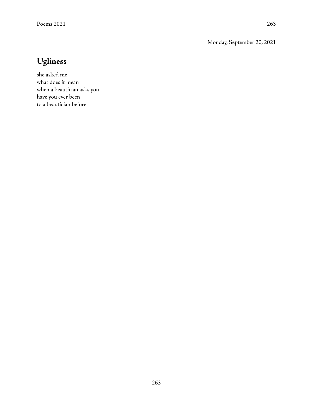Monday, September 20, 2021

# **Ugliness**

she asked me what does it mean when a beautician asks you have you ever been to a beautician before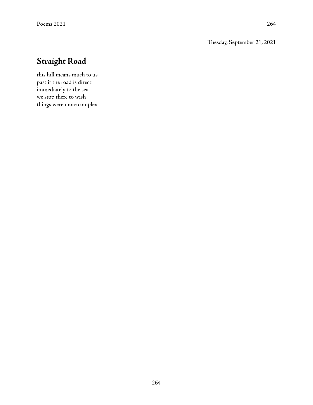Tuesday, September 21, 2021

# **Straight Road**

this hill means much to us past it the road is direct immediately to the sea we stop there to wish things were more complex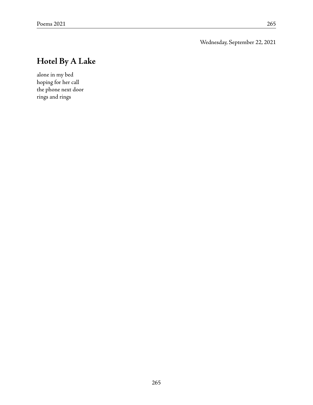Wednesday, September 22, 2021

# **Hotel By A Lake**

alone in my bed hoping for her call the phone next door rings and rings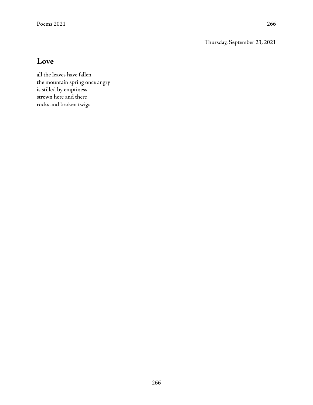Thursday, September 23, 2021

## **Love**

all the leaves have fallen the mountain spring once angry is stilled by emptiness strewn here and there rocks and broken twigs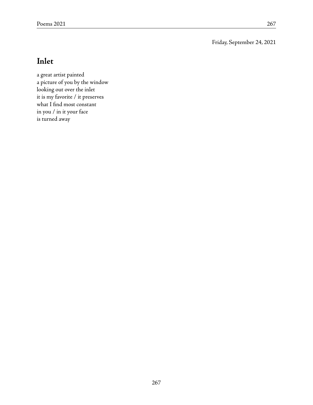Friday, September 24, 2021

# **Inlet**

a great artist painted a picture of you by the window looking out over the inlet it is my favorite / it preserves what I find most constant in you / in it your face is turned away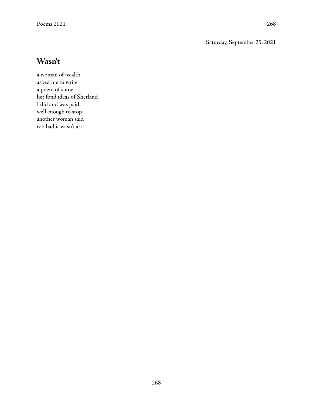Saturday, September 25, 2021

## **Wasn't**

a woman of wealth asked me to write a poem of snow her fond ideas of Shetland I did and was paid well enough to stop another woman said too bad it wasn't art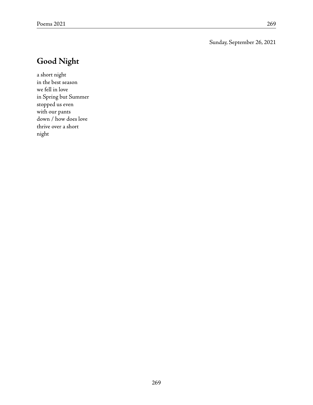Sunday, September 26, 2021

# **Good Night**

a short night in the best season we fell in love in Spring but Summer stopped us even with our pants down / how does love thrive over a short night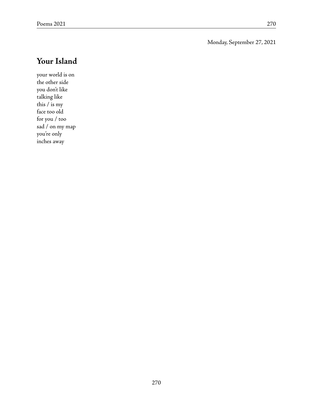Monday, September 27, 2021

# **Your Island**

your world is on the other side you don't like talking like this / is my face too old for you / too sad / on my map you're only inches away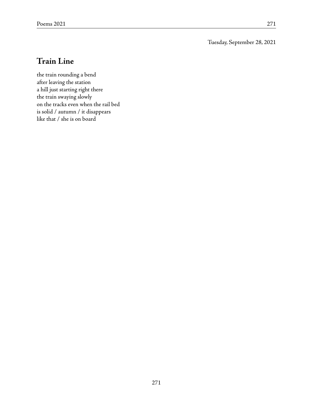Tuesday, September 28, 2021

## **Train Line**

the train rounding a bend after leaving the station a hill just starting right there the train swaying slowly on the tracks even when the rail bed is solid / autumn / it disappears like that / she is on board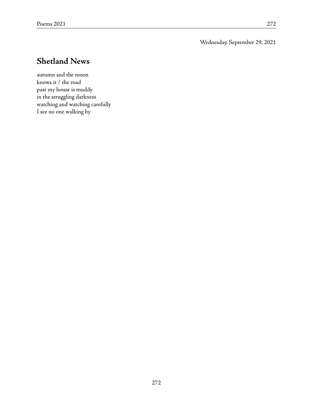Wednesday, September 29, 2021

## **Shetland News**

autumn and the moon knows it / the road past my house is muddy in the struggling darkness watching and watching carefully I see no one walking by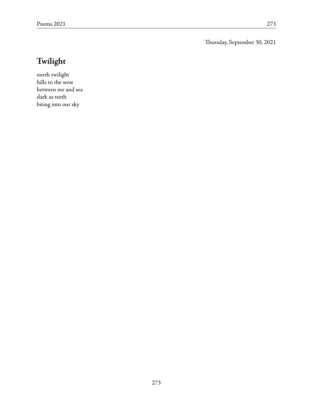Thursday, September 30, 2021

# **Twilight**

north twilight hills to the west between me and sea dark as teeth biting into our sky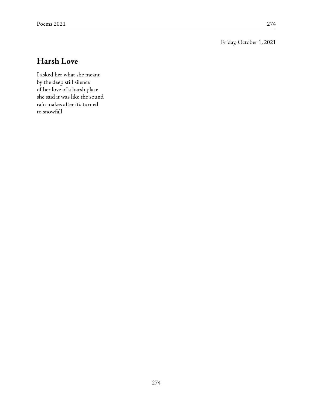#### Friday, October 1, 2021

# **Harsh Love**

I asked her what she meant by the deep still silence of her love of a harsh place she said it was like the sound rain makes after it's turned to snowfall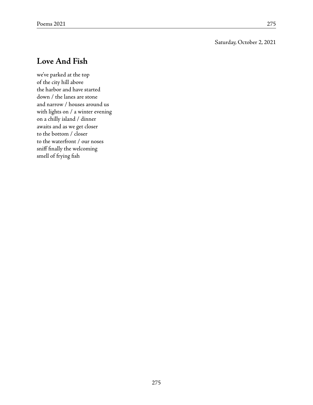#### Saturday, October 2, 2021

## **Love And Fish**

we've parked at the top of the city hill above the harbor and have started down / the lanes are stone and narrow / houses around us with lights on / a winter evening on a chilly island / dinner awaits and as we get closer to the bottom / closer to the waterfront / our noses sniff finally the welcoming smell of frying fish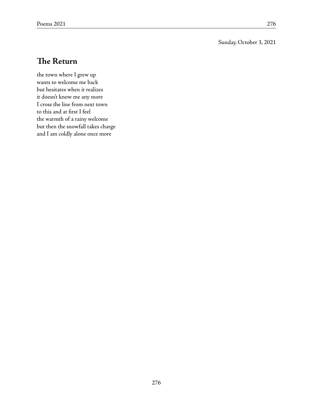#### Sunday, October 3, 2021

## **The Return**

the town where I grew up wants to welcome me back but hesitates when it realizes it doesn't know me any more I cross the line from next town to this and at first I feel the warmth of a rainy welcome but then the snowfall takes charge and I am coldly alone once more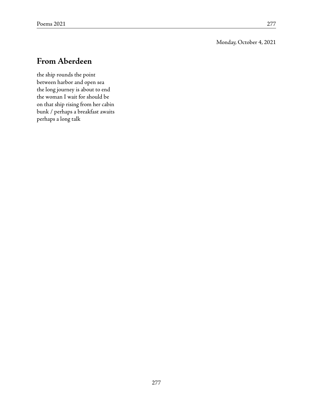#### Monday, October 4, 2021

## **From Aberdeen**

the ship rounds the point between harbor and open sea the long journey is about to end the woman I wait for should be on that ship rising from her cabin bunk / perhaps a breakfast awaits perhaps a long talk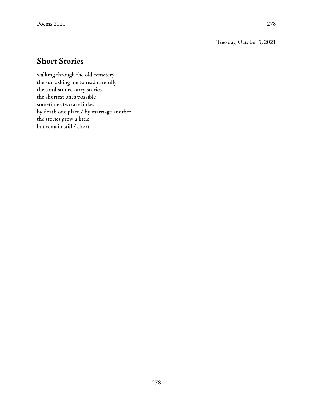Tuesday, October 5, 2021

## **Short Stories**

walking through the old cemetery the sun asking me to read carefully the tombstones carry stories the shortest ones possible sometimes two are linked by death one place / by marriage another the stories grow a little but remain still / short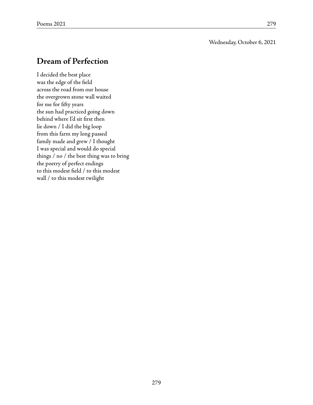Wednesday, October 6, 2021

## **Dream of Perfection**

I decided the best place was the edge of the field across the road from our house the overgrown stone wall waited for me for fifty years the sun had practiced going down behind where I'd sit first then lie down / I did the big loop from this farm my long passed family made and grew / I thought I was special and would do special things / no / the best thing was to bring the poetry of perfect endings to this modest field / to this modest wall / to this modest twilight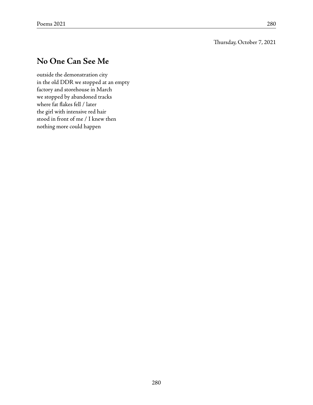## **No One Can See Me**

outside the demonstration city in the old DDR we stopped at an empty factory and storehouse in March we stopped by abandoned tracks where fat flakes fell / later the girl with intensive red hair stood in front of me / I knew then nothing more could happen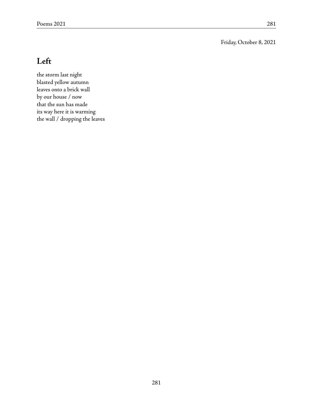Friday, October 8, 2021

# **Left**

the storm last night blasted yellow autumn leaves onto a brick wall by our house / now that the sun has made its way here it is warming the wall / dropping the leaves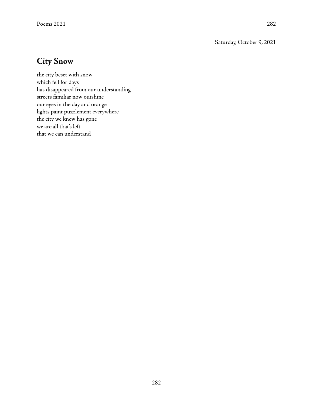Saturday, October 9, 2021

## **City Snow**

the city beset with snow which fell for days has disappeared from our understanding streets familiar now outshine our eyes in the day and orange lights paint puzzlement everywhere the city we knew has gone we are all that's left that we can understand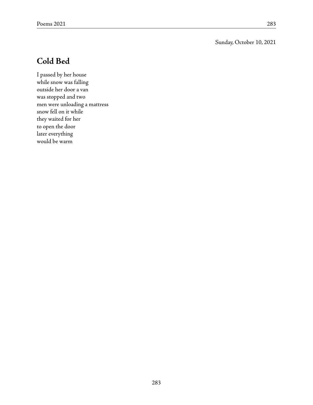#### Sunday, October 10, 2021

## **Cold Bed**

I passed by her house while snow was falling outside her door a van was stopped and two men were unloading a mattress snow fell on it while they waited for her to open the door later everything would be warm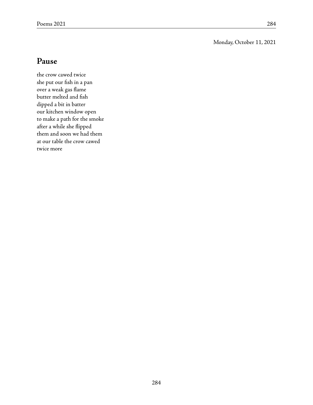#### Monday, October 11, 2021

### **Pause**

the crow cawed twice she put our fish in a pan over a weak gas flame butter melted and fish dipped a bit in batter our kitchen window open to make a path for the smoke after a while she flipped them and soon we had them at our table the crow cawed twice more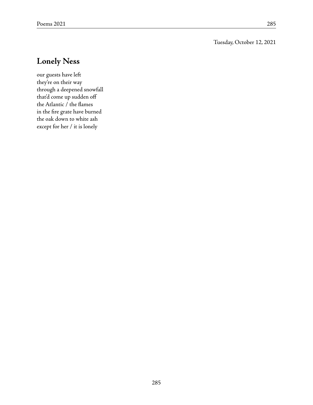#### Tuesday, October 12, 2021

## **Lonely Ness**

our guests have left they're on their way through a deepened snowfall that'd come up sudden off the Atlantic / the flames in the fire grate have burned the oak down to white ash except for her / it is lonely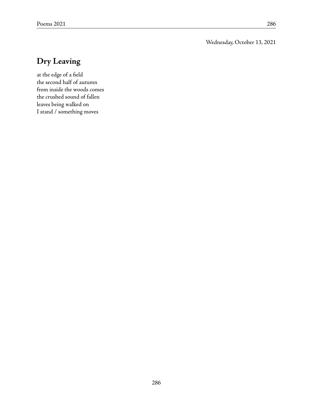Wednesday, October 13, 2021

## **Dry Leaving**

at the edge of a field the second half of autumn from inside the woods comes the crushed sound of fallen leaves being walked on I stand / something moves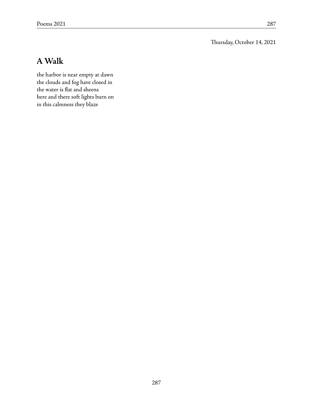Thursday, October 14, 2021

## **AWalk**

the harbor is near empty at dawn the clouds and fog have closed in the water is flat and sheens here and there soft lights burn on in this calmness they blaze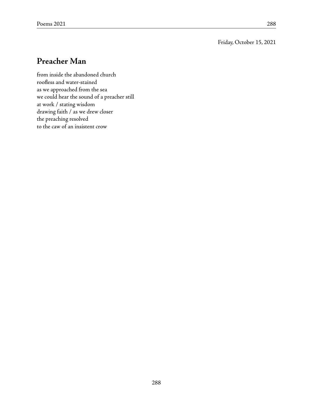Friday, October 15, 2021

### **Preacher Man**

from inside the abandoned church roofless and water-stained as we approached from the sea we could hear the sound of a preacher still at work / stating wisdom drawing faith / as we drew closer the preaching resolved to the caw of an insistent crow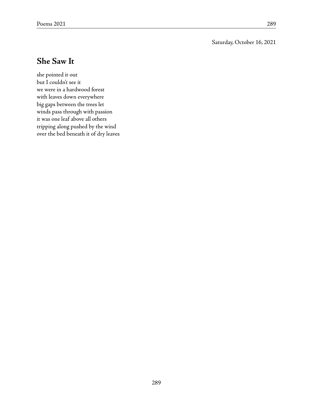#### Saturday, October 16, 2021

### **She Saw It**

she pointed it out but I couldn't see it we were in a hardwood forest with leaves down everywhere big gaps between the trees let winds pass through with passion it was one leaf above all others tripping along pushed by the wind over the bed beneath it of dry leaves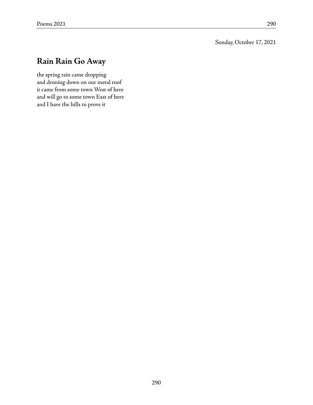Sunday, October 17, 2021

## **Rain Rain Go Away**

the spring rain came dropping and droning down on our metal roof it came from some town West of here and will go to some town East of here and I have the hills to prove it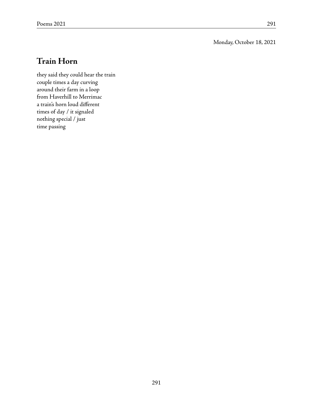Monday, October 18, 2021

## **Train Horn**

they said they could hear the train couple times a day curving around their farm in a loop from Haverhill to Merrimac a train's horn loud different times of day / it signaled nothing special / just time passing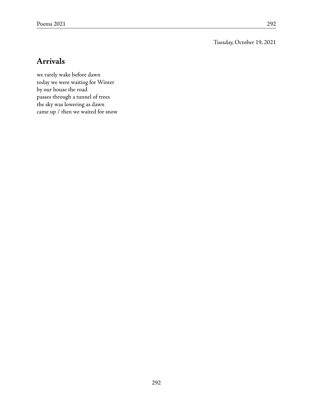Tuesday, October 19, 2021

### **Arrivals**

we rarely wake before dawn today we were waiting for Winter by our house the road passes through a tunnel of trees the sky was lowering as dawn came up / then we waited for snow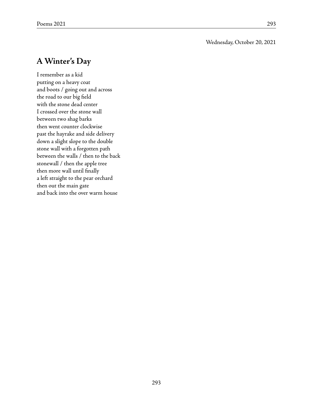## **AWinter's Day**

I remember as a kid putting on a heavy coat and boots / going out and across the road to our big field with the stone dead center I crossed over the stone wall between two shag barks then went counter clockwise past the hayrake and side delivery down a slight slope to the double stone wall with a forgotten path between the walls / then to the back stonewall / then the apple tree then more wall until finally a left straight to the pear orchard then out the main gate and back into the over warm house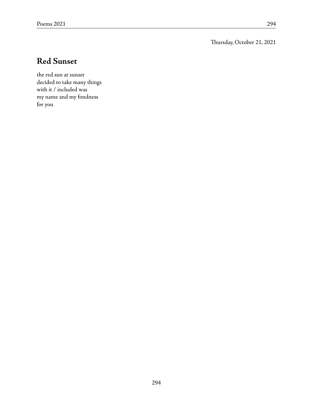Thursday, October 21, 2021

## **Red Sunset**

the red sun at sunset decided to take many things with it / included was my name and my fondness for you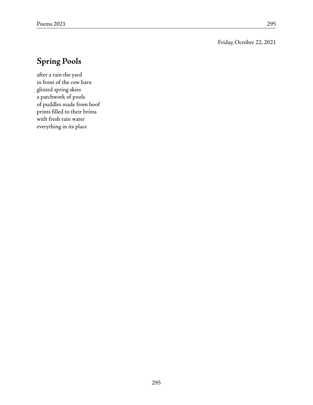#### Friday, October 22, 2021

## **Spring Pools**

after a rain the yard in front of the cow barn glinted spring skies a patchwork of pools of puddles made from hoof prints filled to their brims with fresh rain water everything in its place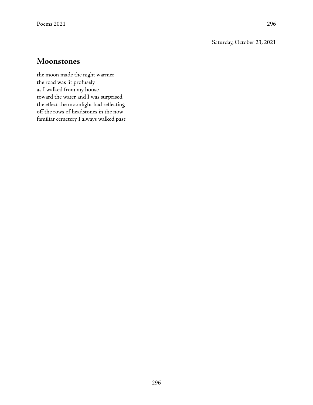Saturday, October 23, 2021

### **Moonstones**

the moon made the night warmer the road was lit profusely as I walked from my house toward the water and I was surprised the effect the moonlight had reflecting off the rows of headstones in the now familiar cemetery I always walked past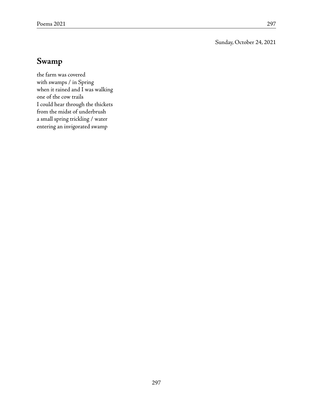Sunday, October 24, 2021

## **Swamp**

the farm was covered with swamps / in Spring when it rained and I was walking one of the cow trails I could hear through the thickets from the midst of underbrush a small spring trickling / water entering an invigorated swamp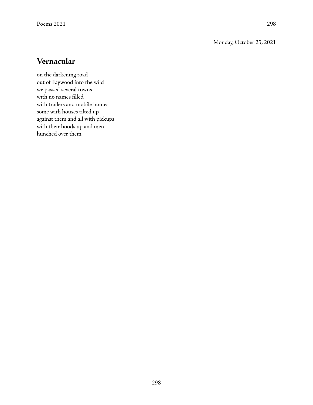#### Monday, October 25, 2021

### **Vernacular**

on the darkening road out of Faywood into the wild we passed several towns with no names filled with trailers and mobile homes some with houses tilted up against them and all with pickups with their hoods up and men hunched over them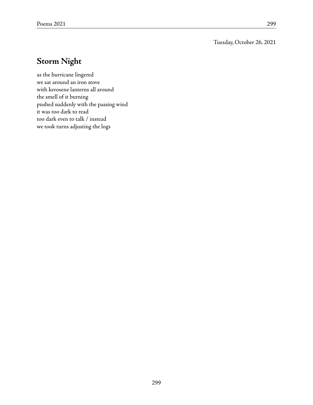Tuesday, October 26, 2021

## **Storm Night**

as the hurricane lingered we sat around an iron stove with kerosene lanterns all around the smell of it burning pushed suddenly with the passing wind it was too dark to read too dark even to talk / instead we took turns adjusting the logs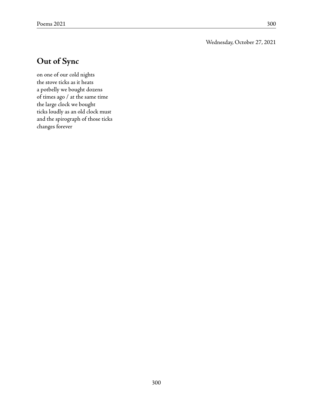Wednesday, October 27, 2021

## **Out of Sync**

on one of our cold nights the stove ticks as it heats a potbelly we bought dozens of times ago / at the same time the large clock we bought ticks loudly as an old clock must and the spirograph of those ticks changes forever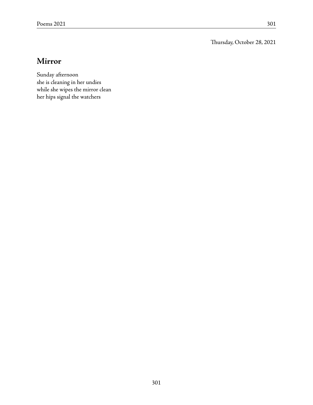Thursday, October 28, 2021

## **Mirror**

Sunday afternoon she is cleaning in her undies while she wipes the mirror clean her hips signal the watchers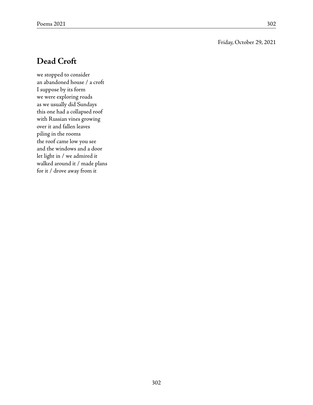#### Friday, October 29, 2021

## **Dead Croft**

we stopped to consider an abandoned house / a croft I suppose by its form we were exploring roads as we usually did Sundays this one had a collapsed roof with Russian vines growing over it and fallen leaves piling in the rooms the roof came low you see and the windows and a door let light in / we admired it walked around it / made plans for it / drove away from it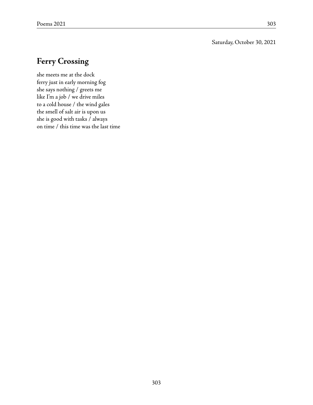#### Saturday, October 30, 2021

## **Ferry Crossing**

she meets me at the dock ferry just in early morning fog she says nothing / greets me like I'm a job / we drive miles to a cold house / the wind gales the smell of salt air is upon us she is good with tasks / always on time / this time was the last time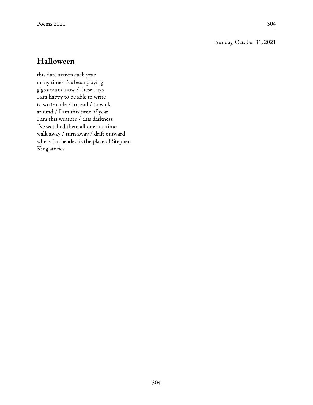#### Sunday, October 31, 2021

### **Halloween**

this date arrives each year many times I've been playing gigs around now / these days I am happy to be able to write to write code / to read / to walk around / I am this time of year I am this weather / this darkness I've watched them all one at a time walk away / turn away / drift outward where I'm headed is the place of Stephen King stories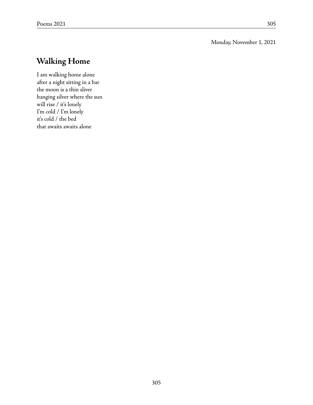#### Monday, November 1, 2021

## **Walking Home**

I am walking home alone after a night sitting in a bar the moon is a thin sliver hanging silver where the sun will rise / it's lonely I'm cold / I'm lonely it's cold / the bed that awaits awaits alone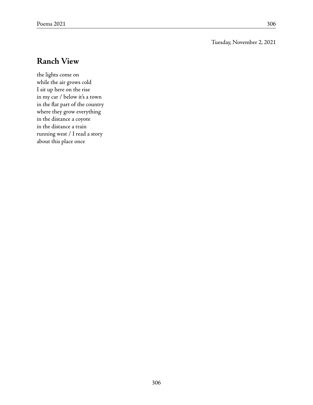#### Tuesday, November 2, 2021

### **Ranch View**

the lights come on while the air grows cold I sit up here on the rise in my car / below it's a town in the flat part of the country where they grow everything in the distance a coyote in the distance a train running west / I read a story about this place once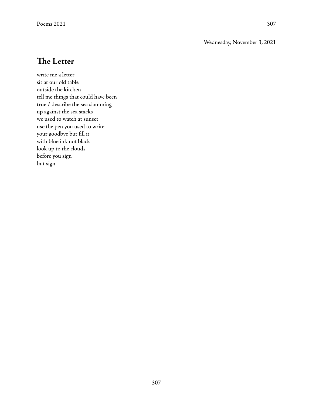#### Wednesday, November 3, 2021

## **The Letter**

write me a letter sit at our old table outside the kitchen tell me things that could have been true / describe the sea slamming up against the sea stacks we used to watch at sunset use the pen you used to write your goodbye but fill it with blue ink not black look up to the clouds before you sign but sign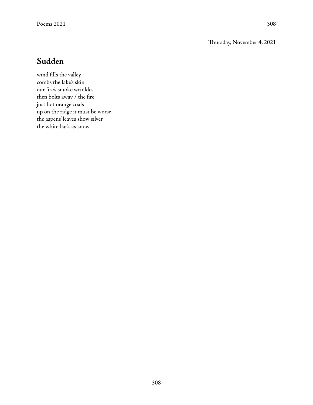Thursday, November 4, 2021

## **Sudden**

wind fills the valley combs the lake's skin our fire's smoke wrinkles then bolts away / the fire just hot orange coals up on the ridge it must be worse the aspens' leaves show silver the white bark as snow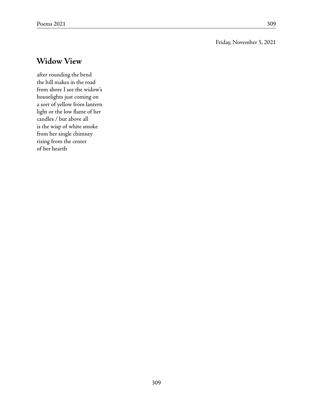#### Friday, November 5, 2021

### **Widow View**

after rounding the bend the hill makes in the road from shore I see the widow's houselights just coming on a sort of yellow from lantern light or the low flame of her candles / but above all is the wisp of white smoke from her single chimney rising from the center of her hearth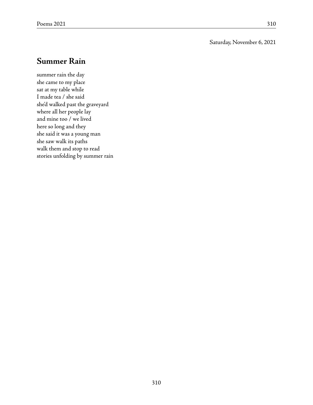#### Saturday, November 6, 2021

## **Summer Rain**

summer rain the day she came to my place sat at my table while I made tea / she said she'd walked past the graveyard where all her people lay and mine too / we lived here so long and they she said it was a young man she saw walk its paths walk them and stop to read stories unfolding by summer rain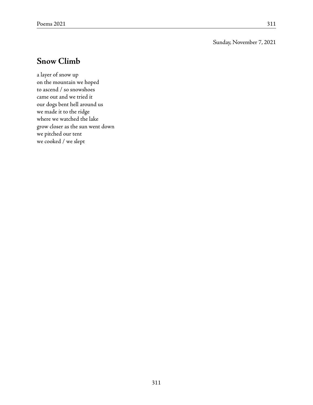#### Sunday, November 7, 2021

### **Snow Climb**

a layer of snow up on the mountain we hoped to ascend / so snowshoes came out and we tried it our dogs bent hell around us we made it to the ridge where we watched the lake grow closer as the sun went down we pitched our tent we cooked / we slept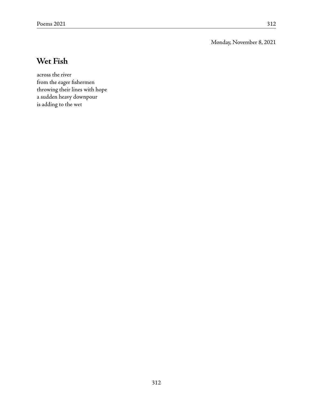Monday, November 8, 2021

### **Wet Fish**

across the river from the eager fishermen throwing their lines with hope a sudden heavy downpour is adding to the wet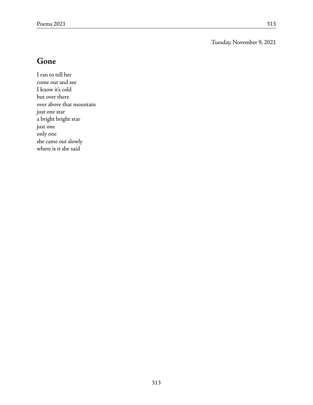Tuesday, November 9, 2021

### **Gone**

I ran to tell her come out and see I know it's cold but over there over above that mountain just one star a bright bright star just one only one she came out slowly where is it she said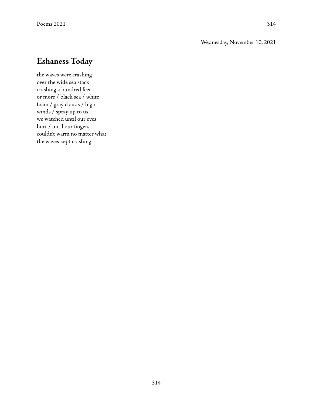#### Wednesday, November 10, 2021

## **Eshaness Today**

the waves were crashing over the wide sea stack crashing a hundred feet or more / black sea / white foam / gray clouds / high winds / spray up to us we watched until our eyes hurt / until our fingers couldn't warm no matter what the waves kept crashing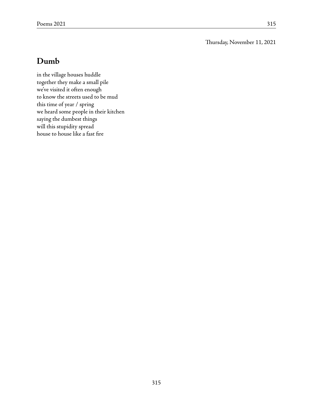Thursday, November 11, 2021

### **Dumb**

in the village houses huddle together they make a small pile we've visited it often enough to know the streets used to be mud this time of year / spring we heard some people in their kitchen saying the dumbest things will this stupidity spread house to house like a fast fire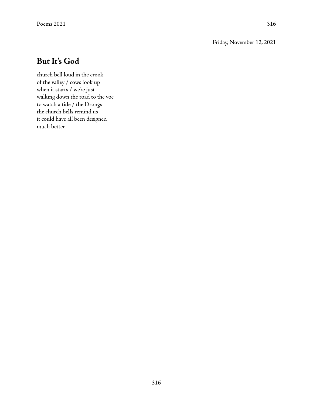### Friday, November 12, 2021

## **But It's God**

church bell loud in the crook of the valley / cows look up when it starts / we're just walking down the road to the voe to watch a tide / the Drongs the church bells remind us it could have all been designed much better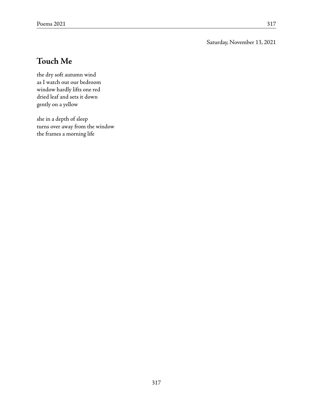Saturday, November 13, 2021

# **Touch Me**

the dry soft autumn wind as I watch out our bedroom window hardly lifts one red dried leaf and sets it down gently on a yellow

she in a depth of sleep turns over away from the window the frames a morning life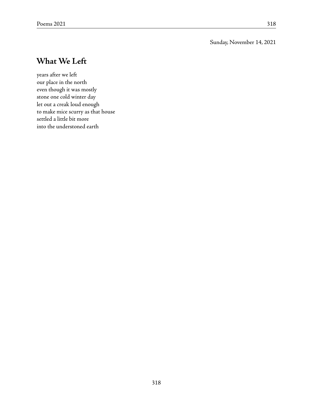### Sunday, November 14, 2021

## **What We Left**

years after we left our place in the north even though it was mostly stone one cold winter day let out a creak loud enough to make mice scurry as that house settled a little bit more into the understoned earth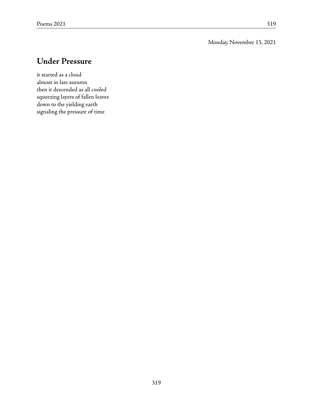Monday, November 15, 2021

## **Under Pressure**

it started as a cloud almost in late autumn then it descended as all cooled squeezing layers of fallen leaves down to the yielding earth signaling the pressure of time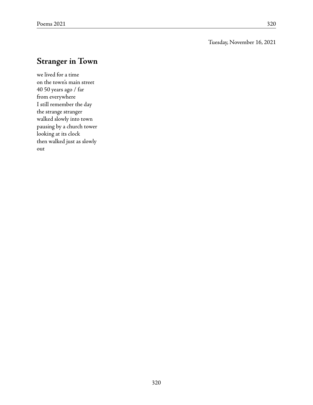### Tuesday, November 16, 2021

# **Stranger in Town**

we lived for a time on the town's main street 40 50 years ago / far from everywhere I still remember the day the strange stranger walked slowly into town pausing by a church tower looking at its clock then walked just as slowly out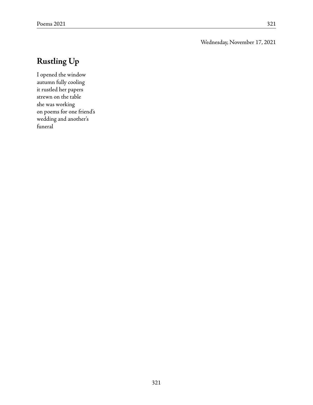### Wednesday, November 17, 2021

# **Rustling Up**

I opened the window autumn fully cooling it rustled her papers strewn on the table she was working on poems for one friend's wedding and another's funeral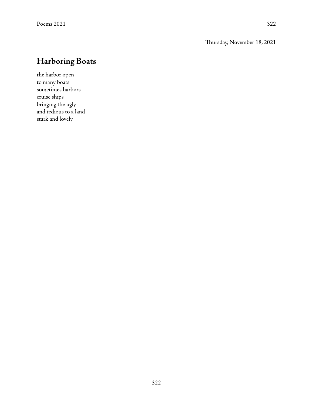Thursday, November 18, 2021

# **Harboring Boats**

the harbor open to many boats sometimes harbors cruise ships bringing the ugly and tedious to a land stark and lovely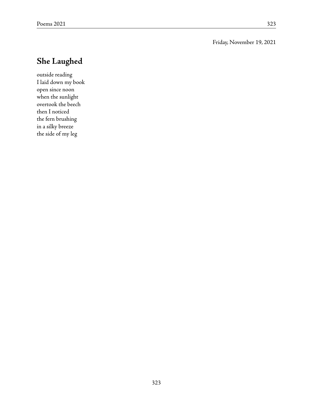Friday, November 19, 2021

## **She Laughed**

outside reading I laid down my book open since noon when the sunlight overtook the beech then I noticed the fern brushing in a silky breeze the side of my leg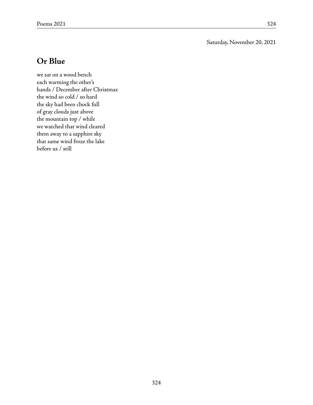Saturday, November 20, 2021

## **Or Blue**

we sat on a wood bench each warming the other's hands / December after Christmas the wind so cold / so hard the sky had been chock full of gray clouds just above the mountain top / while we watched that wind cleared them away to a sapphire sky that same wind froze the lake before us / still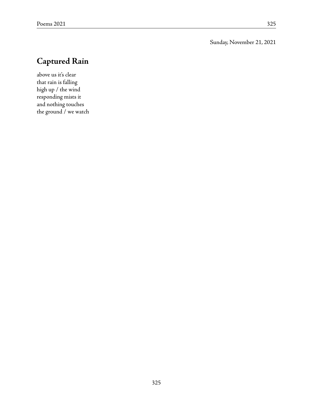Sunday, November 21, 2021

# **Captured Rain**

above us it's clear that rain is falling high up / the wind responding mists it and nothing touches the ground / we watch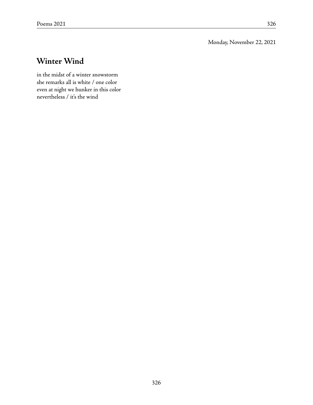Monday, November 22, 2021

# **Winter Wind**

in the midst of a winter snowstorm she remarks all is white / one color even at night we hunker in this color nevertheless / it's the wind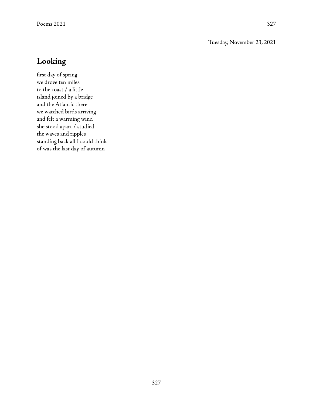Tuesday, November 23, 2021

## **Looking**

first day of spring we drove ten miles to the coast / a little island joined by a bridge and the Atlantic there we watched birds arriving and felt a warming wind she stood apart / studied the waves and ripples standing back all I could think of was the last day of autumn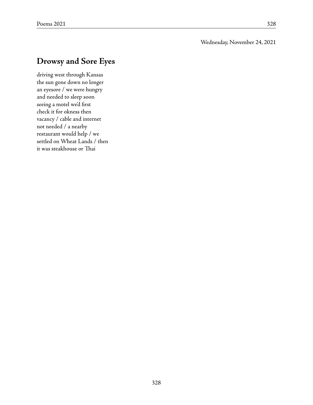#### Wednesday, November 24, 2021

## **Drowsy and Sore Eyes**

driving west through Kansas the sun gone down no longer an eyesore / we were hungry and needed to sleep soon seeing a motel we'd first check it for okness then vacancy / cable and internet not needed / a nearby restaurant would help / we settled on Wheat Lands / then it was steakhouse or Thai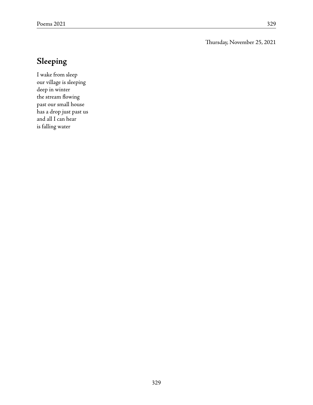Thursday, November 25, 2021

# **Sleeping**

I wake from sleep our village is sleeping deep in winter the stream flowing past our small house has a drop just past us and all I can hear is falling water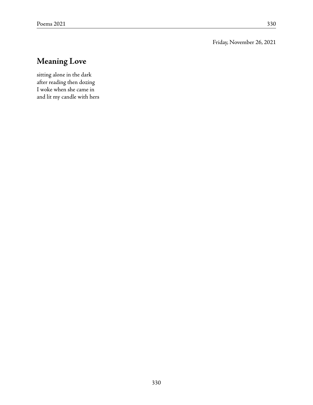Friday, November 26, 2021

# **Meaning Love**

sitting alone in the dark after reading then dozing I woke when she came in and lit my candle with hers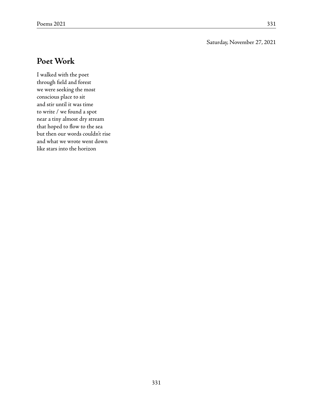### Saturday, November 27, 2021

### **Poet Work**

I walked with the poet through field and forest we were seeking the most conscious place to sit and stir until it was time to write / we found a spot near a tiny almost dry stream that hoped to flow to the sea but then our words couldn't rise and what we wrote went down like stars into the horizon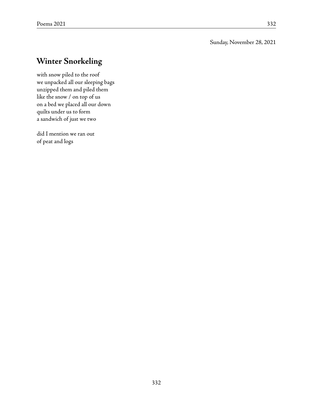#### Sunday, November 28, 2021

## **Winter Snorkeling**

with snow piled to the roof we unpacked all our sleeping bags unzipped them and piled them like the snow / on top of us on a bed we placed all our down quilts under us to form a sandwich of just we two

did I mention we ran out of peat and logs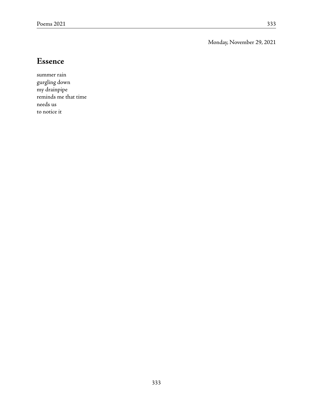Monday, November 29, 2021

### **Essence**

summer rain gurgling down my drainpipe reminds me that time needs us to notice it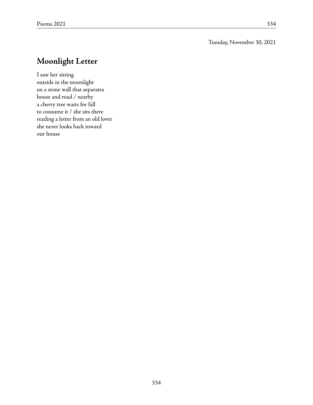### Tuesday, November 30, 2021

## **Moonlight Letter**

I saw her sitting outside in the moonlight on a stone wall that separates house and road / nearby a cherry tree waits for fall to consume it / she sits there reading a letter from an old lover she never looks back toward our house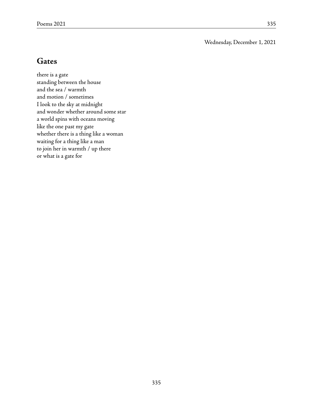Wednesday, December 1, 2021

### **Gates**

there is a gate standing between the house and the sea / warmth and motion / sometimes I look to the sky at midnight and wonder whether around some star a world spins with oceans moving like the one past my gate whether there is a thing like a woman waiting for a thing like a man to join her in warmth / up there or what is a gate for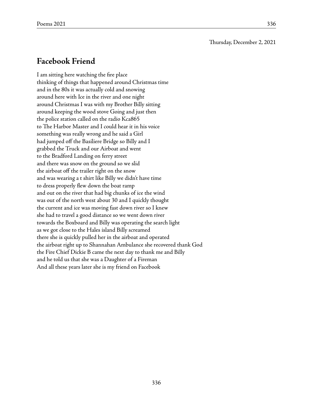Thursday, December 2, 2021

### **Facebook Friend**

I am sitting here watching the fire place thinking of things that happened around Christmas time and in the 80s it was actually cold and snowing around here with Ice in the river and one night around Christmas I was with my Brother Billy sitting around keeping the wood stove Going and just then the police station called on the radio Kca865 to The Harbor Master and I could hear it in his voice something was really wrong and he said a Girl had jumped off the Basiliere Bridge so Billy and I grabbed the Truck and our Airboat and went to the Bradford Landing on ferry street and there was snow on the ground so we slid the airboat off the trailer right on the snow and was wearing a t shirt like Billy we didn't have time to dress properly flew down the boat ramp and out on the river that had big chunks of ice the wind was out of the north west about 30 and I quickly thought the current and ice was moving fast down river so I knew she had to travel a good distance so we went down river towards the Boxboard and Billy was operating the search light as we got close to the Hales island Billy screamed there she is quickly pulled her in the airboat and operated the airboat right up to Shannahan Ambulance she recovered thank God the Fire Chief Dickie B came the next day to thank me and Billy and he told us that she was a Daughter of a Fireman And all these years later she is my friend on Facebook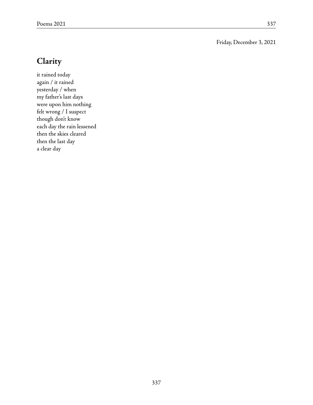#### Friday, December 3, 2021

## **Clarity**

it rained today again / it rained yesterday / when my father's last days were upon him nothing felt wrong / I suspect though don't know each day the rain lessened then the skies cleared then the last day a clear day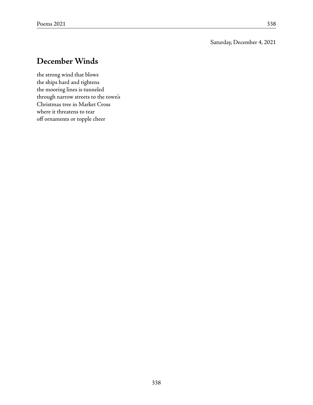### Saturday, December 4, 2021

## **December Winds**

the strong wind that blows the ships hard and tightens the mooring lines is tunneled through narrow streets to the town's Christmas tree in Market Cross where it threatens to tear off ornaments or topple cheer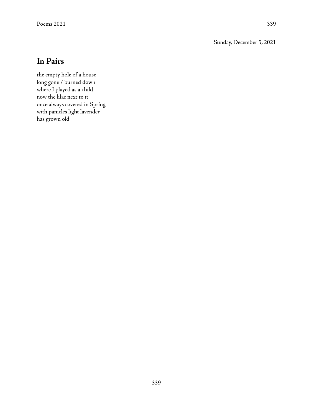Sunday, December 5, 2021

### **In Pairs**

the empty hole of a house long gone / burned down where I played as a child now the lilac next to it once always covered in Spring with panicles light lavender has grown old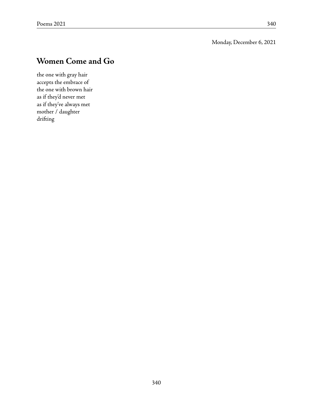Monday, December 6, 2021

# **Women Come and Go**

the one with gray hair accepts the embrace of the one with brown hair as if they'd never met as if they've always met mother / daughter drifting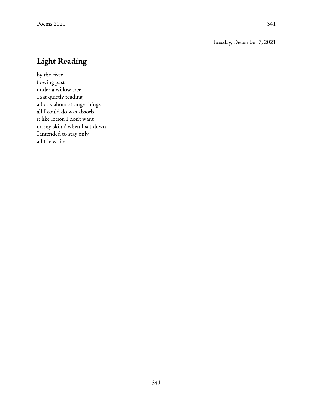#### Tuesday, December 7, 2021

# **Light Reading**

by the river flowing past under a willow tree I sat quietly reading a book about strange things all I could do was absorb it like lotion I don't want on my skin / when I sat down I intended to stay only a little while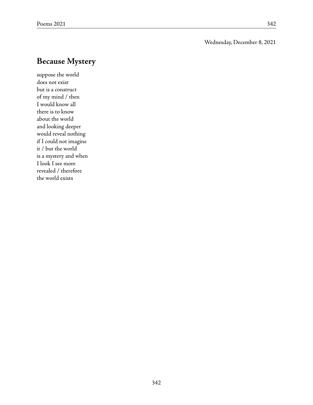### Wednesday, December 8, 2021

## **Because Mystery**

suppose the world does not exist but is a construct of my mind / then I would know all there is to know about the world and looking deeper would reveal nothing if I could not imagine it / but the world is a mystery and when I look I see more revealed / therefore the world exists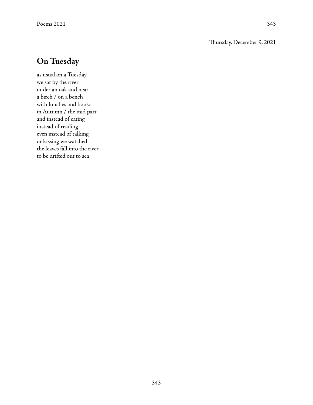#### Thursday, December 9, 2021

## **On Tuesday**

as usual on a Tuesday we sat by the river under an oak and near a birch / on a bench with lunches and books in Autumn / the mid part and instead of eating instead of reading even instead of talking or kissing we watched the leaves fall into the river to be drifted out to sea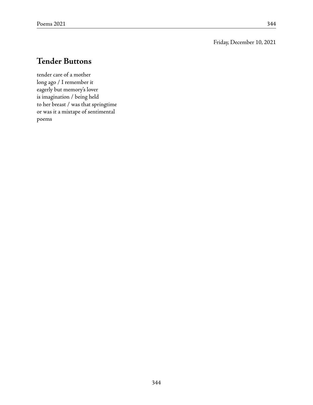Friday, December 10, 2021

# **Tender Buttons**

tender care of a mother long ago / I remember it eagerly but memory's lover is imagination / being held to her breast / was that springtime or was it a mixtape of sentimental poems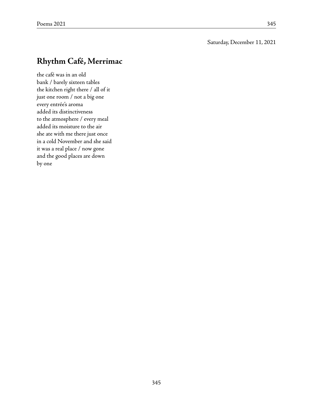#### Saturday, December 11, 2021

## **Rhythm Café, Merrimac**

the café was in an old bank / barely sixteen tables the kitchen right there / all of it just one room / not a big one every entrée's aroma added its distinctiveness to the atmosphere / every meal added its moisture to the air she ate with me there just once in a cold November and she said it was a real place / now gone and the good places are down by one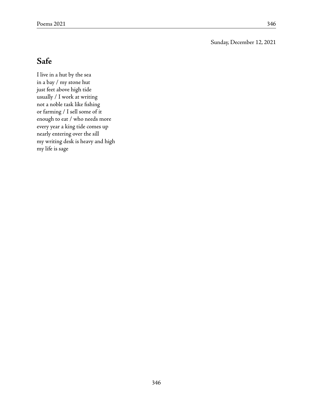Sunday, December 12, 2021

## **Safe**

I live in a hut by the sea in a bay / my stone hut just feet above high tide usually / I work at writing not a noble task like fishing or farming / I sell some of it enough to eat / who needs more every year a king tide comes up nearly entering over the sill my writing desk is heavy and high my life is sage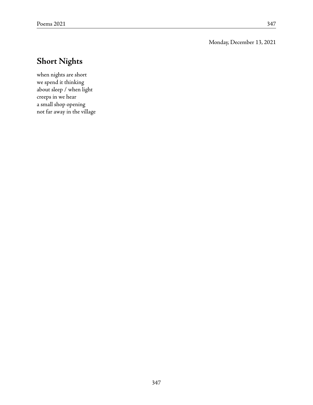Monday, December 13, 2021

# **Short Nights**

when nights are short we spend it thinking about sleep / when light creeps in we hear a small shop opening not far away in the village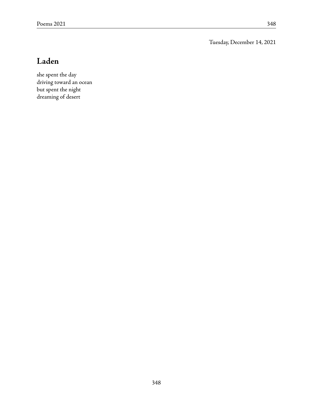Tuesday, December 14, 2021

# **Laden**

she spent the day driving toward an ocean but spent the night dreaming of desert

348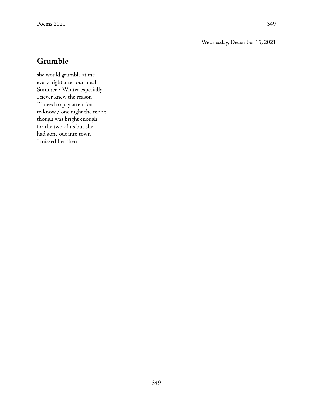### Wednesday, December 15, 2021

### **Grumble**

she would grumble at me every night after our meal Summer / Winter especially I never knew the reason I'd need to pay attention to know / one night the moon though was bright enough for the two of us but she had gone out into town I missed her then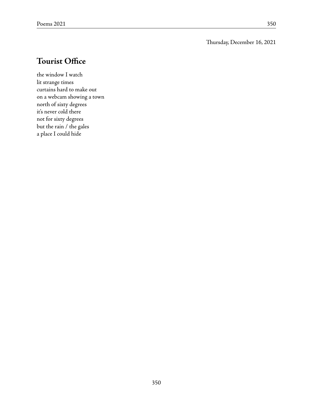### Thursday, December 16, 2021

## **Tourist Office**

the window I watch lit strange times curtains hard to make out on a webcam showing a town north of sixty degrees it's never cold there not for sixty degrees but the rain / the gales a place I could hide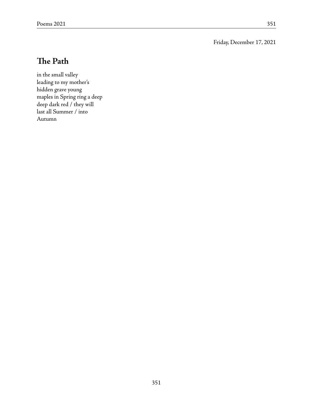Friday, December 17, 2021

## **The Path**

in the small valley leading to my mother's hidden grave young maples in Spring ring a deep deep dark red / they will last all Summer / into Autumn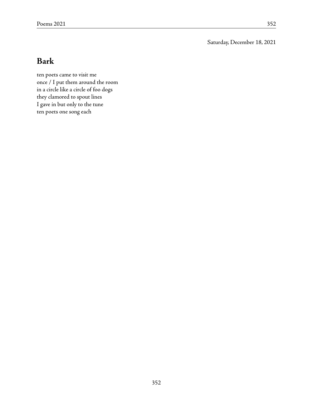Saturday, December 18, 2021

### **Bark**

ten poets came to visit me once / I put them around the room in a circle like a circle of foo dogs they clamored to spout lines I gave in but only to the tune ten poets one song each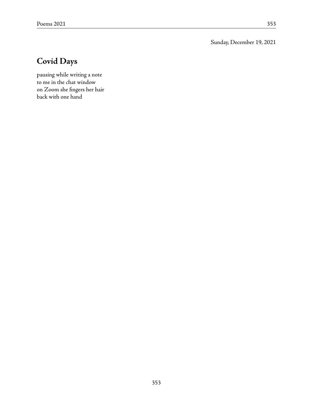Sunday, December 19, 2021

# **Covid Days**

pausing while writing a note to me in the chat window on Zoom she fingers her hair back with one hand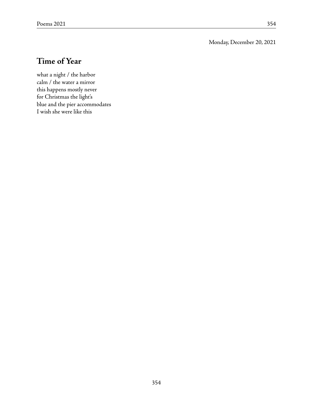Monday, December 20, 2021

# **Time of Year**

what a night / the harbor calm / the water a mirror this happens mostly never for Christmas the light's blue and the pier accommodates I wish she were like this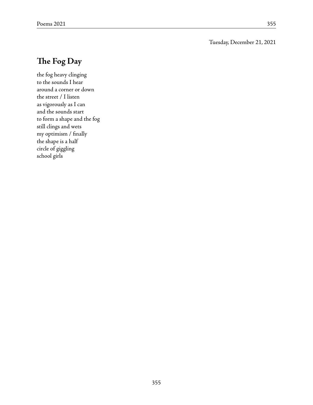#### Tuesday, December 21, 2021

## **The Fog Day**

the fog heavy clinging to the sounds I hear around a corner or down the street / I listen as vigorously as I can and the sounds start to form a shape and the fog still clings and wets my optimism / finally the shape is a half circle of giggling school girls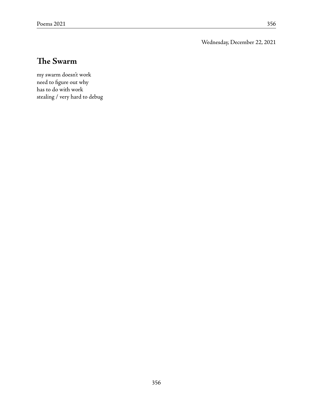Wednesday, December 22, 2021

## **The Swarm**

my swarm doesn't work need to figure out why has to do with work stealing / very hard to debug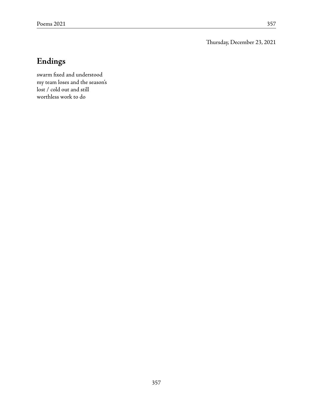Thursday, December 23, 2021

# **Endings**

swarm fixed and understood my team loses and the season's lost / cold out and still worthless work to do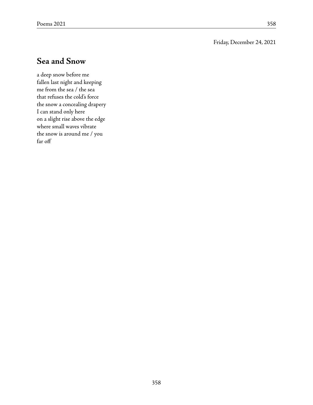#### Friday, December 24, 2021

### **Sea and Snow**

a deep snow before me fallen last night and keeping me from the sea / the sea that refuses the cold's force the snow a concealing drapery I can stand only here on a slight rise above the edge where small waves vibrate the snow is around me / you far off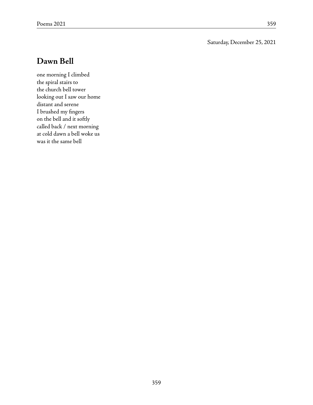Saturday, December 25, 2021

#### **Dawn Bell**

one morning I climbed the spiral stairs to the church bell tower looking out I saw our home distant and serene I brushed my fingers on the bell and it softly called back / next morning at cold dawn a bell woke us was it the same bell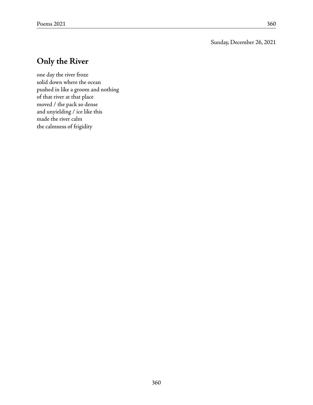Sunday, December 26, 2021

## **Only the River**

one day the river froze solid down where the ocean pushed in like a groom and nothing of that river at that place moved / the pack so dense and unyielding / ice like this made the river calm the calmness of frigidity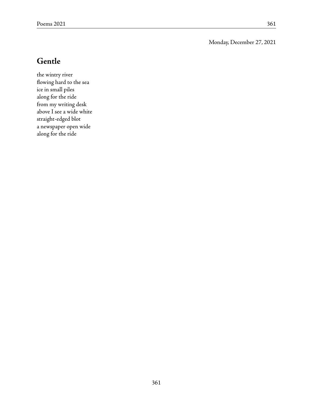Monday, December 27, 2021

### **Gentle**

the wintry river flowing hard to the sea ice in small piles along for the ride from my writing desk above I see a wide white straight-edged blot a newspaper open wide along for the ride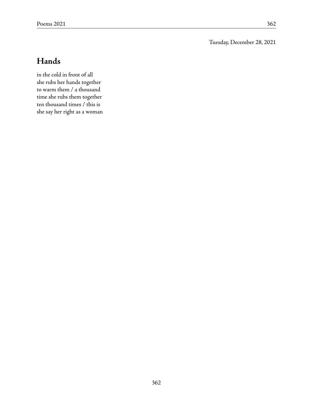Tuesday, December 28, 2021

# **Hands**

in the cold in front of all she rubs her hands together to warm them / a thousand time she rubs them together ten thousand times / this is she say her right as a woman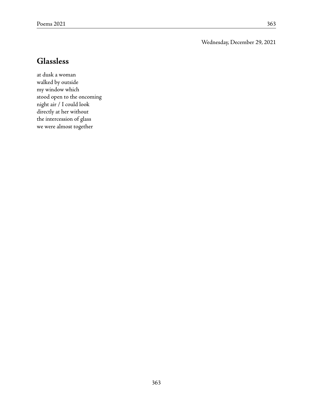Wednesday, December 29, 2021

#### **Glassless**

at dusk a woman walked by outside my window which stood open to the oncoming night air / I could look directly at her without the intercession of glass we were almost together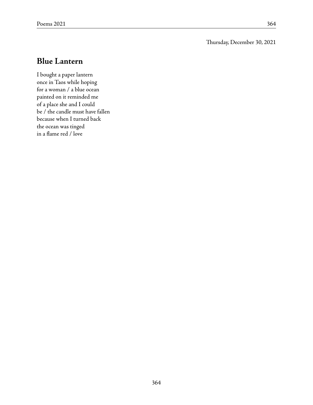#### Thursday, December 30, 2021

### **Blue Lantern**

I bought a paper lantern once in Taos while hoping for a woman / a blue ocean painted on it reminded me of a place she and I could be / the candle must have fallen because when I turned back the ocean was tinged in a flame red / love